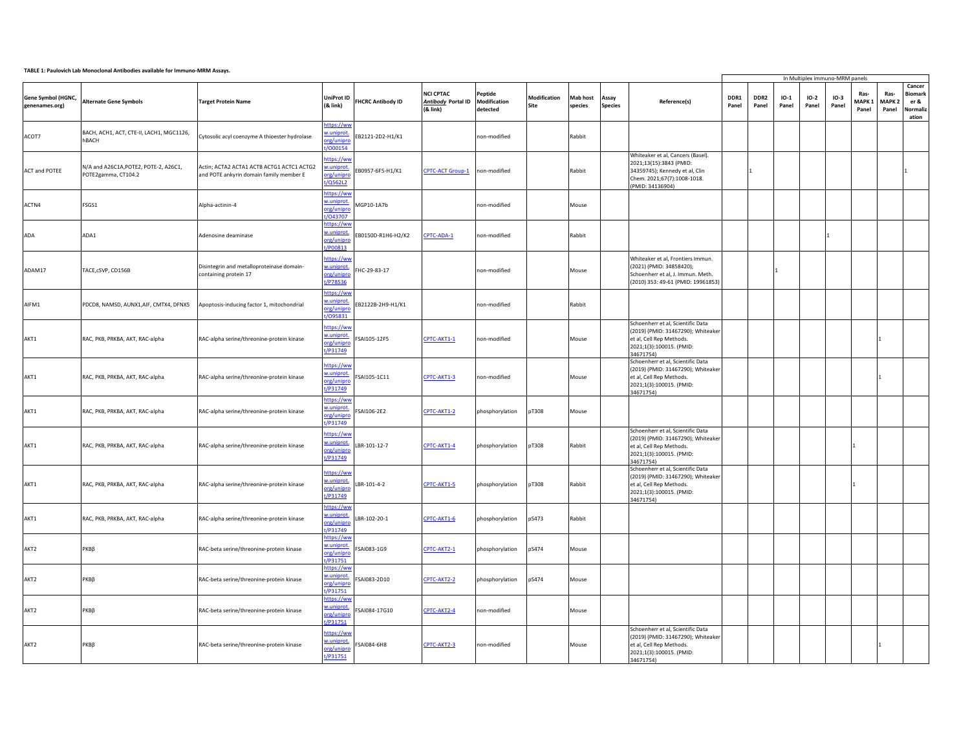## **TABLE 1: Paulovich Lab Monoclonal Antibodies available for Immuno-MRM Assays.**

|                                      |                                                              |                                                                                      |                                                          |                          |                                                      |                                     |                      |                     |                         |                                                                                                                                                   |               |               |                 |                 | In Multiplex immuno-MRM panels |                                    |                                    |                                                       |
|--------------------------------------|--------------------------------------------------------------|--------------------------------------------------------------------------------------|----------------------------------------------------------|--------------------------|------------------------------------------------------|-------------------------------------|----------------------|---------------------|-------------------------|---------------------------------------------------------------------------------------------------------------------------------------------------|---------------|---------------|-----------------|-----------------|--------------------------------|------------------------------------|------------------------------------|-------------------------------------------------------|
| Gene Symbol (HGNC,<br>genenames.org) | <b>Alternate Gene Symbols</b>                                | <b>Target Protein Name</b>                                                           | <b>UniProt ID</b><br>$(8$ link $)$                       | <b>FHCRC Antibody ID</b> | <b>NCI CPTAC</b><br>Antibody Portal ID<br>$(8$ link) | Peptide<br>Modification<br>detected | Modification<br>Site | Mab host<br>species | Assay<br><b>Species</b> | Reference(s)                                                                                                                                      | DDR1<br>Panel | DDR2<br>Panel | $IO-1$<br>Panel | $IO-2$<br>Panel | $IO-3$<br>Panel                | Ras-<br>MAPK <sub>1</sub><br>Panel | Ras-<br>MAPK <sub>2</sub><br>Panel | Cancer<br><b>Biomark</b><br>er &<br>Normaliz<br>ation |
| ACOT7                                | BACH, ACH1, ACT, CTE-II, LACH1, MGC1126,<br>hBACH            | Cytosolic acyl coenzyme A thioester hydrolase                                        | https://ww<br>v.uniprot.<br>rg/unipn<br>t/000154         | B2121-2D2-H1/K1          |                                                      | non-modified                        |                      | Rabbit              |                         |                                                                                                                                                   |               |               |                 |                 |                                |                                    |                                    |                                                       |
| ACT and POTEE                        | N/A and A26C1A, POTE2, POTE-2, A26C1,<br>POTE2gamma, CT104.2 | Actin; ACTA2 ACTA1 ACTB ACTG1 ACTC1 ACTG2<br>and POTE ankyrin domain family member E | nttps://ww<br>w.uniprot<br>org/unipro<br>t/Q562L2        | B0957-6F5-H1/K1          | <b>CPTC-ACT Group-1</b>                              | non-modified                        |                      | Rabbit              |                         | Whiteaker et al, Cancers (Basel).<br>2021;13(15):3843 (PMID:<br>34359745); Kennedy et al, Clin<br>Chem. 2021;67(7):1008-1018.<br>(PMID: 34136904) |               |               |                 |                 |                                |                                    |                                    |                                                       |
| ACTN4                                | FSGS1                                                        | Alpha-actinin-4                                                                      | nttps://ww<br>w.uniprot.<br>org/unipro<br>/043707        | MGP10-1A7b               |                                                      | non-modified                        |                      | Mouse               |                         |                                                                                                                                                   |               |               |                 |                 |                                |                                    |                                    |                                                       |
| ADA                                  | ADA1                                                         | Adenosine deaminase                                                                  | https://ww<br>w.uniprot.<br>org/unipro<br>t/P00813       | EB0150D-R1H6-H2/K2       | CPTC-ADA-1                                           | non-modified                        |                      | Rabbit              |                         |                                                                                                                                                   |               |               |                 |                 |                                |                                    |                                    |                                                       |
| ADAM17                               | TACE, cSVP, CD156B                                           | Disintegrin and metalloproteinase domain-<br>containing protein 17                   | nttps://ww<br>w.uniprot.<br>org/unipn<br>t/P78536        | HC-29-83-17              |                                                      | non-modified                        |                      | Mouse               |                         | Whiteaker et al, Frontiers Immun.<br>(2021) (PMID: 34858420);<br>Schoenherr et al, J. Immun. Meth.<br>(2010) 353: 49-61 (PMID: 19961853)          |               |               |                 |                 |                                |                                    |                                    |                                                       |
| AIFM1                                | PDCD8, NAMSD, AUNX1,AIF, CMTX4, DFNX5                        | Apoptosis-inducing factor 1, mitochondrial                                           | https://ww<br><u>w.uniprot</u><br>org/unipro<br>t/095831 | B2122B-2H9-H1/K1         |                                                      | non-modified                        |                      | Rabbit              |                         |                                                                                                                                                   |               |               |                 |                 |                                |                                    |                                    |                                                       |
| AKT1                                 | RAC, PKB, PRKBA, AKT, RAC-alpha                              | RAC-alpha serine/threonine-protein kinase                                            | nttps://ww<br>w.uniprot.<br>prg/unipro<br>t/P31749       | SAI105-12F5              | CPTC-AKT1-1                                          | non-modified                        |                      | Mouse               |                         | Schoenherr et al, Scientific Data<br>(2019) (PMID: 31467290); Whiteaker<br>et al, Cell Rep Methods.<br>2021;1(3):100015. (PMID:<br>34671754)      |               |               |                 |                 |                                |                                    |                                    |                                                       |
| AKT1                                 | RAC, PKB, PRKBA, AKT, RAC-alpha                              | RAC-alpha serine/threonine-protein kinase                                            | nttps://ww<br>w.uniprot<br>org/unipro<br>t/P31749        | SAI105-1C11              | CPTC-AKT1-3                                          | non-modified                        |                      | Mouse               |                         | Schoenherr et al, Scientific Data<br>(2019) (PMID: 31467290); Whiteaker<br>et al, Cell Rep Methods.<br>2021;1(3):100015. (PMID:<br>34671754)      |               |               |                 |                 |                                |                                    |                                    |                                                       |
| AKT1                                 | RAC, PKB, PRKBA, AKT, RAC-alpha                              | RAC-alpha serine/threonine-protein kinase                                            | https://ww<br>w.uniprot.<br>org/unipro<br>t/P31749       | SAI106-2E2               | CPTC-AKT1-2                                          | phosphorylation                     | pT308                | Mouse               |                         |                                                                                                                                                   |               |               |                 |                 |                                |                                    |                                    |                                                       |
| AKT1                                 | RAC, PKB, PRKBA, AKT, RAC-alpha                              | RAC-alpha serine/threonine-protein kinase                                            | https://ww<br>w.uniprot.<br>org/unipro<br>t/P31749       | BR-101-12-7              | CPTC-AKT1-4                                          | phosphorylation                     | pT308                | Rabbit              |                         | Schoenherr et al, Scientific Data<br>(2019) (PMID: 31467290); Whiteaker<br>et al, Cell Rep Methods.<br>2021;1(3):100015. (PMID:<br>34671754)      |               |               |                 |                 |                                |                                    |                                    |                                                       |
| AKT1                                 | RAC, PKB, PRKBA, AKT, RAC-alpha                              | RAC-alpha serine/threonine-protein kinase                                            | nttps://ww<br>w.uniprot.<br>prg/unipro<br>t/P31749       | BR-101-4-2               | CPTC-AKT1-5                                          | phosphorylation                     | pT308                | Rabbit              |                         | Schoenherr et al, Scientific Data<br>(2019) (PMID: 31467290); Whiteaker<br>et al, Cell Rep Methods.<br>2021;1(3):100015. (PMID:<br>34671754)      |               |               |                 |                 |                                |                                    |                                    |                                                       |
| AKT1                                 | RAC, PKB, PRKBA, AKT, RAC-alpha                              | RAC-alpha serine/threonine-protein kinase                                            | ittps://ww<br>w.uniprot.<br>prg/unipro<br>t/P31749       | BR-102-20-1              | CPTC-AKT1-6                                          | phosphorylation                     | pS473                | Rabbit              |                         |                                                                                                                                                   |               |               |                 |                 |                                |                                    |                                    |                                                       |
| AKT2                                 | РКВβ                                                         | RAC-beta serine/threonine-protein kinase                                             | https://ww<br>w.uniprot.<br>prg/unipro<br>P31751         | SAI083-1G9               | CPTC-AKT2-1                                          | phosphorylation                     | pS474                | Mouse               |                         |                                                                                                                                                   |               |               |                 |                 |                                |                                    |                                    |                                                       |
| AKT2                                 | РКВВ                                                         | RAC-beta serine/threonine-protein kinase                                             | https://ww<br>w.uniprot<br>org/unipro<br>t/P31751        | SAI083-2D10              | CPTC-AKT2-2                                          | phosphorylation                     | pS474                | Mouse               |                         |                                                                                                                                                   |               |               |                 |                 |                                |                                    |                                    |                                                       |
| AKT2                                 | РКВВ                                                         | RAC-beta serine/threonine-protein kinase                                             | https://ww<br>w.uniprot.<br>prg/unipro<br>t/P31751       | SAI084-17G10             | CPTC-AKT2-4                                          | non-modified                        |                      | Mouse               |                         |                                                                                                                                                   |               |               |                 |                 |                                |                                    |                                    |                                                       |
| AKT2                                 | РΚΒβ                                                         | RAC-beta serine/threonine-protein kinase                                             | ttps://ww<br>w.uniprot.<br>org/unipro<br>t/P31751        | SAI084-6H8               | CPTC-AKT2-3                                          | non-modified                        |                      | Mouse               |                         | Schoenherr et al, Scientific Data<br>(2019) (PMID: 31467290); Whiteaker<br>et al, Cell Rep Methods.<br>2021;1(3):100015. (PMID:<br>34671754)      |               |               |                 |                 |                                |                                    |                                    |                                                       |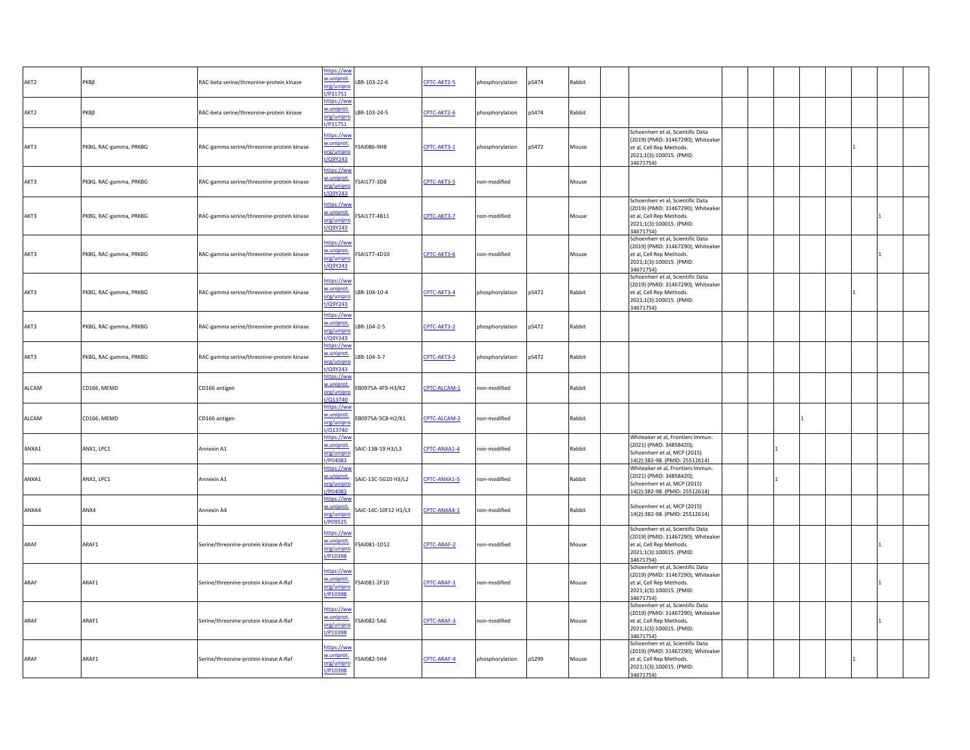| AKT2  | РКΒβ                   | RAC-beta serine/threonine-protein kinase  | https://ww<br>w.uniprot.<br>org/unipro<br>/P31751  | LBR-103-22-6         | CPTC-AKT2-5  | phosphorylation | pS474 | Rabbit |                                                                                                                                              |  |  |  |  |
|-------|------------------------|-------------------------------------------|----------------------------------------------------|----------------------|--------------|-----------------|-------|--------|----------------------------------------------------------------------------------------------------------------------------------------------|--|--|--|--|
| AKT2  | РКВВ                   | RAC-beta serine/threonine-protein kinase  | https://ww<br>w.uniprot.<br>org/unipn<br>VP31751   | LBR-103-24-5         | CPTC-AKT2-6  | phosphorylation | pS474 | Rabbit |                                                                                                                                              |  |  |  |  |
| AKT3  | PKBG, RAC-gamma, PRKBG | RAC-gamma serine/threonine-protein kinase | https://ww<br>w.uniprot.<br>org/unipro<br>t/Q9Y243 | SAI086-9H8           | CPTC-AKT3-1  | phosphorylation | pS472 | Mouse  | Schoenherr et al, Scientific Data<br>(2019) (PMID: 31467290); Whiteaker<br>et al, Cell Rep Methods.<br>2021;1(3):100015. (PMID:<br>34671754) |  |  |  |  |
| AKT3  | PKBG, RAC-gamma, PRKBG | RAC-gamma serine/threonine-protein kinase | https://ww<br>w.uniprot.<br>org/unipro<br>t/Q9Y243 | SAI177-3D8           | CPTC-AKT3-5  | non-modified    |       | Mouse  |                                                                                                                                              |  |  |  |  |
| AKT3  | PKBG, RAC-gamma, PRKBG | RAC-gamma serine/threonine-protein kinase | https://ww<br>w.uniprot.<br>org/unipro<br>t/Q9Y243 | FSAI177-4B11         | CPTC-AKT3-7  | non-modified    |       | Mouse  | Schoenherr et al, Scientific Data<br>(2019) (PMID: 31467290); Whiteaker<br>et al, Cell Rep Methods.<br>2021;1(3):100015. (PMID:<br>34671754) |  |  |  |  |
| AKT3  | PKBG, RAC-gamma, PRKBG | RAC-gamma serine/threonine-protein kinase | https://ww<br>w.uniprot.<br>org/unipro<br>t/Q9Y243 | FSAI177-4D10         | CPTC-AKT3-6  | non-modified    |       | Mouse  | Schoenherr et al, Scientific Data<br>(2019) (PMID: 31467290); Whiteaker<br>et al, Cell Rep Methods.<br>2021;1(3):100015. (PMID:<br>34671754) |  |  |  |  |
| AKT3  | PKBG, RAC-gamma, PRKBG | RAC-gamma serine/threonine-protein kinase | https://ww<br>w.uniprot.<br>org/unipro<br>t/Q9Y243 | LBR-104-10-4         | CPTC-AKT3-4  | phosphorylation | pS472 | Rabbit | Schoenherr et al, Scientific Data<br>(2019) (PMID: 31467290); Whiteaker<br>et al, Cell Rep Methods.<br>2021;1(3):100015. (PMID:<br>34671754) |  |  |  |  |
| AKT3  | PKBG, RAC-gamma, PRKBG | RAC-gamma serine/threonine-protein kinase | https://ww<br>w.uniprot.<br>org/unipro<br>/Q9Y243  | LBR-104-2-5          | CPTC-AKT3-2  | phosphorylation | pS472 | Rabbit |                                                                                                                                              |  |  |  |  |
| AKT3  | PKBG, RAC-gamma, PRKBG | RAC-gamma serine/threonine-protein kinase | https://ww<br>w.uniprot.<br>org/unipro<br>/Q9Y243  | LBR-104-3-7          | CPTC-AKT3-3  | phosphorylation | pS472 | Rabbit |                                                                                                                                              |  |  |  |  |
| ALCAM | CD166, MEMD            | CD166 antigen                             | nttps://ww<br>w.uniprot.<br>org/unipro<br>t/Q13740 | EB0975A-4F9-H3/K2    | CPTC-ALCAM-1 | non-modified    |       | Rabbit |                                                                                                                                              |  |  |  |  |
| ALCAM | CD166, MEMD            | CD166 antigen                             | https://ww<br>w.uniprot.<br>org/unipro<br>/Q13740  | EB0975A-5C8-H2/K1    | CPTC-ALCAM-2 | non-modified    |       | Rabbit |                                                                                                                                              |  |  |  |  |
| ANXA1 | ANX1, LPC1             | Annexin A1                                | https://ww<br>w.uniprot.<br>org/unipro<br>t/P04083 | SAIC-13B-19 H3/L3    | CPTC-ANXA1-4 | non-modified    |       | Rabbit | Whiteaker et al, Frontiers Immun.<br>(2021) (PMID: 34858420);<br>Schoenherr et al, MCP (2015)<br>14(2):382-98. (PMID: 25512614)              |  |  |  |  |
| ANXA1 | ANX1, LPC1             | Annexin A1                                | https://ww<br>w.uniprot.<br>org/unipro<br>t/P04083 | SAIC-13C-5G10 H3/L2  | CPTC-ANXA1-5 | non-modified    |       | Rabbit | Whiteaker et al, Frontiers Immun.<br>(2021) (PMID: 34858420);<br>Schoenherr et al, MCP (2015)<br>14(2):382-98. (PMID: 25512614)              |  |  |  |  |
| ANXA4 | ANX4                   | Annexin A4                                | https://ww<br>w.uniprot.<br>org/unipro<br>t/P09525 | SAIC-14C-10F12 H1/L3 | CPTC-ANXA4-1 | non-modified    |       | Rabbit | Schoenherr et al, MCP (2015)<br>14(2):382-98. (PMID: 25512614)                                                                               |  |  |  |  |
| ARAF  | ARAF1                  | Serine/threonine-protein kinase A-Raf     | https://ww<br>w.uniprot.<br>org/unipro<br>t/P10398 | FSAI081-1D12         | CPTC-ARAF-2  | non-modified    |       | Mouse  | Schoenherr et al, Scientific Data<br>(2019) (PMID: 31467290); Whiteaker<br>et al, Cell Rep Methods.<br>2021;1(3):100015. (PMID:<br>34671754) |  |  |  |  |
| ARAF  | ARAF1                  | Serine/threonine-protein kinase A-Raf     | https://ww<br>w.uniprot.<br>org/unipro<br>t/P10398 | FSAI081-2F10         | CPTC-ARAF-1  | non-modified    |       | Mouse  | Schoenherr et al, Scientific Data<br>(2019) (PMID: 31467290); Whiteaker<br>et al, Cell Rep Methods.<br>2021;1(3):100015. (PMID:<br>34671754) |  |  |  |  |
| ARAF  | ARAF1                  | Serine/threonine-protein kinase A-Raf     | https://ww<br>w.uniprot.<br>org/unipro<br>t/P10398 | SAI082-5A6           | CPTC-ARAF-3  | non-modified    |       | Mouse  | Schoenherr et al, Scientific Data<br>(2019) (PMID: 31467290); Whiteaker<br>et al, Cell Rep Methods.<br>2021;1(3):100015. (PMID:<br>34671754) |  |  |  |  |
| ARAF  | ARAF1                  | Serine/threonine-protein kinase A-Raf     | nttps://ww<br>w.uniprot.<br>org/unipro<br>t/P10398 | FSAI082-5H4          | CPTC-ARAF-4  | phosphorylation | pS299 | Mouse  | Schoenherr et al, Scientific Data<br>(2019) (PMID: 31467290); Whiteaker<br>et al, Cell Rep Methods.<br>2021;1(3):100015. (PMID:<br>34671754) |  |  |  |  |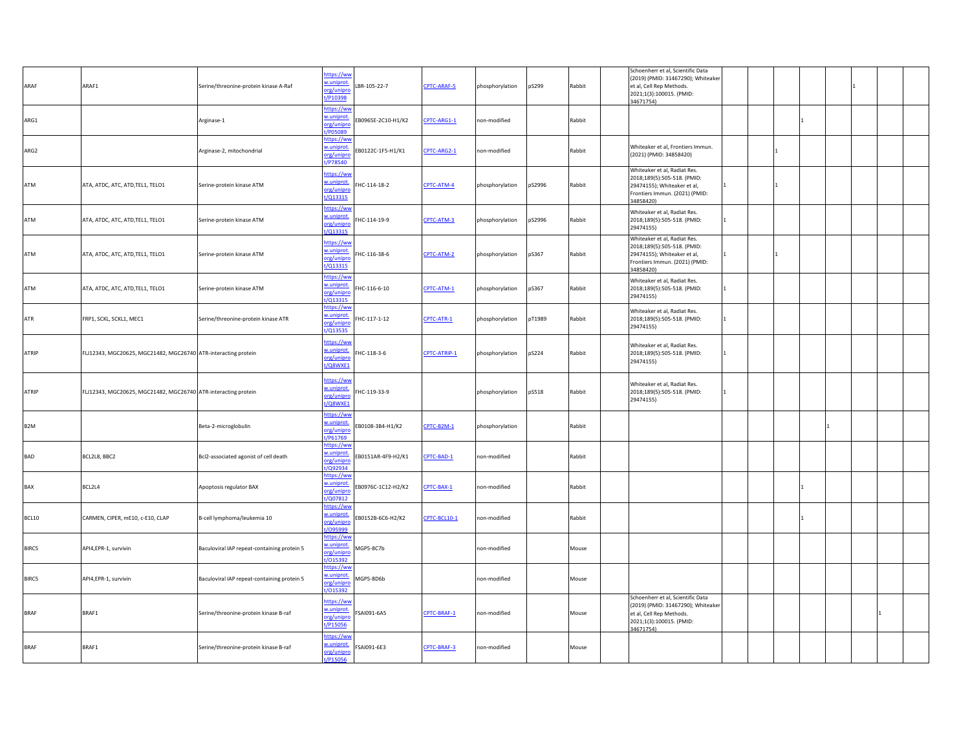| ARAF             | ARAF1                                                          | Serine/threonine-protein kinase A-Raf       | nttps://ww<br>w.uniprot<br>org/unipro<br>t/P10398    | BR-105-22-7        | CPTC-ARAF-5  | phosphorylation | pS299  | Rabbit | Schoenherr et al, Scientific Data<br>(2019) (PMID: 31467290); Whiteaker<br>et al, Cell Rep Methods.<br>2021;1(3):100015. (PMID:<br>34671754) |                |  |  |  |
|------------------|----------------------------------------------------------------|---------------------------------------------|------------------------------------------------------|--------------------|--------------|-----------------|--------|--------|----------------------------------------------------------------------------------------------------------------------------------------------|----------------|--|--|--|
| ARG1             |                                                                | Arginase-1                                  | https://ww<br>w.uniprot.<br>org/unipre<br>t/P05089   | B0965E-2C10-H1/K2  | CPTC-ARG1-1  | non-modified    |        | Rabbit |                                                                                                                                              |                |  |  |  |
| ARG2             |                                                                | Arginase-2, mitochondrial                   | https://wv<br>w.uniprot.<br>org/unipro<br>t/P78540   | EB0122C-1F5-H1/K1  | CPTC-ARG2-1  | non-modified    |        | Rabbit | Whiteaker et al, Frontiers Immun.<br>(2021) (PMID: 34858420)                                                                                 |                |  |  |  |
| ATM              | ATA, ATDC, ATC, ATD, TEL1, TELO1                               | Serine-protein kinase ATM                   | https://ww<br>w.uniprot.<br>org/unipro<br>t/Q13315   | HC-114-18-2        | CPTC-ATM-4   | phosphorylation | pS2996 | Rabbit | Whiteaker et al, Radiat Res.<br>2018;189(5):505-518. (PMID:<br>29474155); Whiteaker et al,<br>Frontiers Immun. (2021) (PMID:<br>34858420)    |                |  |  |  |
| ATM              | ATA, ATDC, ATC, ATD, TEL1, TELO1                               | Serine-protein kinase ATM                   | ittps://wv<br>w.uniprot.<br>org/unipr<br>/Q13315     | HC-114-19-9        | CPTC-ATM-3   | phosphorylation | pS2996 | Rabbit | Whiteaker et al, Radiat Res.<br>2018;189(5):505-518. (PMID:<br>29474155)                                                                     | 1              |  |  |  |
| ATM              | ATA, ATDC, ATC, ATD, TEL1, TELO1                               | Serine-protein kinase ATM                   | https://ww<br>w.uniprot.<br>org/unipro<br>t/Q13315   | HC-116-38-6        | CPTC-ATM-2   | phosphorylation | pS367  | Rabbit | Whiteaker et al, Radiat Res.<br>2018;189(5):505-518. (PMID:<br>29474155); Whiteaker et al,<br>Frontiers Immun. (2021) (PMID:<br>34858420)    |                |  |  |  |
| ATM              | ATA, ATDC, ATC, ATD, TEL1, TELO1                               | Serine-protein kinase ATM                   | https://ww<br>w.uniprot.<br>org/unipro<br>$/Q$ 13315 | HC-116-6-10        | CPTC-ATM-1   | phosphorylation | pS367  | Rabbit | Whiteaker et al, Radiat Res.<br>2018;189(5):505-518. (PMID:<br>29474155)                                                                     |                |  |  |  |
| ATR              | FRP1, SCKL, SCKL1, MEC1                                        | Serine/threonine-protein kinase ATR         | nttps://ww<br>w.uniprot.<br>org/unipro<br>/Q13535    | HC-117-1-12        | CPTC-ATR-1   | phosphorylation | pT1989 | Rabbit | Whiteaker et al, Radiat Res.<br>2018;189(5):505-518. (PMID:<br>29474155)                                                                     |                |  |  |  |
| ATRIP            | FLJ12343, MGC20625, MGC21482, MGC26740 ATR-interacting protein |                                             | https://ww<br>w.uniprot.<br>org/unipro<br>t/Q8WXE1   | HC-118-3-6         | CPTC-ATRIP-1 | phosphorylation | pS224  | Rabbit | Whiteaker et al, Radiat Res.<br>2018;189(5):505-518. (PMID:<br>29474155)                                                                     | $\blacksquare$ |  |  |  |
| ATRIP            | FLJ12343, MGC20625, MGC21482, MGC26740 ATR-interacting protein |                                             | ittps://wv<br>w.uniprot.<br>org/unipro<br>t/Q8WXE1   | HC-119-33-9        |              | phosphorylation | pS518  | Rabbit | Whiteaker et al, Radiat Res.<br>2018;189(5):505-518. (PMID:<br>29474155)                                                                     |                |  |  |  |
| B <sub>2</sub> M |                                                                | Beta-2-microglobulin                        | https://ww<br>w.uniprot.<br>org/unipro<br>P61769     | B0108-3B4-H1/K2    | CPTC-B2M-1   | phosphorylation |        | Rabbit |                                                                                                                                              |                |  |  |  |
| <b>BAD</b>       | BCL2L8, BBC2                                                   | Bcl2-associated agonist of cell death       | nttps://wv<br>w.uniprot.<br>org/unipro<br>t/Q92934   | EB0151AR-4F9-H2/K1 | CPTC-BAD-1   | non-modified    |        | Rabbit |                                                                                                                                              |                |  |  |  |
| <b>BAX</b>       | BCL2L4                                                         | Apoptosis regulator BAX                     | https://ww<br>w.uniprot.<br>org/unipro<br>/Q07812    | EB0976C-1C12-H2/K2 | CPTC-BAX-1   | non-modified    |        | Rabbit |                                                                                                                                              |                |  |  |  |
| BCL10            | CARMEN, CIPER, mE10, c-E10, CLAP                               | B-cell lymphoma/leukemia 10                 | https://ww<br>w.uniprot.<br>org/unipro<br>/095999    | EB0152B-6C6-H2/K2  | CPTC-BCL10-1 | non-modified    |        | Rabbit |                                                                                                                                              |                |  |  |  |
| BIRC5            | API4,EPR-1, survivin                                           | Baculoviral IAP repeat-containing protein 5 | ittps://ww<br>w.uniprot.<br>org/unipro<br>t/015392   | MGP5-8C7b          |              | non-modified    |        | Mouse  |                                                                                                                                              |                |  |  |  |
| BIRC5            | API4,EPR-1, survivin                                           | Baculoviral IAP repeat-containing protein 5 | https://ww<br>.uniprot.<br>org/unipro<br>/015392     | MGP5-8D6b          |              | non-modified    |        | Mouse  |                                                                                                                                              |                |  |  |  |
| <b>BRAF</b>      | BRAF1                                                          | Serine/threonine-protein kinase B-raf       | nttps://ww<br>w.uniprot.<br>org/unipro<br>t/P15056   | SAI091-6A5         | CPTC-BRAF-1  | non-modified    |        | Mouse  | Schoenherr et al, Scientific Data<br>(2019) (PMID: 31467290); Whiteaker<br>et al, Cell Rep Methods.<br>2021;1(3):100015. (PMID:<br>34671754) |                |  |  |  |
| <b>BRAF</b>      | BRAF1                                                          | Serine/threonine-protein kinase B-raf       | nttps://wv<br>w.uniprot.<br>org/unipro<br>t/P15056   | FSAI091-6E3        | CPTC-BRAF-3  | non-modified    |        | Mouse  |                                                                                                                                              |                |  |  |  |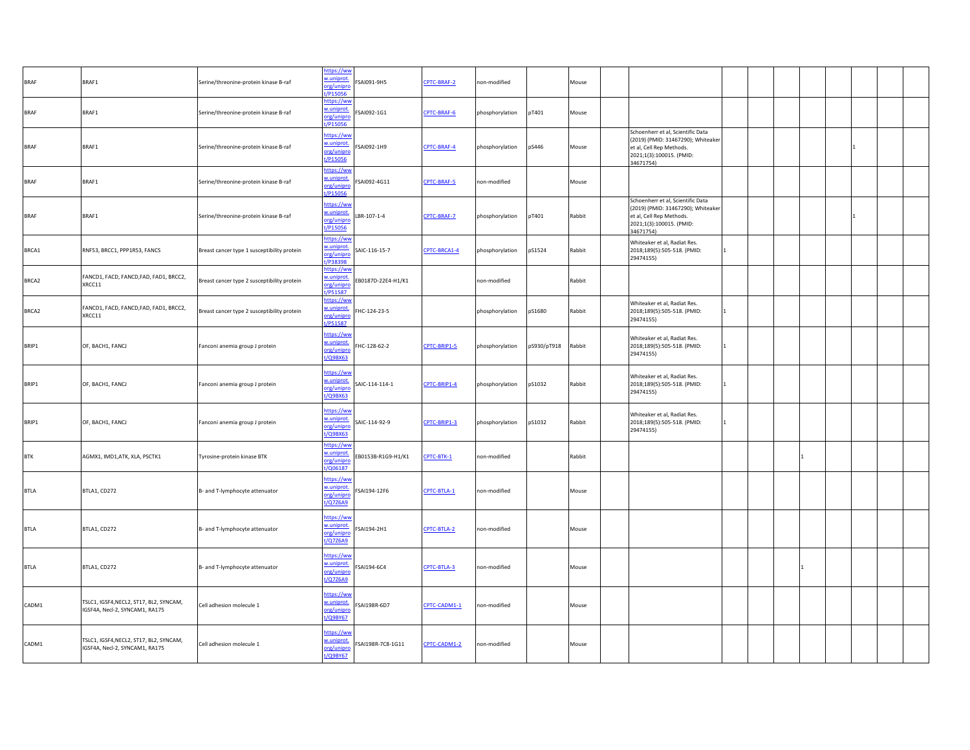| <b>BRAF</b> | BRAF1                                                                     | Serine/threonine-protein kinase B-raf       | https://ww<br>w.uniprot.<br>org/unipro<br>t/P15056 | SAI091-9H5         | CPTC-BRAF-2  | non-modified    |             | Mouse  |                                                                                                                                              |    |  |  |  |
|-------------|---------------------------------------------------------------------------|---------------------------------------------|----------------------------------------------------|--------------------|--------------|-----------------|-------------|--------|----------------------------------------------------------------------------------------------------------------------------------------------|----|--|--|--|
| <b>BRAF</b> | BRAF1                                                                     | Serine/threonine-protein kinase B-raf       | https://ww<br>w.uniprot.<br>org/unipro<br>/P15056  | FSAI092-1G1        | CPTC-BRAF-6  | phosphorylation | pT401       | Mouse  |                                                                                                                                              |    |  |  |  |
| <b>BRAF</b> | BRAF1                                                                     | Serine/threonine-protein kinase B-raf       | https://ww<br>w.uniprot.<br>org/unipro<br>t/P15056 | SAI092-1H9         | CPTC-BRAF-4  | phosphorylation | pS446       | Mouse  | Schoenherr et al, Scientific Data<br>(2019) (PMID: 31467290); Whiteaker<br>et al, Cell Rep Methods.<br>2021;1(3):100015. (PMID:<br>34671754) |    |  |  |  |
| <b>BRAF</b> | BRAF1                                                                     | Serine/threonine-protein kinase B-raf       | https://ww<br>w.uniprot.<br>org/unipro<br>t/P15056 | FSAI092-4G11       | CPTC-BRAF-5  | non-modified    |             | Mouse  |                                                                                                                                              |    |  |  |  |
| <b>BRAF</b> | BRAF1                                                                     | Serine/threonine-protein kinase B-raf       | https://ww<br>w.uniprot.<br>org/unipro<br>t/P15056 | LBR-107-1-4        | CPTC-BRAF-7  | phosphorylation | pT401       | Rabbit | Schoenherr et al, Scientific Data<br>(2019) (PMID: 31467290); Whiteaker<br>et al, Cell Rep Methods.<br>2021;1(3):100015. (PMID:<br>34671754) |    |  |  |  |
| BRCA1       | RNF53, BRCC1, PPP1R53, FANCS                                              | Breast cancer type 1 susceptibility protein | https://ww<br>w.uniprot.<br>org/unipro<br>t/P38398 | SAIC-116-15-7      | CPTC-BRCA1-4 | phosphorylation | pS1524      | Rabbit | Whiteaker et al, Radiat Res.<br>2018;189(5):505-518. (PMID:<br>29474155)                                                                     | 1  |  |  |  |
| BRCA2       | FANCD1, FACD, FANCD, FAD, FAD1, BRCC2,<br>XRCC11                          | Breast cancer type 2 susceptibility protein | https://ww<br>w.uniprot.<br>org/unipro<br>/P51587  | EB0187D-22E4-H1/K1 |              | non-modified    |             | Rabbit |                                                                                                                                              |    |  |  |  |
| BRCA2       | FANCD1, FACD, FANCD, FAD, FAD1, BRCC2,<br>XRCC11                          | Breast cancer type 2 susceptibility protein | https://ww<br>w.uniprot.<br>org/unipro<br>t/P51587 | HC-124-23-5        |              | phosphorylation | pS1680      | Rabbit | Whiteaker et al, Radiat Res.<br>2018;189(5):505-518. (PMID:<br>29474155)                                                                     |    |  |  |  |
| BRIP1       | OF, BACH1, FANCJ                                                          | Fanconi anemia group J protein              | https://ww<br>w.uniprot.<br>org/unipro<br>t/Q9BX63 | HC-128-62-2        | CPTC-BRIP1-5 | phosphorylation | pS930/pT918 | Rabbit | Whiteaker et al, Radiat Res.<br>2018;189(5):505-518. (PMID:<br>29474155)                                                                     | I1 |  |  |  |
| BRIP1       | OF, BACH1, FANCJ                                                          | Fanconi anemia group J protein              | https://ww<br>w.uniprot.<br>org/unipro<br>t/Q9BX63 | SAIC-114-114-1     | CPTC-BRIP1-4 | phosphorylation | pS1032      | Rabbit | Whiteaker et al, Radiat Res.<br>2018;189(5):505-518. (PMID:<br>29474155)                                                                     |    |  |  |  |
| BRIP1       | OF, BACH1, FANCJ                                                          | Fanconi anemia group J protein              | https://ww<br>w.uniprot.<br>org/unipro<br>t/Q9BX63 | SAIC-114-92-9      | CPTC-BRIP1-3 | phosphorylation | pS1032      | Rabbit | Whiteaker et al, Radiat Res.<br>2018;189(5):505-518. (PMID:<br>29474155)                                                                     |    |  |  |  |
| <b>BTK</b>  | AGMX1, IMD1,ATK, XLA, PSCTK1                                              | Tyrosine-protein kinase BTK                 | https://wv<br>w.uniprot.<br>org/unipro<br>/Q06187  | EB0153B-R1G9-H1/K1 | CPTC-BTK-1   | non-modified    |             | Rabbit |                                                                                                                                              |    |  |  |  |
| <b>BTLA</b> | BTLA1, CD272                                                              | B- and T-lymphocyte attenuator              | https://ww<br>w.uniprot.<br>org/unipro<br>t/Q7Z6A9 | FSAI194-12F6       | CPTC-BTLA-1  | non-modified    |             | Mouse  |                                                                                                                                              |    |  |  |  |
| <b>BTLA</b> | BTLA1, CD272                                                              | B- and T-lymphocyte attenuator              | https://ww<br>w.uniprot.<br>org/unipro<br>t/Q7Z6A9 | FSAI194-2H1        | CPTC-BTLA-2  | non-modified    |             | Mouse  |                                                                                                                                              |    |  |  |  |
| <b>BTLA</b> | BTLA1, CD272                                                              | B- and T-lymphocyte attenuator              | https://ww<br>w.uniprot.<br>org/unipro<br>t/Q7Z6A9 | FSAI194-6C4        | CPTC-BTLA-3  | non-modified    |             | Mouse  |                                                                                                                                              |    |  |  |  |
| CADM1       | TSLC1, IGSF4, NECL2, ST17, BL2, SYNCAM,<br>IGSF4A, Necl-2, SYNCAM1, RA175 | Cell adhesion molecule 1                    | https://ww<br>w.uniprot.<br>org/unipro<br>t/Q9BY67 | SAI198R-6D7        | CPTC-CADM1-1 | non-modified    |             | Mouse  |                                                                                                                                              |    |  |  |  |
| CADM1       | TSLC1, IGSF4, NECL2, ST17, BL2, SYNCAM,<br>IGSF4A, Necl-2, SYNCAM1, RA175 | Cell adhesion molecule 1                    | https://ww<br>w.uniprot.<br>org/unipro<br>t/Q9BY67 | FSAI198R-7C8-1G11  | CPTC-CADM1-2 | non-modified    |             | Mouse  |                                                                                                                                              |    |  |  |  |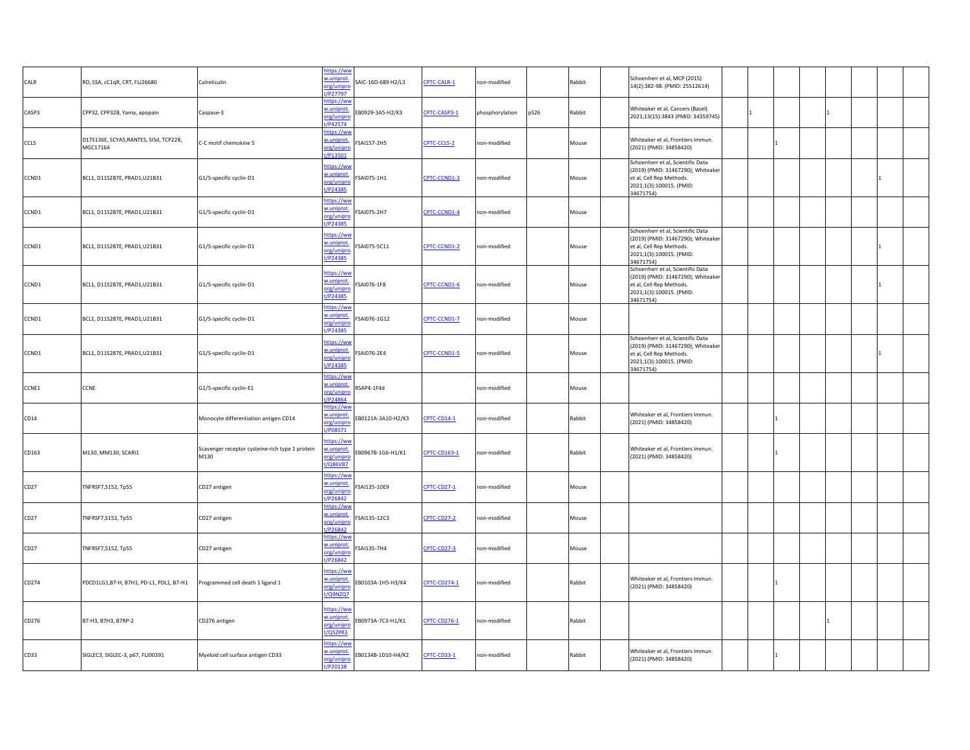| CALR  | RO, SSA, cC1qR, CRT, FLJ26680                      | Calreticulin                                            | https://ww<br>w.uniprot.<br>org/unipro<br>P27797         | SAIC-16D-6B9 H2/L3 | CPTC-CALR-1         | non-modified    |      | Rabbit | Schoenherr et al, MCP (2015)<br>14(2):382-98. (PMID: 25512614)                                                                               |  |   |  |
|-------|----------------------------------------------------|---------------------------------------------------------|----------------------------------------------------------|--------------------|---------------------|-----------------|------|--------|----------------------------------------------------------------------------------------------------------------------------------------------|--|---|--|
| CASP3 | CPP32, CPP32B, Yama, apopain                       | Caspase-3                                               | https://ww<br>w.uniprot.<br>org/unipri<br>1/P42574       | B0929-3A5-H2/K3    | CPTC-CASP3-1        | phosphorylation | pS26 | Rabbit | Whiteaker et al, Cancers (Basel).<br>2021;13(15):3843 (PMID: 34359745)                                                                       |  |   |  |
| CCL5  | D17S136E, SCYA5, RANTES, SISd, TCP228,<br>MGC17164 | C-C motif chemokine 5                                   | https://ww<br>w.uniprot.<br>org/unipro<br>t/P13501       | SAI157-2H5         | CPTC-CCL5-2         | non-modified    |      | Mouse  | Whiteaker et al, Frontiers Immun.<br>(2021) (PMID: 34858420)                                                                                 |  |   |  |
| CCND1 | BCL1, D11S287E, PRAD1, U21B31                      | G1/S-specific cyclin-D1                                 | https://ww<br>w.uniprot.<br>org/unipro<br>t/P24385       | SAI075-1H1         | CPTC-CCND1-3        | non-modified    |      | Mouse  | Schoenherr et al, Scientific Data<br>(2019) (PMID: 31467290); Whiteaker<br>et al, Cell Rep Methods.<br>2021;1(3):100015. (PMID:<br>34671754) |  |   |  |
| CCND1 | BCL1, D11S287E, PRAD1, U21B31                      | G1/S-specific cyclin-D1                                 | https://ww<br>w.uniprot.<br>org/unipro<br>P24385         | SAI075-2H7         | CPTC-CCND1-4        | non-modified    |      | Mouse  |                                                                                                                                              |  |   |  |
| CCND1 | BCL1, D11S287E, PRAD1, U21B31                      | G1/S-specific cyclin-D1                                 | https://ww<br>w.uniprot.<br>org/unipro<br>t/P24385       | SAI075-5C11        | CPTC-CCND1-2        | non-modified    |      | Mouse  | Schoenherr et al, Scientific Data<br>(2019) (PMID: 31467290); Whiteaker<br>et al, Cell Rep Methods.<br>2021;1(3):100015. (PMID:<br>34671754) |  |   |  |
| CCND1 | BCL1, D11S287E, PRAD1, U21B31                      | G1/S-specific cyclin-D1                                 | https://ww<br>w.uniprot.<br>org/unipro<br>t/P24385       | SAI076-1F8         | CPTC-CCND1-6        | non-modified    |      | Mouse  | Schoenherr et al, Scientific Data<br>(2019) (PMID: 31467290); Whiteaker<br>et al, Cell Rep Methods.<br>2021;1(3):100015. (PMID:<br>34671754) |  |   |  |
| CCND1 | BCL1, D11S287E, PRAD1, U21B31                      | G1/S-specific cyclin-D1                                 | https://ww<br>w.uniprot.<br>org/unipro<br>t/P24385       | SAI076-1G12        | CPTC-CCND1-7        | non-modified    |      | Mouse  |                                                                                                                                              |  |   |  |
| CCND1 | BCL1, D11S287E, PRAD1, U21B31                      | G1/S-specific cyclin-D1                                 | https://ww<br>w.uniprot.<br>org/unipro<br>t/P24385       | SAI076-2E4         | CPTC-CCND1-5        | non-modified    |      | Mouse  | Schoenherr et al, Scientific Data<br>(2019) (PMID: 31467290); Whiteaker<br>et al, Cell Rep Methods.<br>2021;1(3):100015. (PMID:<br>34671754) |  |   |  |
| CCNE1 | CCNE                                               | G1/S-specific cyclin-E1                                 | https://ww<br>w.uniprot.<br>org/unipro<br>/P24864        | SAP4-1F4d          |                     | non-modified    |      | Mouse  |                                                                                                                                              |  |   |  |
| CD14  |                                                    | Monocyte differentiation antigen CD14                   | https://wv<br>w.uniprot.<br>org/unipro<br>t/P08571       | EB0121A-3A10-H2/K3 | <b>CPTC-CD14-1</b>  | non-modified    |      | Rabbit | Whiteaker et al, Frontiers Immun.<br>(2021) (PMID: 34858420)                                                                                 |  |   |  |
| CD163 | M130, MM130, SCARI1                                | Scavenger receptor cysteine-rich type 1 protein<br>M130 | nttps://ww<br>w.uniprot.<br>org/unipro<br>t/Q86VB7       | B0967B-1G6-H1/K1   | CPTC-CD163-1        | non-modified    |      | Rabbit | Whiteaker et al, Frontiers Immun.<br>(2021) (PMID: 34858420)                                                                                 |  |   |  |
| CD27  | TNFRSF7, S152, Tp55                                | CD27 antigen                                            | https://ww<br>w.uniprot.<br>org/unipro<br>t/P26842       | SAI135-10E9        | <b>CPTC-CD27-1</b>  | non-modified    |      | Mouse  |                                                                                                                                              |  |   |  |
| CD27  | TNFRSF7, S152, Tp55                                | CD27 antigen                                            | https://ww<br>w.uniprot.<br>org/unipro<br>t/P26842       | SAI135-12C3        | CPTC-CD27-2         | non-modified    |      | Mouse  |                                                                                                                                              |  |   |  |
| CD27  | TNFRSF7, S152, Tp55                                | CD27 antigen                                            | https://ww<br>w.uniprot.<br>org/unipro<br>t/P26842       | SAI135-7H4         | <b>CPTC-CD27-3</b>  | non-modified    |      | Mouse  |                                                                                                                                              |  |   |  |
| CD274 | PDCD1LG1,B7-H, B7H1, PD-L1, PDL1, B7-H1            | Programmed cell death 1 ligand 1                        | https://ww<br>w.uniprot.<br>org/unipro<br>t/Q9NZQ7       | B0103A-1H5-H3/K4   | CPTC-CD274-1        | non-modified    |      | Rabbit | Whiteaker et al, Frontiers Immun.<br>(2021) (PMID: 34858420)                                                                                 |  |   |  |
| CD276 | B7-H3, B7H3, B7RP-2                                | CD276 antigen                                           | https://wv<br>w.uniprot.<br>org/unipro<br>t/Q5ZPR3       | B0973A-7C3-H1/K1   | <b>CPTC-CD276-1</b> | non-modified    |      | Rabbit |                                                                                                                                              |  | 1 |  |
| CD33  | SIGLEC3, SIGLEC-3, p67, FLJ00391                   | Myeloid cell surface antigen CD33                       | <u>https://ww</u><br>w.uniprot.<br>org/unipro<br>/P20138 | B0134B-1D10-H4/K2  | <b>CPTC-CD33-1</b>  | non-modified    |      | Rabbit | Whiteaker et al, Frontiers Immun.<br>(2021) (PMID: 34858420)                                                                                 |  |   |  |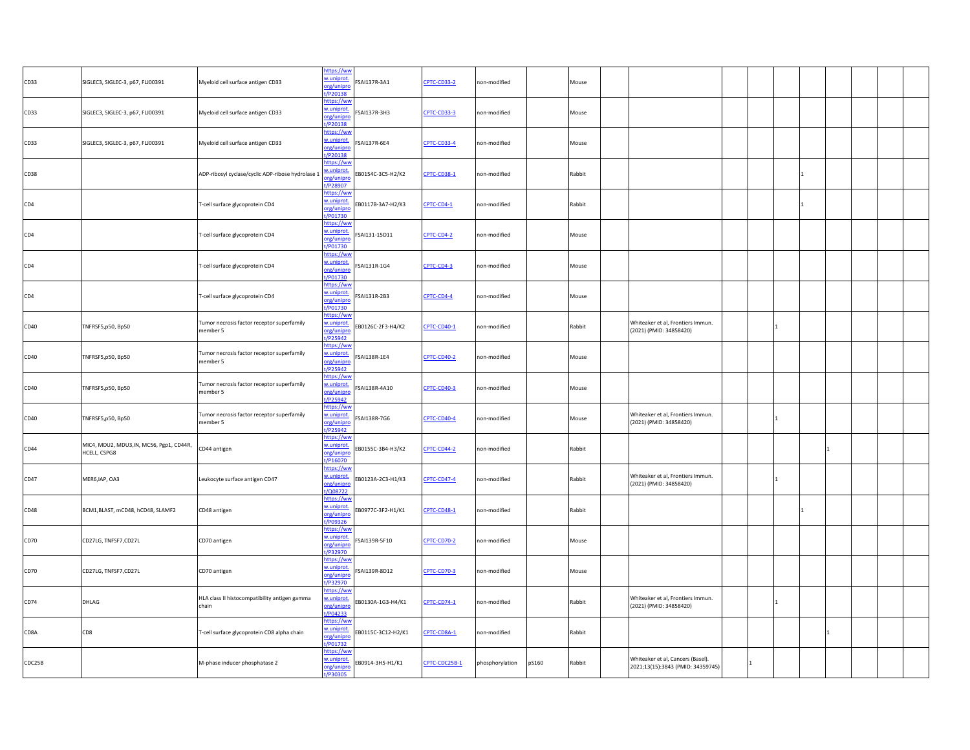| CD33   | SIGLEC3, SIGLEC-3, p67, FLJ00391                         | Myeloid cell surface antigen CD33                      | https://ww<br>w.uniprot.<br>org/unipro<br>t/P20138        | FSAI137R-3A1       | CPTC-CD33-2        | non-modified    |       | Mouse  |                                                                        |  |    |  |
|--------|----------------------------------------------------------|--------------------------------------------------------|-----------------------------------------------------------|--------------------|--------------------|-----------------|-------|--------|------------------------------------------------------------------------|--|----|--|
| CD33   | SIGLEC3, SIGLEC-3, p67, FLJ00391                         | Myeloid cell surface antigen CD33                      | https://ww<br>w.uniprot.<br>org/unipro<br>t/P20138        | FSAI137R-3H3       | CPTC-CD33-3        | non-modified    |       | Mouse  |                                                                        |  |    |  |
| CD33   | SIGLEC3, SIGLEC-3, p67, FLJ00391                         | Myeloid cell surface antigen CD33                      | https://ww<br>w.uniprot.<br>org/unipro<br>$t/P$ 20138     | FSAI137R-6E4       | CPTC-CD33-4        | non-modified    |       | Mouse  |                                                                        |  |    |  |
| CD38   |                                                          | ADP-ribosyl cyclase/cyclic ADP-ribose hydrolase 1      | https://ww<br>w.uniprot.<br>org/unipro<br>t/P28907        | EB0154C-3C5-H2/K2  | CPTC-CD38-1        | non-modified    |       | Rabbit |                                                                        |  |    |  |
| CD4    |                                                          | T-cell surface glycoprotein CD4                        | https://ww<br>w.uniprot.<br>org/unipro<br>t/P01730        | EB0117B-3A7-H2/K3  | CPTC-CD4-1         | non-modified    |       | Rabbit |                                                                        |  |    |  |
| CD4    |                                                          | T-cell surface glycoprotein CD4                        | https://ww<br>w.uniprot.<br>org/unipro<br>t/P01730        | FSAI131-15D11      | CPTC-CD4-2         | non-modified    |       | Mouse  |                                                                        |  |    |  |
| CD4    |                                                          | T-cell surface glycoprotein CD4                        | https://ww<br>w.uniprot.<br>org/unipro<br>t/P01730        | FSAI131R-1G4       | CPTC-CD4-3         | non-modified    |       | Mouse  |                                                                        |  |    |  |
| CD4    |                                                          | T-cell surface glycoprotein CD4                        | https://ww<br>w.uniprot.<br>org/unipro<br>t/P01730        | SAI131R-2B3        | CPTC-CD4-4         | non-modified    |       | Mouse  |                                                                        |  |    |  |
| CD40   | TNFRSF5,p50, Bp50                                        | Tumor necrosis factor receptor superfamily<br>member 5 | <u>https://wv</u><br>w.uniprot.<br>org/unipro<br>t/P25942 | EB0126C-2F3-H4/K2  | <b>CPTC-CD40-1</b> | on-modified     |       | Rabbit | Whiteaker et al, Frontiers Immun.<br>(2021) (PMID: 34858420)           |  |    |  |
| CD40   | TNFRSF5,p50, Bp50                                        | Tumor necrosis factor receptor superfamily<br>member 5 | https://ww<br>w.uniprot.<br>org/unipro<br>t/P25942        | FSAI138R-1E4       | CPTC-CD40-2        | non-modified    |       | Mouse  |                                                                        |  |    |  |
| CD40   | TNFRSF5,p50, Bp50                                        | Tumor necrosis factor receptor superfamily<br>nember 5 | https://wv<br>w.uniprot.<br>org/unipro<br>$1/P$ 25942     | FSAI138R-4A10      | CPTC-CD40-3        | on-modified     |       | Mouse  |                                                                        |  |    |  |
| CD40   | TNFRSF5,p50, Bp50                                        | Tumor necrosis factor receptor superfamily<br>member 5 | https://ww<br>w.uniprot.<br>org/unipro<br>t/P25942        | SAI138R-7G6        | <b>CPTC-CD40-4</b> | non-modified    |       | Mouse  | Whiteaker et al, Frontiers Immun.<br>(2021) (PMID: 34858420)           |  |    |  |
| CD44   | MIC4, MDU2, MDU3, IN, MC56, Pgp1, CD44R,<br>HCELL, CSPG8 | CD44 antigen                                           | https://ww<br>w.uniprot.<br>org/unipro<br>t/P16070        | EB0155C-3B4-H3/K2  | CPTC-CD44-2        | non-modified    |       | Rabbit |                                                                        |  |    |  |
| CD47   | MER6, IAP, OA3                                           | Leukocyte surface antigen CD47                         | https://ww<br>w.uniprot.<br>org/unipro<br>t/Q08722        | EB0123A-2C3-H1/K3  | CPTC-CD47-4        | non-modified    |       | Rabbit | Whiteaker et al, Frontiers Immun.<br>(2021) (PMID: 34858420)           |  |    |  |
| CD48   | BCM1,BLAST, mCD48, hCD48, SLAMF2                         | CD48 antigen                                           | https://ww<br>w.uniprot.<br>org/unipro<br>t/P09326        | EB0977C-3F2-H1/K1  | CPTC-CD48-1        | on-modified     |       | Rabbit |                                                                        |  |    |  |
| CD70   | CD27LG, TNFSF7,CD27L                                     | CD70 antigen                                           | https://ww<br>w.uniprot.<br>org/unipro<br>t/P32970        | SAI139R-5F10       | CPTC-CD70-2        | non-modified    |       | Mouse  |                                                                        |  |    |  |
| CD70   | CD27LG, TNFSF7, CD27L                                    | CD70 antigen                                           | https://ww<br>w.uniprot.<br>org/unipro<br>t/P32970        | FSAI139R-8D12      | CPTC-CD70-3        | non-modified    |       | Mouse  |                                                                        |  |    |  |
| CD74   | DHLAG                                                    | HLA class II histocompatibility antigen gamma<br>chain | https://ww<br>w.uniprot.<br>org/unipro<br>$t/P$ 04233     | EB0130A-1G3-H4/K1  | CPTC-CD74-1        | non-modified    |       | Rabbit | Whiteaker et al, Frontiers Immun.<br>(2021) (PMID: 34858420)           |  |    |  |
| CD8A   | CD8                                                      | T-cell surface glycoprotein CD8 alpha chain            | https://ww<br>w.uniprot.<br>org/unipro<br>t/P01732        | EB0115C-3C12-H2/K1 | CPTC-CD8A-1        | non-modified    |       | Rabbit |                                                                        |  | -1 |  |
| CDC25B |                                                          | M-phase inducer phosphatase 2                          | https://ww<br>w.uniprot.<br>org/unipro<br>t/P30305        | EB0914-3H5-H1/K1   | CPTC-CDC25B-1      | phosphorylation | pS160 | Rabbit | Whiteaker et al, Cancers (Basel).<br>2021;13(15):3843 (PMID: 34359745) |  |    |  |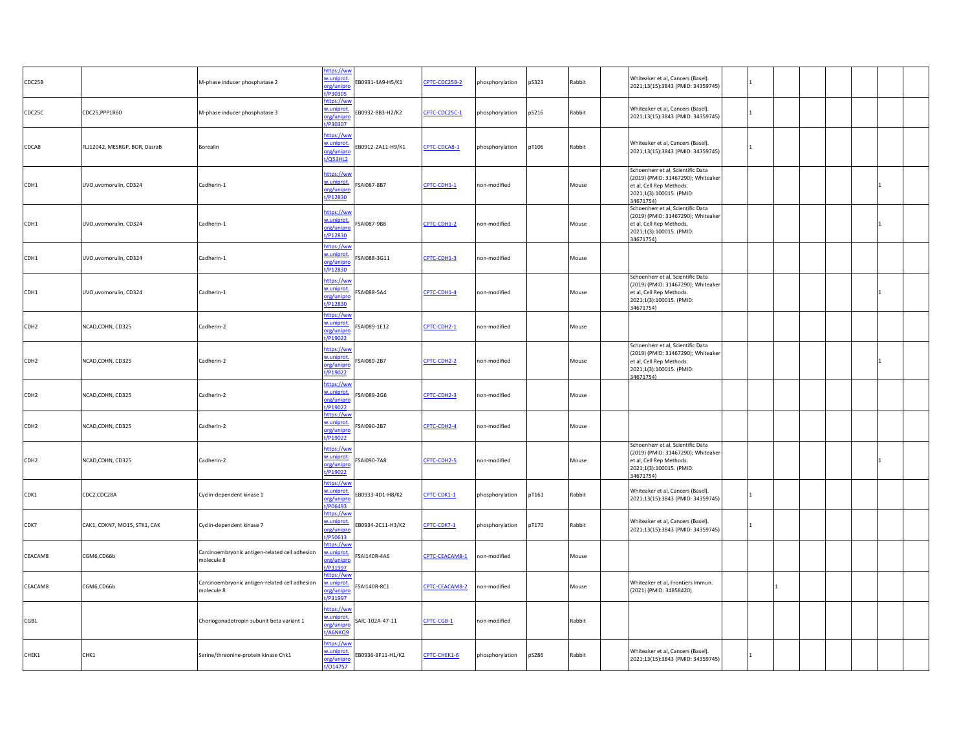| CDC25B           |                               | M-phase inducer phosphatase 2                                | https://ww<br>w.uniprot.<br>org/unipro<br>t/P30305       | EB0931-4A9-H5/K1  | CPTC-CDC25B-2  | phosphorylation | pS323 | Rabbit | Whiteaker et al, Cancers (Basel).<br>2021;13(15):3843 (PMID: 34359745)                                                                       |    |  |  |
|------------------|-------------------------------|--------------------------------------------------------------|----------------------------------------------------------|-------------------|----------------|-----------------|-------|--------|----------------------------------------------------------------------------------------------------------------------------------------------|----|--|--|
| CDC25C           | CDC25, PPP1R60                | M-phase inducer phosphatase 3                                | https://ww<br>w.uniprot.<br>prg/unipro<br>t/P30307       | EB0932-8B3-H2/K2  | CPTC-CDC25C-1  | phosphorylation | pS216 | Rabbit | Whiteaker et al, Cancers (Basel).<br>2021;13(15):3843 (PMID: 34359745)                                                                       |    |  |  |
| CDCA8            | FLJ12042, MESRGP, BOR, DasraB | Borealin                                                     | https://ww<br>w.uniprot.<br>org/unipro<br>t/Q53HL2       | EB0912-2A11-H9/K1 | CPTC-CDCA8-1   | phosphorylation | pT106 | Rabbit | Whiteaker et al, Cancers (Basel).<br>2021;13(15):3843 (PMID: 34359745)                                                                       |    |  |  |
| CDH1             | UVO, uvomorulin, CD324        | Cadherin-1                                                   | https://ww<br>w.uniprot.<br>org/unipro<br>t/P12830       | SAI087-8B7        | CPTC-CDH1-1    | non-modified    |       | Mouse  | Schoenherr et al, Scientific Data<br>(2019) (PMID: 31467290); Whiteaker<br>et al, Cell Rep Methods.<br>2021;1(3):100015. (PMID:<br>34671754) |    |  |  |
| CDH1             | UVO, uvomorulin, CD324        | Cadherin-1                                                   | https://ww<br>w.uniprot.<br>org/unipro<br>t/P12830       | SAI087-9B8        | CPTC-CDH1-2    | non-modified    |       | Mouse  | Schoenherr et al, Scientific Data<br>(2019) (PMID: 31467290); Whiteaker<br>et al, Cell Rep Methods.<br>2021;1(3):100015. (PMID:<br>34671754) |    |  |  |
| CDH1             | UVO, uvomorulin, CD324        | Cadherin-1                                                   | https://ww<br>w.uniprot.<br>org/unipro<br>t/P12830       | FSAI088-3G11      | CPTC-CDH1-3    | non-modified    |       | Mouse  |                                                                                                                                              |    |  |  |
| CDH1             | UVO, uvomorulin, CD324        | Cadherin-1                                                   | https://ww<br>w.uniprot.<br>org/unipro<br>t/P12830       | FSAI088-5A4       | CPTC-CDH1-4    | non-modified    |       | Mouse  | Schoenherr et al, Scientific Data<br>(2019) (PMID: 31467290); Whiteaker<br>et al, Cell Rep Methods.<br>2021;1(3):100015. (PMID:<br>34671754) |    |  |  |
| CDH <sub>2</sub> | NCAD, CDHN, CD325             | Cadherin-2                                                   | https://ww<br>w.uniprot.<br>org/unipro<br>VP19022        | FSAI089-1E12      | CPTC-CDH2-1    | non-modified    |       | Mouse  |                                                                                                                                              |    |  |  |
| CDH <sub>2</sub> | NCAD, CDHN, CD325             | Cadherin-2                                                   | https://ww<br>w.uniprot.<br>org/unipro<br>t/P19022       | FSAI089-2B7       | CPTC-CDH2-2    | non-modified    |       | Mouse  | Schoenherr et al, Scientific Data<br>(2019) (PMID: 31467290); Whiteaker<br>et al, Cell Rep Methods.<br>2021;1(3):100015. (PMID:<br>34671754) |    |  |  |
| CDH <sub>2</sub> | NCAD, CDHN, CD325             | Cadherin-2                                                   | https://ww<br>w.uniprot.<br>org/unipro<br>t/P19022       | FSAI089-2G6       | CPTC-CDH2-3    | non-modified    |       | Mouse  |                                                                                                                                              |    |  |  |
| CDH <sub>2</sub> | NCAD, CDHN, CD325             | Cadherin-2                                                   | https://ww<br>w.uniprot.<br>org/unipro<br>t/P19022       | FSAI090-2B7       | CPTC-CDH2-4    | non-modified    |       | Mouse  |                                                                                                                                              |    |  |  |
| CDH <sub>2</sub> | NCAD, CDHN, CD325             | Cadherin-2                                                   | https://ww<br>w.uniprot.<br>org/unipro<br>t/P19022       | SAI090-7A8        | CPTC-CDH2-5    | non-modified    |       | Mouse  | Schoenherr et al, Scientific Data<br>(2019) (PMID: 31467290); Whiteaker<br>et al, Cell Rep Methods.<br>2021;1(3):100015. (PMID:<br>34671754) |    |  |  |
| CDK1             | CDC2,CDC28A                   | Cyclin-dependent kinase 1                                    | https://ww<br>w.uniprot.<br>org/unipro<br>/P06493        | EB0933-4D1-H8/K2  | CPTC-CDK1-1    | phosphorylation | pT161 | Rabbit | Whiteaker et al, Cancers (Basel).<br>2021;13(15):3843 (PMID: 34359745)                                                                       |    |  |  |
| CDK7             | CAK1, CDKN7, MO15, STK1, CAK  | Cyclin-dependent kinase 7                                    | https://ww<br>w.uniprot.<br>org/unipro<br>t/P50613       | EB0934-2C11-H3/K2 | CPTC-CDK7-1    | phosphorylation | pT170 | Rabbit | Whiteaker et al, Cancers (Basel).<br>2021;13(15):3843 (PMID: 34359745)                                                                       |    |  |  |
| CEACAM8          | CGM6,CD66b                    | Carcinoembryonic antigen-related cell adhesion<br>molecule 8 | https://ww<br>w.uniprot.<br>org/unipro<br>t/P31997       | FSAI140R-4A6      | CPTC-CEACAM8-1 | non-modified    |       | Mouse  |                                                                                                                                              |    |  |  |
| CEACAM8          | CGM6,CD66b                    | Carcinoembryonic antigen-related cell adhesion<br>molecule 8 | https://ww<br>w.uniprot.<br>org/unipro<br>t/P31997       | SAI140R-8C1       | CPTC-CEACAM8-2 | non-modified    |       | Mouse  | Whiteaker et al, Frontiers Immun.<br>(2021) (PMID: 34858420)                                                                                 |    |  |  |
| CGB1             |                               | Choriogonadotropin subunit beta variant 1                    | https://ww<br>w.uniprot.<br>org/unipro<br>t/A6NKQ9       | SAIC-102A-47-11   | CPTC-CGB-1     | non-modified    |       | Rabbit |                                                                                                                                              |    |  |  |
| CHEK1            | CHK1                          | Serine/threonine-protein kinase Chk1                         | <u>https://ww</u><br>w.uniprot.<br>org/unipro<br>VO14757 | EB0936-8F11-H1/K2 | CPTC-CHEK1-6   | phosphorylation | pS286 | Rabbit | Whiteaker et al, Cancers (Basel).<br>2021;13(15):3843 (PMID: 34359745)                                                                       | 11 |  |  |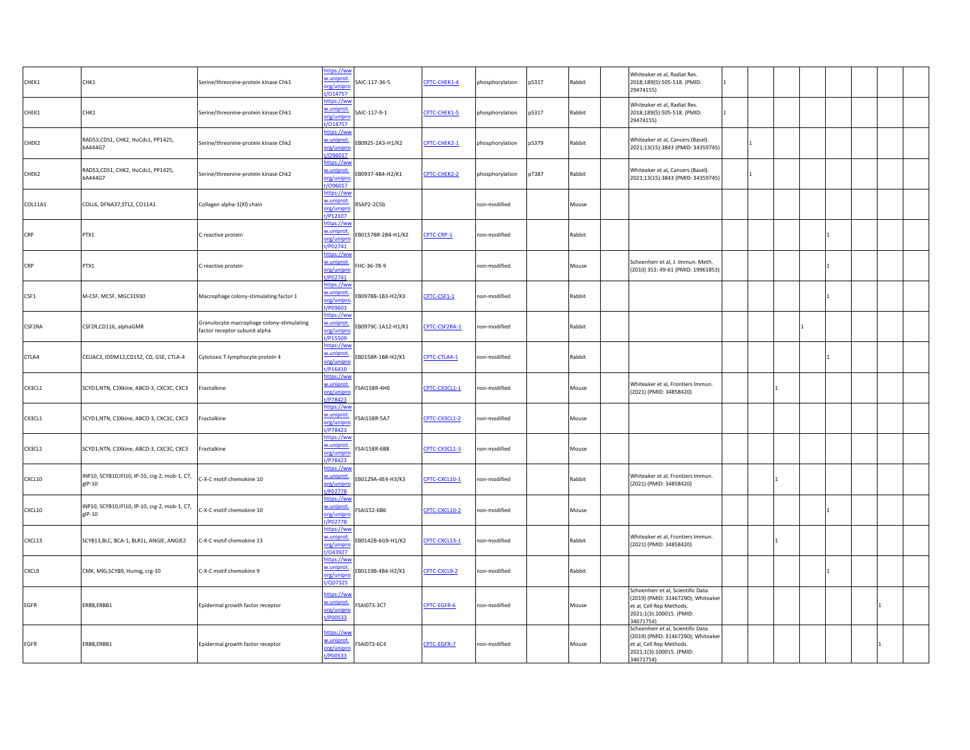| CHEK1   | CHK1                                                        | Serine/threonine-protein kinase Chk1                                       | https://ww<br>w.uniprot.<br>org/unipro<br>t/014757        | SAIC-117-36-5      | CPTC-CHEK1-4  | phosphorylation | pS317 | Rabbit | Whiteaker et al, Radiat Res.<br>2018;189(5):505-518. (PMID:<br>29474155)                                                                     | $\mathbf{1}$ |  |  |
|---------|-------------------------------------------------------------|----------------------------------------------------------------------------|-----------------------------------------------------------|--------------------|---------------|-----------------|-------|--------|----------------------------------------------------------------------------------------------------------------------------------------------|--------------|--|--|
| CHEK1   | CHK1                                                        | Serine/threonine-protein kinase Chk1                                       | https://ww<br>w.uniprot.<br>org/unipro<br>t/014757        | SAIC-117-9-1       | CPTC-CHEK1-5  | phosphorylation | pS317 | Rabbit | Whiteaker et al, Radiat Res.<br>2018;189(5):505-518. (PMID:<br>29474155)                                                                     | $\mathbf{1}$ |  |  |
| CHEK2   | RAD53,CDS1, CHK2, HuCds1, PP1425,<br>bA444G7                | Serine/threonine-protein kinase Chk2                                       | https://ww<br>w.uniprot.<br>org/unipro<br>t/096017        | EB0925-2A3-H1/K2   | CPTC-CHEK2-1  | phosphorylation | pS379 | Rabbit | Whiteaker et al, Cancers (Basel)<br>2021;13(15):3843 (PMID: 34359745)                                                                        |              |  |  |
| CHEK2   | RAD53,CDS1, CHK2, HuCds1, PP1425,<br>bA444G7                | Serine/threonine-protein kinase Chk2                                       | https://ww<br>w.uniprot.<br>org/unipro<br>t/096017        | EB0937-4B4-H2/K1   | CPTC-CHEK2-2  | phosphorylation | pT387 | Rabbit | Whiteaker et al, Cancers (Basel).<br>2021;13(15):3843 (PMID: 34359745)                                                                       |              |  |  |
| COL11A1 | COLL6, DFNA37, STL2, CO11A1                                 | Collagen alpha-1(XI) chain                                                 | https://ww<br>w.uniprot.<br>org/unipro<br>t/P12107        | RSAP2-2C5b         |               | non-modified    |       | Mouse  |                                                                                                                                              |              |  |  |
| CRP     | PTX1                                                        | C-reactive protein                                                         | https://ww<br>w.uniprot.<br>org/unipro<br>t/P02741        | EB0157BR-2B4-H1/K2 | CPTC-CRP-1    | non-modified    |       | Rabbit |                                                                                                                                              |              |  |  |
| CRP     | PTX1                                                        | C-reactive protein                                                         | https://ww<br>w.uniprot.<br>org/unipro<br>t/P02741        | HC-36-78-9         |               | non-modified    |       | Mouse  | Schoenherr et al, J. Immun. Meth.<br>(2010) 353: 49-61 (PMID: 19961853)                                                                      |              |  |  |
| CSF1    | M-CSF, MCSF, MGC31930                                       | Macrophage colony-stimulating factor 1                                     | https://ww<br>w.uniprot.<br>org/unipro<br>t/P09603        | EB0978B-1B3-H2/K3  | CPTC-CSF1-1   | non-modified    |       | Rabbit |                                                                                                                                              |              |  |  |
| CSF2RA  | CSF2R,CD116, alphaGMR                                       | Granulocyte-macrophage colony-stimulating<br>factor receptor subunit alpha | https://ww<br>v.uniprot.<br>org/unipro<br>t/P15509        | EB0979C-1A12-H1/K1 | CPTC-CSF2RA-1 | non-modified    |       | Rabbit |                                                                                                                                              |              |  |  |
| CTLA4   | CELIAC3, IDDM12,CD152, CD, GSE, CTLA-4                      | Cytotoxic T-lymphocyte protein 4                                           | https://ww<br>w.uniprot.<br>prg/unipro<br>t/P16410        | EB0158R-1B8-H2/K1  | CPTC-CTLA4-1  | non-modified    |       | Rabbit |                                                                                                                                              |              |  |  |
| CX3CL1  | SCYD1,NTN, C3Xkine, ABCD-3, CXC3C, CXC3                     | ractalkine                                                                 | https://ww<br>w.uniprot.<br>prg/unipro<br>VP78423         | FSAI158R-4H6       | CPTC-CX3CL1-1 | non-modified    |       | Mouse  | Whiteaker et al, Frontiers Immun.<br>(2021) (PMID: 34858420)                                                                                 |              |  |  |
| CX3CL1  | SCYD1,NTN, C3Xkine, ABCD-3, CXC3C, CXC3                     | ractalkine                                                                 | https://ww<br>w.uniprot.<br>org/unipro<br>t/P78423        | FSAI158R-5A7       | CPTC-CX3CL1-2 | non-modified    |       | Mouse  |                                                                                                                                              |              |  |  |
| CX3CL1  | SCYD1,NTN, C3Xkine, ABCD-3, CXC3C, CXC3                     | ractalkine                                                                 | <u>https://ww</u><br>w.uniprot.<br>org/unipro<br>t/P78423 | SAI158R-6B8        | CPTC-CX3CL1-3 | non-modified    |       | Mouse  |                                                                                                                                              |              |  |  |
| CXCL10  | INP10, SCYB10, IFI10, IP-10, crg-2, mob-1, C7,<br>$g$ IP-10 | C-X-C motif chemokine 10                                                   | nttps://ww<br>w.uniprot.<br>org/unipro<br>t/P02778        | EB0129A-4E4-H3/K3  | CPTC-CXCL10-1 | non-modified    |       | Rabbit | Whiteaker et al, Frontiers Immun.<br>(2021) (PMID: 34858420)                                                                                 |              |  |  |
| CXCL10  | INP10, SCYB10, IFI10, IP-10, crg-2, mob-1, C7,<br>gIP-10    | -X-C motif chemokine 10                                                    | https://ww<br>w.uniprot.<br>org/unipro<br>t/P02778        | FSAI152-6B6        | CPTC-CXCL10-2 | non-modified    |       | Mouse  |                                                                                                                                              |              |  |  |
| CXCL13  | SCYB13, BLC, BCA-1, BLR1L, ANGIE, ANGIE2                    | C-X-C motif chemokine 13                                                   | https://wv<br>w.uniprot.<br>org/unipro<br>t/043927        | EB0142B-6G9-H1/K2  | CPTC-CXCL13-1 | non-modified    |       | Rabbit | Whiteaker et al, Frontiers Immun.<br>(2021) (PMID: 34858420)                                                                                 |              |  |  |
| CXCL9   | CMK, MIG, SCYB9, Humig, crg-10                              | C-X-C motif chemokine 9                                                    | https://ww<br>w.uniprot.<br>org/unipro<br>t/Q07325        | EB0119B-4B4-H2/K1  | CPTC-CXCL9-2  | non-modified    |       | Rabbit |                                                                                                                                              |              |  |  |
| EGFR    | ERBB,ERBB1                                                  | Epidermal growth factor receptor                                           | https://ww<br>w.uniprot.<br>org/unipro<br>t/P00533        | FSAI073-3C7        | CPTC-EGFR-6   | non-modified    |       | Mouse  | Schoenherr et al, Scientific Data<br>(2019) (PMID: 31467290); Whiteaker<br>et al, Cell Rep Methods.<br>2021;1(3):100015. (PMID:<br>34671754) |              |  |  |
| EGFR    | ERBB,ERBB1                                                  | Epidermal growth factor receptor                                           | https://ww<br>v.uniprot.<br>org/unipro<br>t/P00533        | FSAI073-6C4        | CPTC-EGFR-7   | non-modified    |       | Mouse  | Schoenherr et al, Scientific Data<br>(2019) (PMID: 31467290); Whiteaker<br>et al, Cell Rep Methods.<br>2021;1(3):100015. (PMID:<br>34671754) |              |  |  |
|         |                                                             |                                                                            |                                                           |                    |               |                 |       |        |                                                                                                                                              |              |  |  |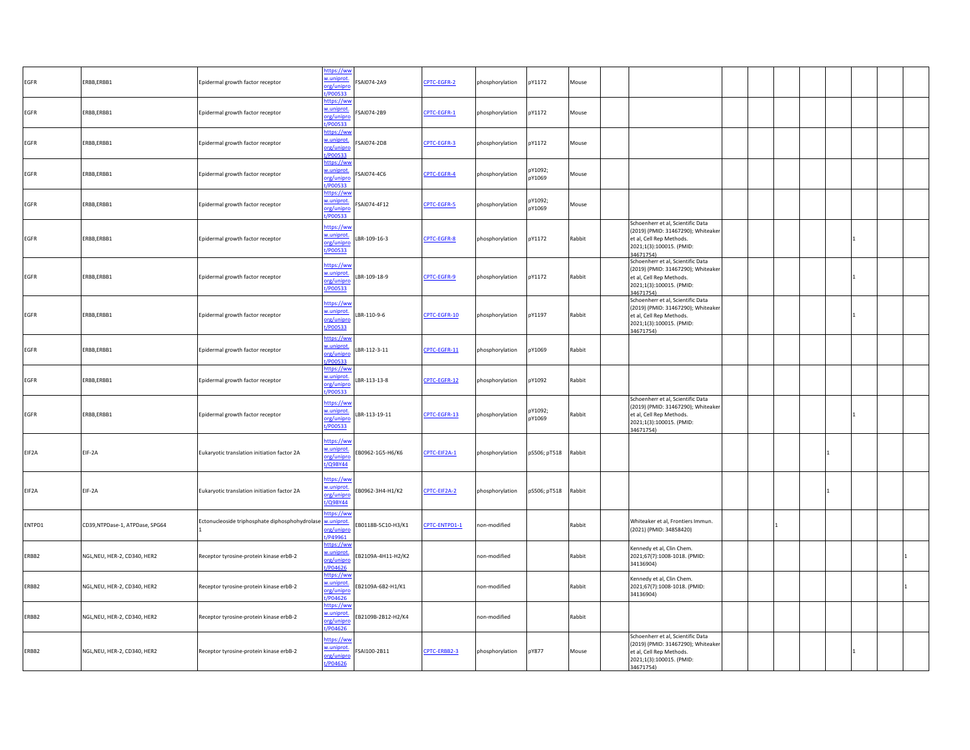| EGFR   | ERBB,ERBB1                     | Epidermal growth factor receptor               | https://ww<br>w.uniprot<br>SAI074-2A9<br>org/unipro<br>P00533          | CPTC-EGFR-2   | phosphorylation | pY1172            | Mouse  |                                                                                                                                              |  |  |  |
|--------|--------------------------------|------------------------------------------------|------------------------------------------------------------------------|---------------|-----------------|-------------------|--------|----------------------------------------------------------------------------------------------------------------------------------------------|--|--|--|
| EGFR   | ERBB,ERBB1                     | Epidermal growth factor receptor               | ttps://ww<br>w.uniprot.<br>FSAI074-2B9<br>org/unipro<br>P00533         | CPTC-EGFR-1   | phosphorylation | pY1172            | Mouse  |                                                                                                                                              |  |  |  |
| EGFR   | ERBB,ERBB1                     | Epidermal growth factor receptor               | nttps://ww<br>w.uniprot.<br>SAI074-2D8<br>org/unipro<br>/P00533        | CPTC-EGFR-3   | phosphorylation | pY1172            | Mouse  |                                                                                                                                              |  |  |  |
| EGFR   | ERBB,ERBB1                     | Epidermal growth factor receptor               | ttps://ww<br>w.uniprot.<br>FSAI074-4C6<br>org/unipro<br>/P00533        | CPTC-EGFR-4   | ohosphorylation | pY1092;<br>pY1069 | Mouse  |                                                                                                                                              |  |  |  |
| EGFR   | ERBB,ERBB1                     | Epidermal growth factor receptor               | https://wv<br>w.uniprot<br>SAI074-4F12<br>org/unipro<br>/P00533        | CPTC-EGFR-5   | phosphorylation | pY1092;<br>pY1069 | Mouse  |                                                                                                                                              |  |  |  |
| EGFR   | ERBB,ERBB1                     | Epidermal growth factor receptor               | ttps://ww<br>w.uniprot<br>LBR-109-16-3<br>org/unipro<br>/P00533        | CPTC-EGFR-8   | phosphorylation | pY1172            | Rabbit | Schoenherr et al, Scientific Data<br>(2019) (PMID: 31467290); Whiteaker<br>et al, Cell Rep Methods.<br>2021;1(3):100015. (PMID:<br>34671754) |  |  |  |
| EGFR   | ERBB,ERBB1                     | Epidermal growth factor receptor               | https://ww<br>w.uniprot<br>LBR-109-18-9<br>org/unipro<br>t/P00533      | CPTC-EGFR-9   | phosphorylation | pY1172            | Rabbit | Schoenherr et al, Scientific Data<br>(2019) (PMID: 31467290); Whiteaker<br>et al, Cell Rep Methods.<br>2021;1(3):100015. (PMID:<br>34671754) |  |  |  |
| EGFR   | ERBB,ERBB1                     | Epidermal growth factor receptor               | nttps://ww<br>w.uniprot.<br>LBR-110-9-6<br>org/unipro<br>t/P00533      | CPTC-EGFR-10  | phosphorylation | pY1197            | Rabbit | Schoenherr et al, Scientific Data<br>(2019) (PMID: 31467290); Whiteaker<br>et al, Cell Rep Methods.<br>2021;1(3):100015. (PMID:<br>34671754) |  |  |  |
| EGFR   | ERBB,ERBB1                     | Epidermal growth factor receptor               | nttps://ww<br>w.uniprot.<br>LBR-112-3-11<br>org/unipro<br>/P00533      | CPTC-EGFR-11  | phosphorylation | pY1069            | Rabbit |                                                                                                                                              |  |  |  |
| EGFR   | ERBB,ERBB1                     | Epidermal growth factor receptor               | https://ww<br>w.uniprot.<br>LBR-113-13-8<br>org/unipro<br>/P00533      | CPTC-EGFR-12  | phosphorylation | pY1092            | Rabbit |                                                                                                                                              |  |  |  |
| EGFR   | ERBB,ERBB1                     | Epidermal growth factor receptor               | https://ww<br>w.uniprot<br>LBR-113-19-11<br>org/unipro<br>/P00533      | CPTC-EGFR-13  | phosphorylation | pY1092;<br>pY1069 | Rabbit | Schoenherr et al, Scientific Data<br>(2019) (PMID: 31467290); Whiteaker<br>et al, Cell Rep Methods.<br>2021;1(3):100015. (PMID:<br>34671754) |  |  |  |
| EIF2A  | EIF-2A                         | Eukaryotic translation initiation factor 2A    | https://ww<br>w.uniprot<br>B0962-1G5-H6/K6<br>org/unipro<br>/Q9BY44    | CPTC-EIF2A-1  | phosphorylation | pS506; pT518      | Rabbit |                                                                                                                                              |  |  |  |
| EIF2A  | EIF-2A                         | Eukaryotic translation initiation factor 2A    | ttps://ww<br>v.uniprot<br>EB0962-3H4-H1/K2<br>org/unipro<br>/Q9BY44    | CPTC-EIF2A-2  | phosphorylation | pS506; pT518      | Rabbit |                                                                                                                                              |  |  |  |
| ENTPD1 | CD39,NTPDase-1, ATPDase, SPG64 | Ectonucleoside triphosphate diphosphohydrolase | ttps://wv<br>w.uniprot<br>B0118B-5C10-H3/K1<br>rg/unipro<br>P49961     | CPTC-ENTPD1-1 | non-modified    |                   | Rabbit | Whiteaker et al, Frontiers Immun.<br>(2021) (PMID: 34858420)                                                                                 |  |  |  |
| ERBB2  | NGL, NEU, HER-2, CD340, HER2   | Receptor tyrosine-protein kinase erbB-2        | ttps://wv<br>v.uniprot<br>EB2109A-4H11-H2/K2<br>org/unipre<br>/P04626  |               | non-modified    |                   | Rabbit | Kennedy et al, Clin Chem.<br>2021;67(7):1008-1018. (PMID:<br>34136904)                                                                       |  |  |  |
| ERBB2  | NGL, NEU, HER-2, CD340, HER2   | Receptor tyrosine-protein kinase erbB-2        | https://wv<br>w.uniprot<br>B2109A-6B2-H1/K1<br>org/unipro<br>P04626    |               | non-modified    |                   | Rabbit | Kennedy et al, Clin Chem.<br>2021;67(7):1008-1018. (PMID:<br>34136904)                                                                       |  |  |  |
| ERBB2  | NGL, NEU, HER-2, CD340, HER2   | Receptor tyrosine-protein kinase erbB-2        | ttps://ww<br>w.uniprot.<br>EB2109B-2B12-H2/K4<br>org/unipro<br>/P04626 |               | non-modified    |                   | Rabbit |                                                                                                                                              |  |  |  |
| ERBB2  | NGL, NEU, HER-2, CD340, HER2   | Receptor tyrosine-protein kinase erbB-2        | nttps://ww<br>w.uniprot<br>SAI100-2B11<br>org/unipre<br>P04626         | CPTC-ERBB2-3  | phosphorylation | pY877             | Mouse  | Schoenherr et al, Scientific Data<br>(2019) (PMID: 31467290); Whiteaker<br>et al, Cell Rep Methods.<br>2021;1(3):100015. (PMID:<br>34671754) |  |  |  |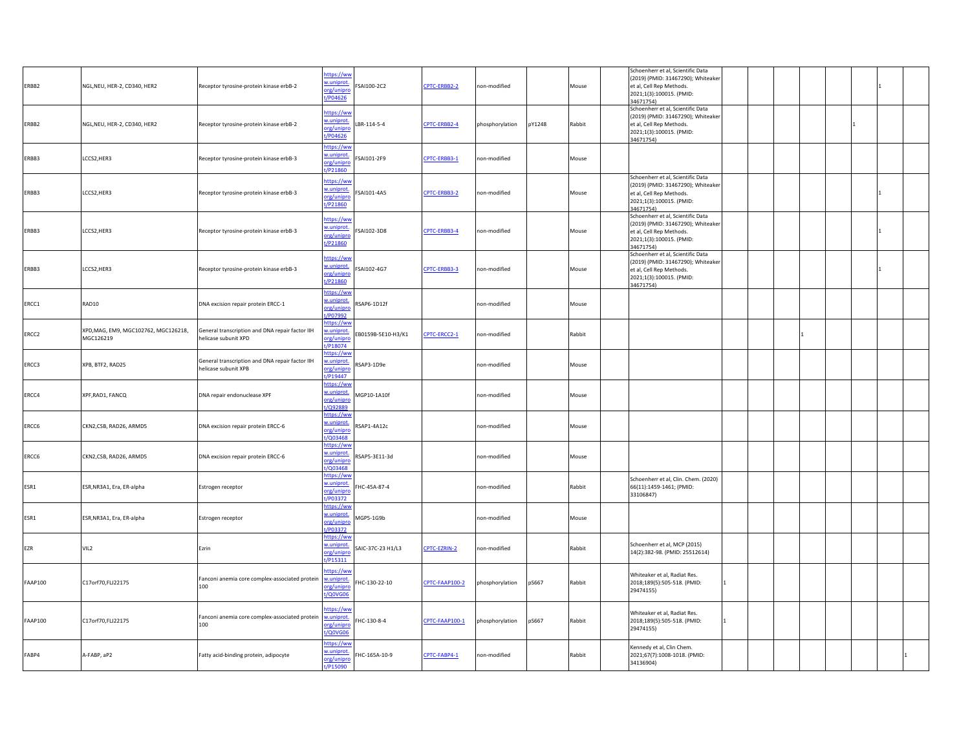| ERBB2          | NGL, NEU, HER-2, CD340, HER2                      | Receptor tyrosine-protein kinase erbB-2                                 | https://ww<br>w.uniprot.<br>org/unipro<br>t/P04626 | SAI100-2C2         | CPTC-ERBB2-2   | non-modified    |        | Mouse  | Schoenherr et al, Scientific Data<br>(2019) (PMID: 31467290); Whiteaker<br>et al, Cell Rep Methods.<br>2021;1(3):100015. (PMID:<br>34671754) |                |  |  |
|----------------|---------------------------------------------------|-------------------------------------------------------------------------|----------------------------------------------------|--------------------|----------------|-----------------|--------|--------|----------------------------------------------------------------------------------------------------------------------------------------------|----------------|--|--|
| ERBB2          | NGL, NEU, HER-2, CD340, HER2                      | Receptor tyrosine-protein kinase erbB-2                                 | nttps://ww<br>w.uniprot.<br>org/unipro<br>t/P04626 | LBR-114-5-4        | CPTC-ERBB2-4   | phosphorylation | pY1248 | Rabbit | Schoenherr et al, Scientific Data<br>(2019) (PMID: 31467290); Whiteaker<br>et al, Cell Rep Methods.<br>2021;1(3):100015. (PMID:<br>34671754) |                |  |  |
| ERBB3          | LCCS2, HER3                                       | Receptor tyrosine-protein kinase erbB-3                                 | https://ww<br>w.uniprot.<br>org/unipro<br>yP21860  | FSAI101-2F9        | CPTC-ERBB3-1   | non-modified    |        | Mouse  |                                                                                                                                              |                |  |  |
| ERBB3          | LCCS2, HER3                                       | Receptor tyrosine-protein kinase erbB-3                                 | https://ww<br>w.uniprot.<br>org/unipro<br>t/P21860 | FSAI101-4A5        | CPTC-ERBB3-2   | non-modified    |        | Mouse  | Schoenherr et al, Scientific Data<br>(2019) (PMID: 31467290); Whiteaker<br>et al, Cell Rep Methods.<br>2021;1(3):100015. (PMID:<br>34671754) |                |  |  |
| ERBB3          | LCCS2, HER3                                       | Receptor tyrosine-protein kinase erbB-3                                 | https://ww<br>w.uniprot.<br>org/unipro<br>t/P21860 | FSAI102-3D8        | CPTC-ERBB3-4   | non-modified    |        | Mouse  | Schoenherr et al, Scientific Data<br>(2019) (PMID: 31467290); Whiteaker<br>et al, Cell Rep Methods.<br>2021;1(3):100015. (PMID:<br>34671754) |                |  |  |
| ERBB3          | LCCS2, HER3                                       | Receptor tyrosine-protein kinase erbB-3                                 | https://ww<br>w.uniprot.<br>org/unipro<br>t/P21860 | SAI102-4G7         | CPTC-ERBB3-3   | non-modified    |        | Mouse  | Schoenherr et al, Scientific Data<br>(2019) (PMID: 31467290); Whiteaker<br>et al, Cell Rep Methods.<br>2021;1(3):100015. (PMID:<br>34671754) |                |  |  |
| ERCC1          | RAD10                                             | DNA excision repair protein ERCC-1                                      | https://ww<br>w.uniprot.<br>org/unipro<br>/P07992  | 3SAP6-1D12f        |                | non-modified    |        | Mouse  |                                                                                                                                              |                |  |  |
| ERCC2          | XPD, MAG, EM9, MGC102762, MGC126218,<br>MGC126219 | General transcription and DNA repair factor IIH<br>helicase subunit XPD | ttps://ww<br>w.uniprot.<br>org/unipro<br>t/P18074  | EB0159B-5E10-H3/K1 | CPTC-ERCC2-1   | non-modified    |        | Rabbit |                                                                                                                                              |                |  |  |
| ERCC3          | XPB, BTF2, RAD25                                  | General transcription and DNA repair factor IIH<br>helicase subunit XPB | https://ww<br>w.uniprot.<br>org/unipro<br>t/P19447 | SAP3-1D9e          |                | non-modified    |        | Mouse  |                                                                                                                                              |                |  |  |
| ERCC4          | XPF, RAD1, FANCQ                                  | DNA repair endonuclease XPF                                             | https://ww<br>w.uniprot.<br>org/unipro<br>t/Q92889 | MGP10-1A10f        |                | non-modified    |        | Mouse  |                                                                                                                                              |                |  |  |
| ERCC6          | CKN2,CSB, RAD26, ARMD5                            | DNA excision repair protein ERCC-6                                      | https://ww<br>w.uniprot.<br>org/unipro<br>/Q03468  | RSAP1-4A12c        |                | non-modified    |        | Mouse  |                                                                                                                                              |                |  |  |
| ERCC6          | CKN2,CSB, RAD26, ARMD5                            | DNA excision repair protein ERCC-6                                      | https://ww<br>w.uniprot.<br>org/unipro<br>t/Q03468 | RSAP5-3E11-3d      |                | non-modified    |        | Mouse  |                                                                                                                                              |                |  |  |
| ESR1           | ESR, NR3A1, Era, ER-alpha                         | Estrogen receptor                                                       | https://ww<br>w.uniprot.<br>org/unipro<br>t/P03372 | FHC-45A-87-4       |                | non-modified    |        | Rabbit | Schoenherr et al, Clin. Chem. (2020)<br>66(11):1459-1461; (PMID:<br>33106847)                                                                |                |  |  |
| ESR1           | ESR, NR3A1, Era, ER-alpha                         | Estrogen receptor                                                       | https://ww<br>w.uniprot.<br>org/unipro<br>/P03372  | MGP5-1G9b          |                | non-modified    |        | Mouse  |                                                                                                                                              |                |  |  |
| EZR            | VIL <sub>2</sub>                                  | Ezrin                                                                   | https://ww<br>w.uniprot.<br>org/unipro<br>t/P15311 | SAIC-37C-23 H1/L3  | CPTC-EZRIN-2   | non-modified    |        | Rabbit | Schoenherr et al, MCP (2015)<br>14(2):382-98. (PMID: 25512614)                                                                               |                |  |  |
| <b>FAAP100</b> | C17orf70,FLJ22175                                 | Fanconi anemia core complex-associated protein w.uniprot.<br>100        | https://ww<br>org/unipro<br>t/Q0VG06               | HC-130-22-10       | CPTC-FAAP100-2 | phosphorylation | pS667  | Rabbit | Whiteaker et al, Radiat Res.<br>2018;189(5):505-518. (PMID:<br>29474155)                                                                     | 1              |  |  |
| <b>FAAP100</b> | C17orf70,FLJ22175                                 | Fanconi anemia core complex-associated protein<br>100                   | ittps://ww<br>w.uniprot.<br>org/unipro<br>t/Q0VG06 | HC-130-8-4         | CPTC-FAAP100-1 | phosphorylation | pS667  | Rabbit | Whiteaker et al, Radiat Res.<br>2018;189(5):505-518. (PMID:<br>29474155)                                                                     | $\blacksquare$ |  |  |
| FABP4          | A-FABP, aP2                                       | Fatty acid-binding protein, adipocyte                                   | https://ww<br>w.uniprot.<br>org/unipro<br>VP15090  | FHC-165A-10-9      | CPTC-FABP4-1   | non-modified    |        | Rabbit | Kennedy et al, Clin Chem.<br>2021;67(7):1008-1018. (PMID:<br>34136904)                                                                       |                |  |  |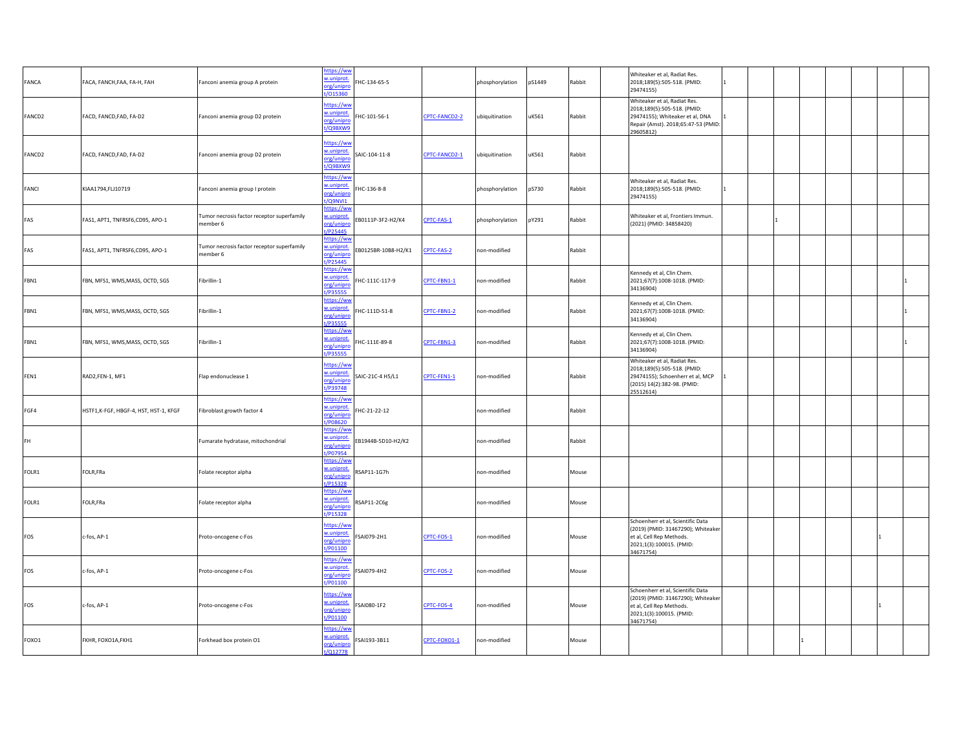| FANCA  | FACA, FANCH, FAA, FA-H, FAH           | Fanconi anemia group A protein                         | https://ww<br>w.uniprot<br>org/unipro<br>/015360         | HC-134-65-5        |               | phosphorylation | pS1449 | Rabbit | Whiteaker et al, Radiat Res.<br>2018;189(5):505-518. (PMID:<br>29474155)                                                                           |   |  |  |  |
|--------|---------------------------------------|--------------------------------------------------------|----------------------------------------------------------|--------------------|---------------|-----------------|--------|--------|----------------------------------------------------------------------------------------------------------------------------------------------------|---|--|--|--|
| FANCD2 | FACD, FANCD, FAD, FA-D2               | Fanconi anemia group D2 protein                        | https://ww<br>w.uniprot<br>org/unipro<br>t/Q9BXW9        | HC-101-56-1        | CPTC-FANCD2-2 | ubiquitination  | uK561  | Rabbit | Whiteaker et al, Radiat Res.<br>2018;189(5):505-518. (PMID:<br>29474155); Whiteaker et al, DNA<br>Repair (Amst). 2018;65:47-53 (PMID:<br>29605812) |   |  |  |  |
| FANCD2 | FACD, FANCD, FAD, FA-D2               | Fanconi anemia group D2 protein                        | ittps://wv<br>w.uniprot<br>org/unipro<br>/Q9BXW9         | AIC-104-11-8       | CPTC-FANCD2-1 | ubiquitination  | uK561  | Rabbit |                                                                                                                                                    |   |  |  |  |
| FANCI  | KIAA1794,FLJ10719                     | Fanconi anemia group I protein                         | https://ww<br>w.uniprot.<br>org/unipro<br>t/Q9NVI1       | HC-136-8-8         |               | phosphorylation | pS730  | Rabbit | Whiteaker et al, Radiat Res.<br>2018;189(5):505-518. (PMID:<br>29474155)                                                                           | 1 |  |  |  |
| FAS    | FAS1, APT1, TNFRSF6,CD95, APO-1       | Tumor necrosis factor receptor superfamily<br>member 6 | https://ww<br>w.uniprot<br>org/unipro<br>P25445          | B0111P-3F2-H2/K4   | CPTC-FAS-1    | phosphorylation | pY291  | Rabbit | Whiteaker et al, Frontiers Immun.<br>(2021) (PMID: 34858420)                                                                                       |   |  |  |  |
| FAS    | FAS1, APT1, TNFRSF6,CD95, APO-1       | Tumor necrosis factor receptor superfamily<br>member 6 | nttps://ww<br>w.uniprot<br>org/unipro<br>P25445          | B0125BR-10B8-H2/K1 | PTC-FAS-2     | non-modified    |        | Rabbit |                                                                                                                                                    |   |  |  |  |
| FBN1   | FBN, MFS1, WMS, MASS, OCTD, SGS       | Fibrillin-1                                            | https://ww<br>w.uniprot<br>org/unipro<br><u>t/P35555</u> | HC-111C-117-9      | CPTC-FBN1-1   | non-modified    |        | Rabbit | Kennedy et al, Clin Chem.<br>2021;67(7):1008-1018. (PMID:<br>34136904)                                                                             |   |  |  |  |
| FBN1   | FBN, MFS1, WMS,MASS, OCTD, SGS        | Fibrillin-1                                            | https://wv<br>w.uniprot<br>org/unipre<br>t/P35555        | HC-111D-51-8       | CPTC-FBN1-2   | non-modified    |        | Rabbit | Kennedy et al, Clin Chem.<br>2021;67(7):1008-1018. (PMID:<br>34136904)                                                                             |   |  |  |  |
| FBN1   | FBN, MFS1, WMS, MASS, OCTD, SGS       | Fibrillin-1                                            | https://ww<br>w.uniprot<br>org/unipro<br>/P35555         | HC-111E-89-8       | CPTC-FBN1-3   | non-modified    |        | Rabbit | Kennedy et al, Clin Chem.<br>2021;67(7):1008-1018. (PMID:<br>34136904)                                                                             |   |  |  |  |
| FEN1   | RAD2,FEN-1, MF1                       | Flap endonuclease 1                                    | https://ww<br>w.uniprot<br>org/unipre<br>t/P39748        | SAIC-21C-4 H5/L1   | CPTC-FEN1-1   | non-modified    |        | Rabbit | Whiteaker et al, Radiat Res.<br>2018;189(5):505-518. (PMID:<br>29474155); Schoenherr et al, MCP<br>(2015) 14(2):382-98. (PMID:<br>25512614)        | 1 |  |  |  |
| FGF4   | HSTF1,K-FGF, HBGF-4, HST, HST-1, KFGF | Fibroblast growth factor 4                             | https://ww<br>w.uniprot<br>org/unipro<br>108620          | HC-21-22-12        |               | non-modified    |        | Rabbit |                                                                                                                                                    |   |  |  |  |
| FH     |                                       | Fumarate hydratase, mitochondrial                      | https://ww<br>w.uniprot<br>org/unipre<br>t/P07954        | B1944B-5D10-H2/K2  |               | non-modified    |        | Rabbit |                                                                                                                                                    |   |  |  |  |
| FOLR1  | FOLR, FRa                             | Folate receptor alpha                                  | https://ww<br>w.uniprot.<br>org/unipro<br>P15328         | 3AP11-1G7h         |               | non-modified    |        | Mouse  |                                                                                                                                                    |   |  |  |  |
| FOLR1  | FOLR, FRa                             | Folate receptor alpha                                  | https://wv<br>w.uniprot<br>org/unipro<br>/P15328         | RSAP11-2C6g        |               | non-modified    |        | Mouse  |                                                                                                                                                    |   |  |  |  |
| FOS    | c-fos, AP-1                           | Proto-oncogene c-Fos                                   | https://ww<br>w.uniprot.<br>org/unipro<br>t/P01100       | SAI079-2H1         | CPTC-FOS-1    | non-modified    |        | Mouse  | Schoenherr et al, Scientific Data<br>(2019) (PMID: 31467290); Whiteaker<br>et al, Cell Rep Methods.<br>2021;1(3):100015. (PMID:<br>34671754)       |   |  |  |  |
| FOS    | c-fos, AP-1                           | Proto-oncogene c-Fos                                   | https://ww<br>w.uniprot<br>org/unipro<br>/P01100         | SAI079-4H2         | CPTC-FOS-2    | non-modified    |        | Mouse  |                                                                                                                                                    |   |  |  |  |
| FOS    | c-fos, AP-1                           | Proto-oncogene c-Fos                                   | https://ww<br>w.uniprot<br>org/unipro<br>t/P01100        | SAI080-1F2         | CPTC-FOS-4    | non-modified    |        | Mouse  | Schoenherr et al, Scientific Data<br>(2019) (PMID: 31467290); Whiteaker<br>et al, Cell Rep Methods.<br>2021;1(3):100015. (PMID:<br>34671754)       |   |  |  |  |
| FOXO1  | FKHR, FOXO1A, FKH1                    | Forkhead box protein O1                                | https://ww<br>w.uniprot<br>org/unipro<br>012778          | SAI193-3B11        | CPTC-FOXO1-1  | non-modified    |        | Mouse  |                                                                                                                                                    |   |  |  |  |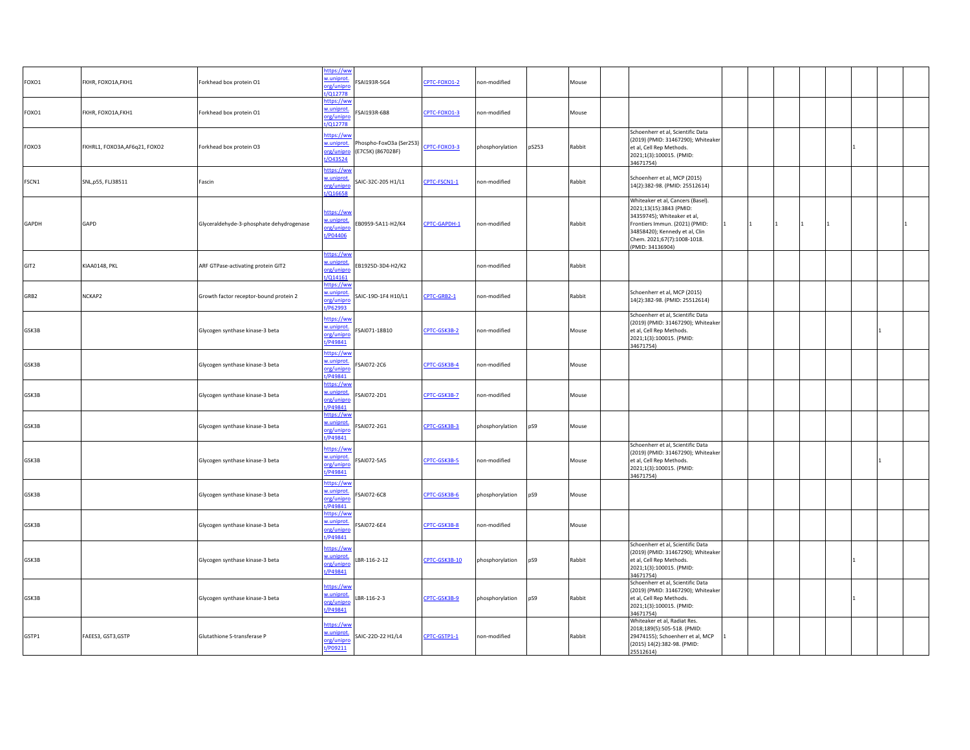| FOXO1 | FKHR, FOXO1A, FKH1            | Forkhead box protein O1                  | https://ww<br>w.uniprot<br>org/unipro<br>:/Q12778      | SAI193R-5G4                                | CPTC-FOXO1-2  | non-modified             | Mouse  |                                                                                                                                                                                                                    |        |  |  |  |
|-------|-------------------------------|------------------------------------------|--------------------------------------------------------|--------------------------------------------|---------------|--------------------------|--------|--------------------------------------------------------------------------------------------------------------------------------------------------------------------------------------------------------------------|--------|--|--|--|
| FOXO1 | FKHR, FOXO1A, FKH1            | Forkhead box protein O1                  | https://ww<br>w.uniprot<br>org/unipro<br>/Q12778       | SAI193R-6B8                                | CPTC-FOXO1-3  | non-modified             | Mouse  |                                                                                                                                                                                                                    |        |  |  |  |
| FOXO3 | FKHRL1, FOXO3A, AF6q21, FOXO2 | Forkhead box protein O3                  | ittps://wv<br>w.uniprot.<br>org/unipro<br>t/043524     | hospho-FoxO3a (Ser253)<br>E7C5K) (86702BF) | CPTC-FOXO3-3  | phosphorylation<br>pS253 | Rabbit | Schoenherr et al, Scientific Data<br>(2019) (PMID: 31467290); Whiteaker<br>et al, Cell Rep Methods.<br>2021;1(3):100015. (PMID:<br>34671754)                                                                       |        |  |  |  |
| FSCN1 | SNL, p55, FLJ38511            | Fascin                                   | https://wv<br>w.uniprot.<br>org/unipro<br>t/Q16658     | SAIC-32C-205 H1/L1                         | CPTC-FSCN1-1  | non-modified             | Rabbit | Schoenherr et al, MCP (2015)<br>14(2):382-98. (PMID: 25512614)                                                                                                                                                     |        |  |  |  |
| GAPDH | GAPD                          | Glyceraldehyde-3-phosphate dehydrogenase | https://ww<br>w.uniprot<br>org/unipro<br>t/P04406      | B0959-5A11-H2/K4                           | CPTC-GAPDH-1  | non-modified             | Rabbit | Whiteaker et al, Cancers (Basel).<br>2021;13(15):3843 (PMID:<br>34359745); Whiteaker et al,<br>Frontiers Immun. (2021) (PMID:<br>34858420); Kennedy et al, Clin<br>Chem. 2021;67(7):1008-1018.<br>(PMID: 34136904) | 1<br>1 |  |  |  |
| GIT2  | KIAA0148, PKL                 | ARF GTPase-activating protein GIT2       | https://ww<br>w.uniprot<br>org/unipre<br>$1/Q$ 14161   | B1925D-3D4-H2/K2                           |               | non-modified             | Rabbit |                                                                                                                                                                                                                    |        |  |  |  |
| GRB2  | NCKAP2                        | Growth factor receptor-bound protein 2   | https://wv<br>w.uniprot.<br>org/unipro<br>/P62993      | SAIC-19D-1F4 H10/L1                        | CPTC-GRB2-1   | non-modified             | Rabbit | Schoenherr et al, MCP (2015)<br>14(2):382-98. (PMID: 25512614)                                                                                                                                                     |        |  |  |  |
| GSK3B |                               | Glycogen synthase kinase-3 beta          | https://ww<br>w.uniprot.<br>org/unipro<br>t/P49841     | SAI071-18B10                               | CPTC-GSK3B-2  | non-modified             | Mouse  | Schoenherr et al, Scientific Data<br>(2019) (PMID: 31467290); Whiteaker<br>et al, Cell Rep Methods.<br>2021;1(3):100015. (PMID:<br>34671754)                                                                       |        |  |  |  |
| GSK3B |                               | Glycogen synthase kinase-3 beta          | <u>https://ww</u><br>w.uniprot<br>org/unipro<br>P49841 | SAI072-2C6                                 | CPTC-GSK3B-4  | non-modified             | Mouse  |                                                                                                                                                                                                                    |        |  |  |  |
| GSK3B |                               | Glycogen synthase kinase-3 beta          | https://ww<br>w.uniprot.<br>org/unipre<br>t/P49841     | SAI072-2D1                                 | CPTC-GSK3B-7  | non-modified             | Mouse  |                                                                                                                                                                                                                    |        |  |  |  |
| GSK3B |                               | Glycogen synthase kinase-3 beta          | https://ww<br>w.uniprot.<br>org/unipro<br>t/P49841     | SAI072-2G1                                 | CPTC-GSK3B-3  | phosphorylation<br>pS9   | Mouse  |                                                                                                                                                                                                                    |        |  |  |  |
| GSK3B |                               | Glycogen synthase kinase-3 beta          | https://ww<br>w.uniprot.<br>org/unipro<br>t/P49841     | SAI072-5A5                                 | CPTC-GSK3B-5  | non-modified             | Mouse  | Schoenherr et al, Scientific Data<br>(2019) (PMID: 31467290); Whiteaker<br>et al, Cell Rep Methods.<br>2021;1(3):100015. (PMID:<br>34671754)                                                                       |        |  |  |  |
| GSK3B |                               | Glycogen synthase kinase-3 beta          | https://ww<br>w.uniprot.<br>org/unipro<br>/P49841      | SAI072-6C8                                 | CPTC-GSK3B-6  | phosphorylation<br>pS9   | Mouse  |                                                                                                                                                                                                                    |        |  |  |  |
| GSK3B |                               | Glycogen synthase kinase-3 beta          | nttps://ww<br>w.uniprot.<br>org/unipro<br>t/P49841     | SAI072-6E4                                 | CPTC-GSK3B-8  | on-modified              | Mouse  |                                                                                                                                                                                                                    |        |  |  |  |
| GSK3B |                               | Glycogen synthase kinase-3 beta          | https://ww<br>w.uniprot<br>org/unipro<br>t/P49841      | BR-116-2-12                                | CPTC-GSK3B-10 | phosphorylation<br>pS9   | Rabbit | Schoenherr et al, Scientific Data<br>(2019) (PMID: 31467290); Whiteaker<br>et al, Cell Rep Methods.<br>2021;1(3):100015. (PMID:<br>34671754)                                                                       |        |  |  |  |
| GSK3B |                               | Glycogen synthase kinase-3 beta          | https://ww<br>w.uniprot.<br>org/unipro<br>t/P49841     | BR-116-2-3                                 | CPTC-GSK3B-9  | phosphorylation<br>pS9   | Rabbit | Schoenherr et al, Scientific Data<br>(2019) (PMID: 31467290); Whiteaker<br>et al, Cell Rep Methods.<br>2021;1(3):100015. (PMID:<br>34671754)                                                                       |        |  |  |  |
| GSTP1 | FAEES3, GST3, GSTP            | Glutathione S-transferase P              | ittps://wv<br>w.uniprot<br>org/unipro<br>t/P09211      | SAIC-22D-22 H1/L4                          | CPTC-GSTP1-1  | non-modified             | Rabbit | Whiteaker et al, Radiat Res.<br>2018;189(5):505-518. (PMID:<br>29474155); Schoenherr et al, MCP<br>(2015) 14(2):382-98. (PMID:<br>25512614)                                                                        | 11     |  |  |  |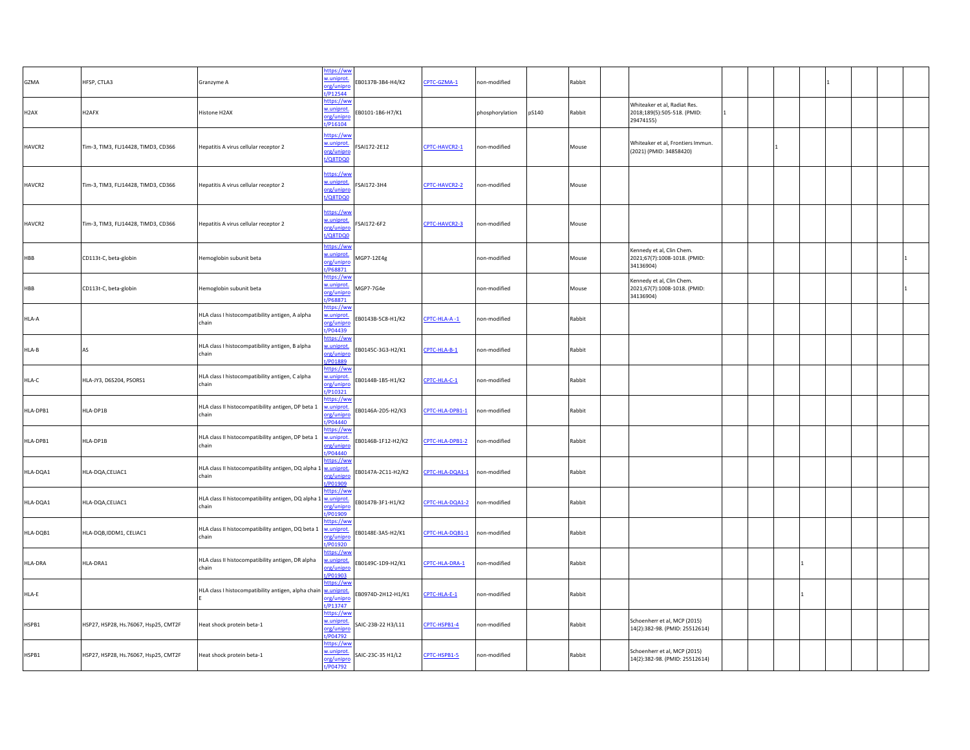| GZMA              | HFSP, CTLA3                          | Granzyme A                                                              | https://ww<br>w.uniprot.<br>org/unipro<br>t/P12544        | EB0137B-3B4-H4/K2  | CPTC-GZMA-1     | non-modified    |       | Rabbit |                                                                          |  |  |  |
|-------------------|--------------------------------------|-------------------------------------------------------------------------|-----------------------------------------------------------|--------------------|-----------------|-----------------|-------|--------|--------------------------------------------------------------------------|--|--|--|
| H <sub>2</sub> AX | H <sub>2</sub> AFX                   | Histone H2AX                                                            | https://ww<br>w.uniprot.<br>org/unipro<br>P16104          | EB0101-1B6-H7/K1   |                 | phosphorylation | pS140 | Rabbit | Whiteaker et al, Radiat Res.<br>2018;189(5):505-518. (PMID:<br>29474155) |  |  |  |
| HAVCR2            | Tim-3, TIM3, FLJ14428, TIMD3, CD366  | Hepatitis A virus cellular receptor 2                                   | https://ww<br>w.uniprot.<br>org/unipro<br>t/Q8TDQ0        | SAI172-2E12        | CPTC-HAVCR2-1   | non-modified    |       | Mouse  | Whiteaker et al, Frontiers Immun.<br>(2021) (PMID: 34858420)             |  |  |  |
| HAVCR2            | Tim-3, TIM3, FLJ14428, TIMD3, CD366  | Hepatitis A virus cellular receptor 2                                   | https://ww<br>w.uniprot.<br>org/unipro<br>t/Q8TDQ0        | SAI172-3H4         | CPTC-HAVCR2-2   | non-modified    |       | Mouse  |                                                                          |  |  |  |
| HAVCR2            | Tim-3, TIM3, FLJ14428, TIMD3, CD366  | Hepatitis A virus cellular receptor 2                                   | https://ww<br>w.uniprot.<br>org/unipro<br>t/Q8TDQ0        | FSAI172-6F2        | CPTC-HAVCR2-3   | non-modified    |       | Mouse  |                                                                          |  |  |  |
| HBB               | CD113t-C, beta-globin                | Hemoglobin subunit beta                                                 | https://ww<br>w.uniprot.<br>org/unipro<br>t/P68871        | MGP7-12E4g         |                 | non-modified    |       | Mouse  | Kennedy et al, Clin Chem.<br>2021;67(7):1008-1018. (PMID:<br>34136904)   |  |  |  |
| HBB               | CD113t-C, beta-globin                | Hemoglobin subunit beta                                                 | https://ww<br>w.uniprot.<br>org/unipro<br>t/P68871        | MGP7-7G4e          |                 | non-modified    |       | Mouse  | Kennedy et al, Clin Chem.<br>2021;67(7):1008-1018. (PMID:<br>34136904)   |  |  |  |
| HLA-A             |                                      | HLA class I histocompatibility antigen, A alpha<br>chain                | https://ww<br>w.uniprot.<br>org/unipro<br>t/P04439        | EB0143B-5C8-H1/K2  | CPTC-HLA-A-1    | non-modified    |       | Rabbit |                                                                          |  |  |  |
| HLA-B             | AS                                   | HLA class I histocompatibility antigen, B alpha<br>chain                | https://ww<br>w.uniprot.<br>org/unipro<br>t/P01889        | EB0145C-3G3-H2/K1  | CPTC-HLA-B-1    | non-modified    |       | Rabbit |                                                                          |  |  |  |
| HLA-C             | HLA-JY3, D6S204, PSORS1              | HLA class I histocompatibility antigen, C alpha<br>chain                | <u>https://ww</u><br>w.uniprot.<br>org/unipro<br>t/P10321 | EB0144B-1B5-H1/K2  | CPTC-HLA-C-1    | non-modified    |       | Rabbit |                                                                          |  |  |  |
| HLA-DPB1          | HLA-DP1B                             | HLA class II histocompatibility antigen, DP beta 1<br>chain             | nttps://wv<br>w.uniprot.<br>org/unipro<br>t/P04440        | EB0146A-2D5-H2/K3  | CPTC-HLA-DPB1-1 | non-modified    |       | Rabbit |                                                                          |  |  |  |
| HLA-DPB1          | HLA-DP1B                             | HLA class II histocompatibility antigen, DP beta 1<br>chain             | https://ww<br>w.uniprot.<br>org/unipro<br>t/P04440        | EB0146B-1F12-H2/K2 | CPTC-HLA-DPB1-2 | non-modified    |       | Rabbit |                                                                          |  |  |  |
| HLA-DQA1          | HLA-DQA,CELIAC1                      | HLA class II histocompatibility antigen, DQ alpha 1 w.uniprot.<br>chain | https://ww<br>org/unipro<br>/P01909                       | EB0147A-2C11-H2/K2 | CPTC-HLA-DQA1-1 | non-modified    |       | Rabbit |                                                                          |  |  |  |
| HLA-DQA1          | HLA-DQA,CELIAC1                      | HLA class II histocompatibility antigen, DQ alpha 1 w.uniprot.<br>chain | nttps://ww<br>org/unipro<br>t/P01909                      | EB0147B-3F1-H1/K2  | CPTC-HLA-DQA1-2 | non-modified    |       | Rabbit |                                                                          |  |  |  |
| HLA-DQB1          | HLA-DQB,IDDM1, CELIAC1               | HLA class II histocompatibility antigen, DQ beta 1<br>chain             | https://ww<br>w.uniprot.<br>org/unipro<br>t/P01920        | EB0148E-3A5-H2/K1  | CPTC-HLA-DQB1-1 | non-modified    |       | Rabbit |                                                                          |  |  |  |
| HLA-DRA           | HLA-DRA1                             | HLA class II histocompatibility antigen, DR alpha<br>chain              | nttps://ww<br>w.uniprot.<br>org/unipro<br>t/P01903        | B0149C-1D9-H2/K1   | CPTC-HLA-DRA-1  | non-modified    |       | Rabbit |                                                                          |  |  |  |
| HLA-E             |                                      | HLA class I histocompatibility antigen, alpha chain wuniprot.           | https://ww<br>org/unipro<br>t/P13747                      | B0974D-2H12-H1/K1  | CPTC-HLA-E-1    | non-modified    |       | Rabbit |                                                                          |  |  |  |
| HSPB1             | HSP27, HSP28, Hs.76067, Hsp25, CMT2F | Heat shock protein beta-1                                               | https://ww<br>w.uniprot.<br>org/unipro<br>t/P04792        | SAIC-23B-22 H3/L11 | CPTC-HSPB1-4    | non-modified    |       | Rabbit | Schoenherr et al, MCP (2015)<br>14(2):382-98. (PMID: 25512614)           |  |  |  |
| HSPB1             | HSP27, HSP28, Hs.76067, Hsp25, CMT2F | Heat shock protein beta-1                                               | https://ww<br>w.uniprot.<br>org/unipro<br>t/P04792        | SAIC-23C-35 H1/L2  | CPTC-HSPB1-5    | non-modified    |       | Rabbit | Schoenherr et al, MCP (2015)<br>14(2):382-98. (PMID: 25512614)           |  |  |  |
|                   |                                      |                                                                         |                                                           |                    |                 |                 |       |        |                                                                          |  |  |  |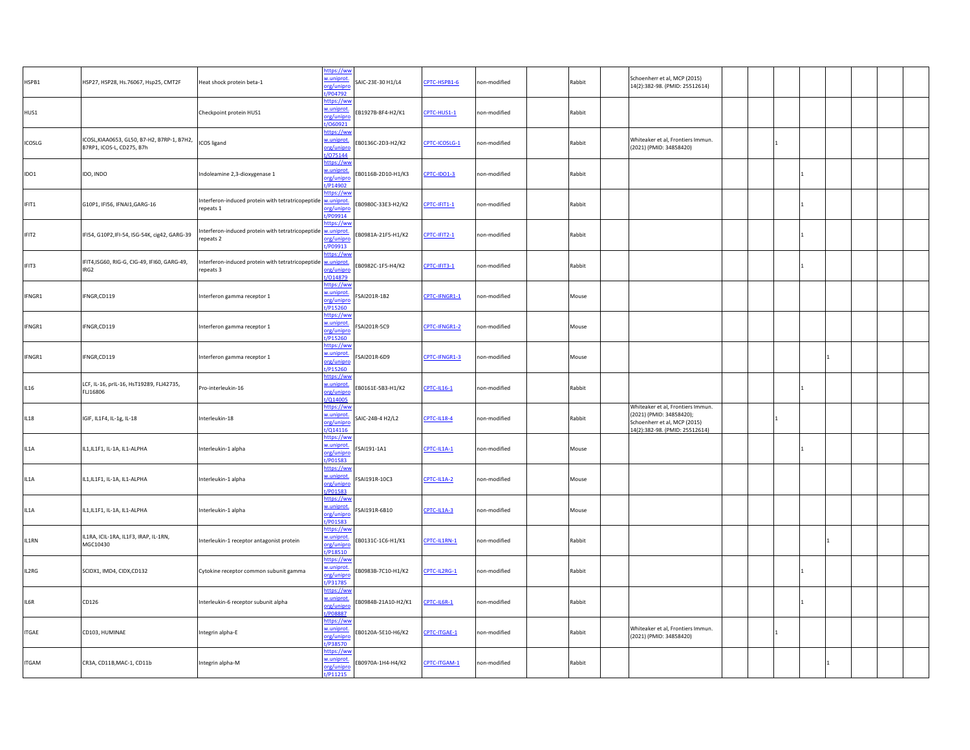| HSPB1         | HSP27, HSP28, Hs.76067, Hsp25, CMT2F                                     | Heat shock protein beta-1                                                      | nttps://ww<br>w.uniprot.<br>org/unipro<br>P04792   | SAIC-23E-30 H1/L4  | CPTC-HSPB1-6       | non-modified | Rabbit | Schoenherr et al, MCP (2015)<br>14(2):382-98. (PMID: 25512614)                                                                  |  |   |  |
|---------------|--------------------------------------------------------------------------|--------------------------------------------------------------------------------|----------------------------------------------------|--------------------|--------------------|--------------|--------|---------------------------------------------------------------------------------------------------------------------------------|--|---|--|
| HUS1          |                                                                          | Checkpoint protein HUS1                                                        | https://wv<br>w.uniprot.<br>org/unipro<br>/060921  | EB1927B-8F4-H2/K1  | CPTC-HUS1-1        | non-modified | Rabbit |                                                                                                                                 |  |   |  |
| <b>ICOSLG</b> | ICOSL, KIAA0653, GL50, B7-H2, B7RP-1, B7H2,<br>B7RP1, ICOS-L, CD275, B7h | <b>ICOS</b> ligand                                                             | https://wv<br>w.uniprot.<br>org/unipro<br>t/075144 | EB0136C-2D3-H2/K2  | CPTC-ICOSLG-1      | non-modified | Rabbit | Whiteaker et al, Frontiers Immun.<br>(2021) (PMID: 34858420)                                                                    |  |   |  |
| IDO1          | IDO, INDO                                                                | Indoleamine 2,3-dioxygenase 1                                                  | https://ww<br>w.uniprot.<br>org/unipro<br>t/P14902 | EB0116B-2D10-H1/K3 | CPTC-IDO1-3        | non-modified | Rabbit |                                                                                                                                 |  |   |  |
| IFIT1         | G10P1, IFI56, IFNAI1, GARG-16                                            | Interferon-induced protein with tetratricopeptide <b>warehout</b><br>repeats 1 | nttps://wv<br>org/unipre<br>/P09914                | B0980C-33E3-H2/K2  | CPTC-IFIT1-1       | non-modified | Rabbit |                                                                                                                                 |  |   |  |
| IFIT2         | IFI54, G10P2, IFI-54, ISG-54K, cig42, GARG-39                            | Interferon-induced protein with tetratricopeptide w.uniprot.<br>repeats 2      | https://ww<br>org/unipro<br>/P09913                | B0981A-21F5-H1/K2  | CPTC-IFIT2-1       | non-modified | Rabbit |                                                                                                                                 |  |   |  |
| IFIT3         | IFIT4, ISG60, RIG-G, CIG-49, IFI60, GARG-49,<br>IRG2                     | Interferon-induced protein with tetratricopeptide w.uniprot<br>epeats 3        | nttps://ww<br>org/unipro<br>/014879                | B0982C-1F5-H4/K2   | CPTC-IFIT3-1       | on-modified  | Rabbit |                                                                                                                                 |  |   |  |
| IFNGR1        | IFNGR,CD119                                                              | Interferon gamma receptor 1                                                    | https://ww<br>w.uniprot.<br>org/unipro<br>P15260   | SAI201R-1B2        | CPTC-IFNGR1-1      | non-modified | Mouse  |                                                                                                                                 |  |   |  |
| IFNGR1        | IFNGR,CD119                                                              | Interferon gamma receptor 1                                                    | https://ww<br>w.uniprot.<br>org/unipre<br>t/P15260 | FSAI201R-5C9       | CPTC-IFNGR1-2      | non-modified | Mouse  |                                                                                                                                 |  |   |  |
| IFNGR1        | IFNGR,CD119                                                              | Interferon gamma receptor 1                                                    | https://ww<br>w.uniprot.<br>org/unipro<br>t/P15260 | SAI201R-6D9        | CPTC-IFNGR1-3      | non-modified | Mouse  |                                                                                                                                 |  |   |  |
| IL16          | LCF, IL-16, prIL-16, HsT19289, FLJ42735,<br>FLJ16806                     | Pro-interleukin-16                                                             | https://ww<br>w.uniprot.<br>org/unipro<br>t/Q14005 | EB0161E-5B3-H1/K2  | <b>CPTC-IL16-1</b> | non-modified | Rabbit |                                                                                                                                 |  |   |  |
| <b>IL18</b>   | IGIF, IL1F4, IL-1g, IL-18                                                | Interleukin-18                                                                 | https://ww<br>w.uniprot.<br>org/unipro<br>1/014116 | SAIC-24B-4 H2/L2   | <b>CPTC-IL18-4</b> | non-modified | Rabbit | Whiteaker et al, Frontiers Immun.<br>(2021) (PMID: 34858420);<br>Schoenherr et al, MCP (2015)<br>14(2):382-98. (PMID: 25512614) |  |   |  |
| IL1A          | IL1, IL1F1, IL-1A, IL1-ALPHA                                             | Interleukin-1 alpha                                                            | https://ww<br>w.uniprot.<br>org/unipro<br>t/P01583 | SAI191-1A1         | CPTC-IL1A-1        | non-modified | Mouse  |                                                                                                                                 |  |   |  |
| IL1A          | IL1, IL1F1, IL-1A, IL1-ALPHA                                             | Interleukin-1 alpha                                                            | https://ww<br>w.uniprot.<br>org/unipro<br>t/P01583 | SAI191R-10C3       | CPTC-IL1A-2        | non-modified | Mouse  |                                                                                                                                 |  |   |  |
| IL1A          | IL1, IL1F1, IL-1A, IL1-ALPHA                                             | Interleukin-1 alpha                                                            | nttps://ww<br>w.uniprot.<br>org/unipro<br>t/P01583 | SAI191R-6B10       | CPTC-IL1A-3        | non-modified | Mouse  |                                                                                                                                 |  |   |  |
| IL1RN         | IL1RA, ICIL-1RA, IL1F3, IRAP, IL-1RN,<br>MGC10430                        | Interleukin-1 receptor antagonist protein                                      | https://ww<br>w.uniprot<br>org/unipro<br>/P18510   | B0131C-1C6-H1/K1   | CPTC-IL1RN-1       | non-modified | Rabbit |                                                                                                                                 |  |   |  |
| IL2RG         | SCIDX1, IMD4, CIDX, CD132                                                | Cytokine receptor common subunit gamma                                         | https://ww<br>w.uniprot.<br>org/unipro<br>t/P31785 | EB0983B-7C10-H1/K2 | CPTC-IL2RG-1       | non-modified | Rabbit |                                                                                                                                 |  |   |  |
| IL6R          | CD126                                                                    | Interleukin-6 receptor subunit alpha                                           | https://ww<br>w.uniprot.<br>org/unipro<br>/P08887  | B0984B-21A10-H2/K1 | $TTC-IL6R-1$       | non-modified | Rabbit |                                                                                                                                 |  |   |  |
| <b>ITGAE</b>  | CD103, HUMINAE                                                           | Integrin alpha-E                                                               | https://wv<br>w.uniprot<br>org/unipro<br>t/P38570  | EB0120A-5E10-H6/K2 | CPTC-ITGAE-1       | non-modified | Rabbit | Whiteaker et al, Frontiers Immun.<br>(2021) (PMID: 34858420)                                                                    |  |   |  |
| <b>ITGAM</b>  | CR3A, CD11B, MAC-1, CD11b                                                | Integrin alpha-M                                                               | https://ww<br>w.uniprot.<br>org/unipro<br>t/P11215 | EB0970A-1H4-H4/K2  | CPTC-ITGAM-1       | non-modified | Rabbit |                                                                                                                                 |  | 1 |  |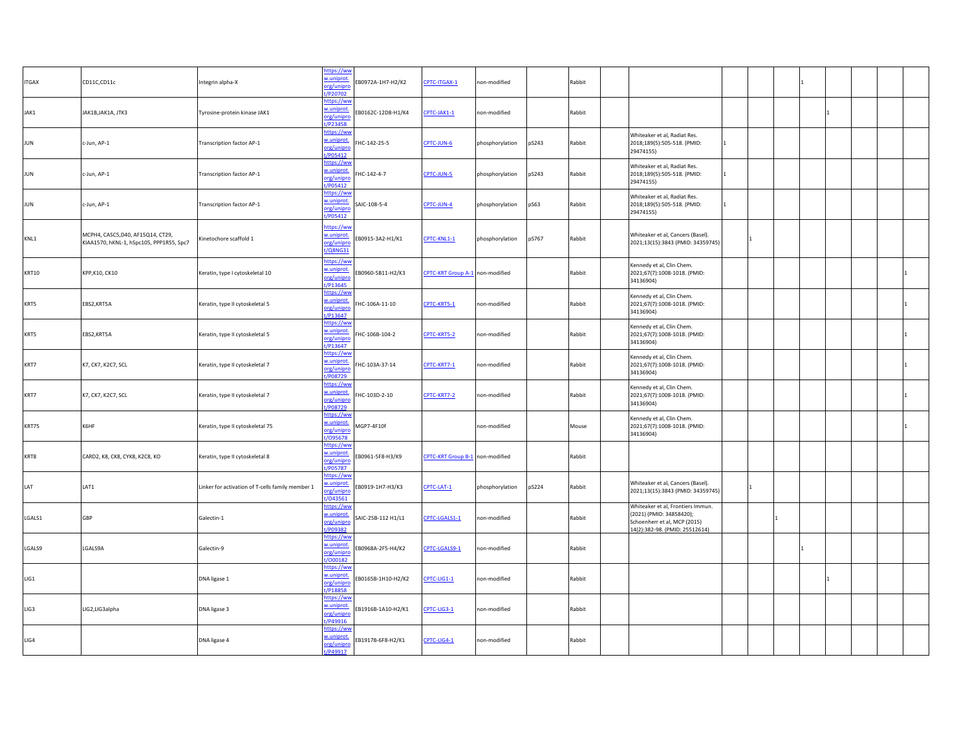| <b>ITGAX</b> | CD11C,CD11c                                                                   | ntegrin alpha-X                                  | ittps://wv<br>w.uniprot<br>B0972A-1H7-H2/K2<br>org/unipro<br>P20702          | CPTC-ITGAX-1                    | non-modified    |       | Rabbit |                                                                                                                                 |    |  |  |  |
|--------------|-------------------------------------------------------------------------------|--------------------------------------------------|------------------------------------------------------------------------------|---------------------------------|-----------------|-------|--------|---------------------------------------------------------------------------------------------------------------------------------|----|--|--|--|
| JAK1         | JAK1B, JAK1A, JTK3                                                            | Tyrosine-protein kinase JAK1                     | <u>nttps://ww</u><br>w.uniprot<br>EB0162C-12D8-H1/K4<br>org/unipro<br>P23458 | CPTC-JAK1-1                     | non-modified    |       | Rabbit |                                                                                                                                 |    |  |  |  |
| <b>JUN</b>   | c-Jun, AP-1                                                                   | Transcription factor AP-1                        | ttps://ww<br>w.uniprot<br>HC-142-25-5<br>org/unipre<br>/P05412               | CPTC-JUN-6                      | phosphorylation | pS243 | Rabbit | Whiteaker et al, Radiat Res.<br>2018;189(5):505-518. (PMID:<br>29474155)                                                        |    |  |  |  |
| <b>JUN</b>   | c-Jun, AP-1                                                                   | Transcription factor AP-1                        | ittps://ww<br>w.uniprot<br>HC-142-4-7<br>org/unipre<br>/P05412               | CPTC-JUN-5                      | phosphorylation | pS243 | Rabbit | Whiteaker et al, Radiat Res.<br>2018;189(5):505-518. (PMID:<br>29474155)                                                        | 11 |  |  |  |
| <b>JUN</b>   | c-Jun, AP-1                                                                   | Transcription factor AP-1                        | https://ww<br>w.uniprot<br>AIC-108-5-4<br>org/unipro<br>/P05412              | CPTC-JUN-4                      | phosphorylation | pS63  | Rabbit | Whiteaker et al, Radiat Res.<br>2018;189(5):505-518. (PMID:<br>29474155)                                                        |    |  |  |  |
| KNL1         | MCPH4, CASC5, D40, AF15Q14, CT29,<br>KIAA1570, hKNL-1, hSpc105, PPP1R55, Spc7 | Ginetochore scaffold 1                           | https://ww<br>w.uniprot<br>EB0915-3A2-H1/K1<br>org/unipro<br><b>Q8NG31</b>   | CPTC-KNL1-1                     | phosphorylation | pS767 | Rabbit | Whiteaker et al, Cancers (Basel).<br>2021;13(15):3843 (PMID: 34359745)                                                          |    |  |  |  |
| <b>KRT10</b> | KPP, K10, CK10                                                                | Keratin, type I cytoskeletal 10                  | ttps://ww<br>w.uniprot<br>EB0960-5B11-H2/K3<br>org/unipre<br>P13645          | CPTC-KRT Group A-1 non-modified |                 |       | Rabbit | Kennedy et al, Clin Chem.<br>2021;67(7):1008-1018. (PMID:<br>34136904)                                                          |    |  |  |  |
| KRT5         | EBS2, KRT5A                                                                   | Keratin, type II cytoskeletal 5                  | https://ww<br>w.uniprot<br>HC-106A-11-10<br>org/unipr<br>/P13647             | CPTC-KRT5-1                     | on-modified     |       | Rabbit | Kennedy et al, Clin Chem.<br>2021;67(7):1008-1018. (PMID:<br>34136904)                                                          |    |  |  |  |
| KRT5         | EBS2, KRT5A                                                                   | Keratin, type II cytoskeletal 5                  | https://wv<br>w.uniprot<br>HC-106B-104-2<br>org/unipro<br>P13647             | CPTC-KRT5-2                     | non-modified    |       | Rabbit | Kennedy et al, Clin Chem.<br>2021;67(7):1008-1018. (PMID:<br>34136904)                                                          |    |  |  |  |
| KRT7         | K7, CK7, K2C7, SCL                                                            | Keratin, type II cytoskeletal 7                  | nttps://wv<br>w.uniprot<br>HC-103A-37-14<br>org/unipro<br>/P08729            | CPTC-KRT7-1                     | non-modified    |       | Rabbit | Kennedy et al, Clin Chem.<br>2021;67(7):1008-1018. (PMID:<br>34136904)                                                          |    |  |  |  |
| KRT7         | K7, CK7, K2C7, SCL                                                            | Keratin, type II cytoskeletal 7                  | nttps://ww<br>w.uniprot<br>HC-103D-2-10<br>org/unipro<br>/P08729             | CPTC-KRT7-2                     | non-modified    |       | Rabbit | Kennedy et al, Clin Chem.<br>2021;67(7):1008-1018. (PMID:<br>34136904)                                                          |    |  |  |  |
| KRT75        | K6HF                                                                          | Keratin, type II cytoskeletal 75                 | nttps://ww<br>w.uniprot.<br>MGP7-4F10f<br>org/unipro<br>/095678              |                                 | non-modified    |       | Mouse  | Kennedy et al, Clin Chem.<br>2021;67(7):1008-1018. (PMID:<br>34136904)                                                          |    |  |  |  |
| KRT8         | CARD2, K8, CK8, CYK8, K2C8, KO                                                | Keratin, type II cytoskeletal 8                  | https://ww<br>w.uniprot.<br>EB0961-5F8-H3/K9<br>org/unipro<br>t/P05787       | CPTC-KRT Group B-1 non-modified |                 |       | Rabbit |                                                                                                                                 |    |  |  |  |
| LAT          | LAT1                                                                          | Linker for activation of T-cells family member 1 | nttps://wv<br>v.uniprot<br>B0919-1H7-H3/K3<br>rg/unipro<br>043561            | CPTC-LAT-1                      | phosphorylation | pS224 | Rabbit | Whiteaker et al, Cancers (Basel).<br>2021;13(15):3843 (PMID: 34359745)                                                          |    |  |  |  |
| LGALS1       | <b>GBP</b>                                                                    | Galectin-1                                       | ttps://ww<br>w.uniprot<br>SAIC-25B-112 H1/L1<br>org/unipro<br>/P09382        | CPTC-LGALS1-1                   | non-modified    |       | Rabbit | Whiteaker et al, Frontiers Immun.<br>(2021) (PMID: 34858420);<br>Schoenherr et al, MCP (2015)<br>14(2):382-98. (PMID: 25512614) |    |  |  |  |
| LGALS9       | LGALS9A                                                                       | Galectin-9                                       | nttps://wv<br>v.uniprot<br>EB0968A-2F5-H4/K2<br>org/unipr<br>/000182         | CPTC-LGALS9-1                   | on-modified     |       | Rabbit |                                                                                                                                 |    |  |  |  |
| LIG1         |                                                                               | DNA ligase 1                                     | nttps://wv<br>w.uniprot<br>B0165B-1H10-H2/K2<br>org/unipro<br>/P18858        | CPTC-LIG1-1                     | non-modified    |       | Rabbit |                                                                                                                                 |    |  |  |  |
| LIG3         | LIG2,LIG3alpha                                                                | DNA ligase 3                                     | nttps://wv<br>w.uniprot<br>B1916B-1A10-H2/K1<br>org/unipre<br>/P49916        | CPTC-LIG3-1                     | non-modified    |       | Rabbit |                                                                                                                                 |    |  |  |  |
| LIG4         |                                                                               | DNA ligase 4                                     | ittps://wv<br>w.uniprot<br>EB1917B-6F8-H2/K1<br>org/unipro<br>/P49917        | CPTC-LIG4-1                     | non-modified    |       | Rabbit |                                                                                                                                 |    |  |  |  |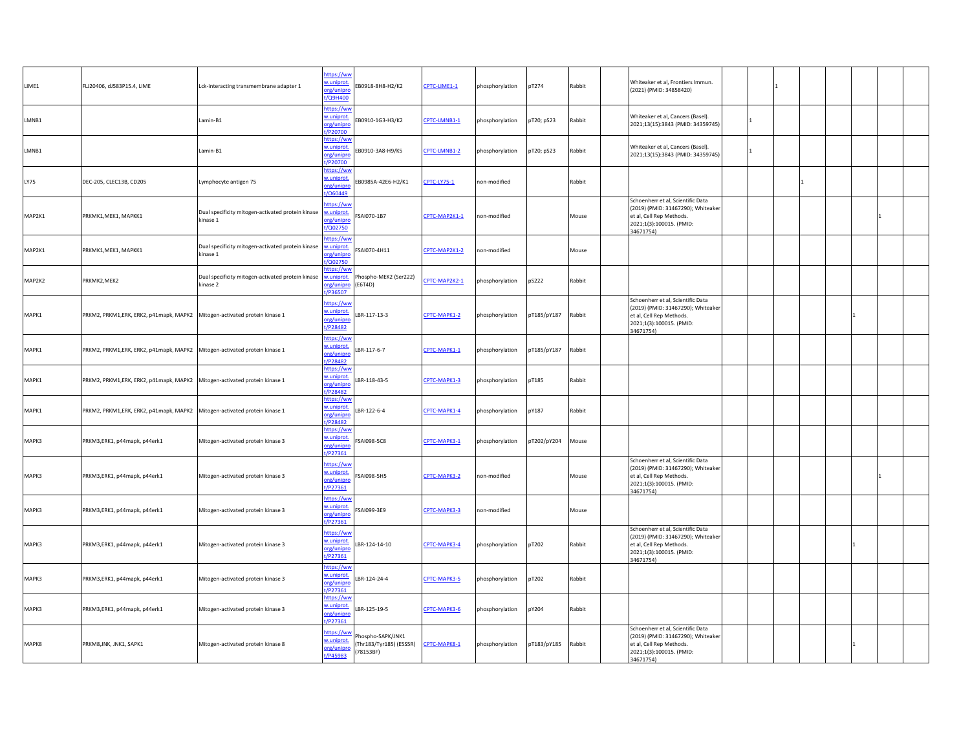| LIME1  | FLJ20406, dJ583P15.4, LIME                                                   | Lck-interacting transmembrane adapter 1                       | https://ww<br>w.uniprot<br>org/unipro<br>t/Q9H400  | EB0918-8H8-H2/K2                                         | CPTC-LIME1-1  | phosphorylation | pT274       | Rabbit | Whiteaker et al, Frontiers Immun.<br>(2021) (PMID: 34858420)                                                                                 |  |     |  |
|--------|------------------------------------------------------------------------------|---------------------------------------------------------------|----------------------------------------------------|----------------------------------------------------------|---------------|-----------------|-------------|--------|----------------------------------------------------------------------------------------------------------------------------------------------|--|-----|--|
| LMNB1  |                                                                              | Lamin-B1                                                      | https://ww<br>w.uniprot.<br>org/unipro<br>t/P20700 | B0910-1G3-H3/K2                                          | CPTC-LMNB1-1  | phosphorylation | pT20; pS23  | Rabbit | Whiteaker et al, Cancers (Basel).<br>2021;13(15):3843 (PMID: 34359745)                                                                       |  |     |  |
| LMNB1  |                                                                              | Lamin-B1                                                      | https://ww<br>w.uniprot.<br>org/unipro<br>t/P20700 | EB0910-3A8-H9/K5                                         | CPTC-LMNB1-2  | phosphorylation | pT20; pS23  | Rabbit | Whiteaker et al, Cancers (Basel).<br>2021;13(15):3843 (PMID: 34359745)                                                                       |  |     |  |
| LY75   | DEC-205, CLEC13B, CD205                                                      | Lymphocyte antigen 75                                         | https://ww<br>w.uniprot.<br>org/unipro<br>/060449  | EB0985A-42E6-H2/K1                                       | CPTC-LY75-1   | non-modified    |             | Rabbit |                                                                                                                                              |  |     |  |
| MAP2K1 | PRKMK1, MEK1, MAPKK1                                                         | Dual specificity mitogen-activated protein kinase<br>kinase 1 | nttps://ww<br>w.uniprot.<br>org/unipro<br>t/Q02750 | SAI070-1B7                                               | CPTC-MAP2K1-1 | non-modified    |             | Mouse  | Schoenherr et al, Scientific Data<br>(2019) (PMID: 31467290); Whiteaker<br>et al, Cell Rep Methods.<br>2021;1(3):100015. (PMID:<br>34671754) |  |     |  |
| MAP2K1 | PRKMK1, MEK1, MAPKK1                                                         | Dual specificity mitogen-activated protein kinase<br>kinase 1 | https://ww<br>w.uniprot.<br>org/unipro<br>/Q02750  | SAI070-4H11                                              | CPTC-MAP2K1-2 | non-modified    |             | Mouse  |                                                                                                                                              |  |     |  |
| MAP2K2 | PRKMK2,MEK2                                                                  | Dual specificity mitogen-activated protein kinase<br>kinase 2 | ittps://wv<br>w.uniprot.<br>org/unipro<br>t/P36507 | hospho-MEK2 (Ser222)<br>(E6T4D)                          | CPTC-MAP2K2-1 | phosphorylation | pS222       | Rabbit |                                                                                                                                              |  |     |  |
| MAPK1  | PRKM2, PRKM1, ERK, ERK2, p41mapk, MAPK2 Mitogen-activated protein kinase 1   |                                                               | https://ww<br>w.uniprot.<br>org/unipro<br>t/P28482 | LBR-117-13-3                                             | CPTC-MAPK1-2  | phosphorylation | pT185/pY187 | Rabbit | Schoenherr et al, Scientific Data<br>(2019) (PMID: 31467290); Whiteaker<br>et al, Cell Rep Methods.<br>2021;1(3):100015. (PMID:<br>34671754) |  | l 1 |  |
| MAPK1  | PRKM2, PRKM1, ERK, ERK2, p41mapk, MAPK2   Mitogen-activated protein kinase 1 |                                                               | https://ww<br>w.uniprot.<br>org/unipro<br>/P28482  | LBR-117-6-7                                              | CPTC-MAPK1-1  | phosphorylation | pT185/pY187 | Rabbit |                                                                                                                                              |  |     |  |
| MAPK1  | PRKM2, PRKM1,ERK, ERK2, p41mapk, MAPK2 Mitogen-activated protein kinase 1    |                                                               | ittps://ww<br>w.uniprot.<br>org/unipro<br>t/P28482 | LBR-118-43-5                                             | CPTC-MAPK1-3  | phosphorylation | pT185       | Rabbit |                                                                                                                                              |  |     |  |
| MAPK1  | PRKM2, PRKM1, ERK, ERK2, p41mapk, MAPK2 Mitogen-activated protein kinase 1   |                                                               | https://ww<br>w.uniprot.<br>org/unipro<br>P28482   | LBR-122-6-4                                              | CPTC-MAPK1-4  | phosphorylation | pY187       | Rabbit |                                                                                                                                              |  |     |  |
| MAPK3  | PRKM3,ERK1, p44mapk, p44erk1                                                 | Mitogen-activated protein kinase 3                            | https://ww<br>w.uniprot.<br>org/unipro<br>t/P27361 | SAI098-5C8                                               | CPTC-MAPK3-1  | phosphorylation | pT202/pY204 | Mouse  |                                                                                                                                              |  |     |  |
| MAPK3  | PRKM3,ERK1, p44mapk, p44erk1                                                 | Mitogen-activated protein kinase 3                            | https://ww<br>w.uniprot.<br>org/unipro<br>t/P27361 | SAI098-5H5                                               | CPTC-MAPK3-2  | non-modified    |             | Mouse  | Schoenherr et al, Scientific Data<br>(2019) (PMID: 31467290); Whiteaker<br>et al, Cell Rep Methods.<br>2021;1(3):100015. (PMID:<br>34671754) |  |     |  |
| MAPK3  | PRKM3,ERK1, p44mapk, p44erk1                                                 | Mitogen-activated protein kinase 3                            | https://ww<br>w.uniprot.<br>org/unipro<br>P27361   | SAI099-3E9                                               | CPTC-MAPK3-3  | non-modified    |             | Mouse  |                                                                                                                                              |  |     |  |
| MAPK3  | PRKM3,ERK1, p44mapk, p44erk1                                                 | Mitogen-activated protein kinase 3                            | https://ww<br>w.uniprot.<br>org/unipro<br>t/P27361 | LBR-124-14-10                                            | CPTC-MAPK3-4  | phosphorylation | pT202       | Rabbit | Schoenherr et al, Scientific Data<br>(2019) (PMID: 31467290); Whiteaker<br>et al, Cell Rep Methods.<br>2021;1(3):100015. (PMID:<br>34671754) |  |     |  |
| MAPK3  | PRKM3,ERK1, p44mapk, p44erk1                                                 | Mitogen-activated protein kinase 3                            | https://ww<br>w.uniprot.<br>org/unipro<br>P27361   | LBR-124-24-4                                             | CPTC-MAPK3-5  | phosphorylation | pT202       | Rabbit |                                                                                                                                              |  |     |  |
| MAPK3  | PRKM3,ERK1, p44mapk, p44erk1                                                 | Mitogen-activated protein kinase 3                            | https://wv<br>w.uniprot.<br>org/unipro<br>t/P27361 | LBR-125-19-5                                             | CPTC-MAPK3-6  | phosphorylation | pY204       | Rabbit |                                                                                                                                              |  |     |  |
| MAPK8  | PRKM8, JNK, JNK1, SAPK1                                                      | Mitogen-activated protein kinase 8                            | https://ww<br>w.uniprot.<br>org/unipro<br>t/P45983 | hospho-SAPK/JNK1<br>(Thr183/Tyr185) (E5S5R)<br>(78153BF) | CPTC-MAPK8-1  | phosphorylation | pT183/pY185 | Rabbit | Schoenherr et al, Scientific Data<br>(2019) (PMID: 31467290); Whiteaker<br>et al, Cell Rep Methods.<br>2021;1(3):100015. (PMID:<br>34671754) |  | lı. |  |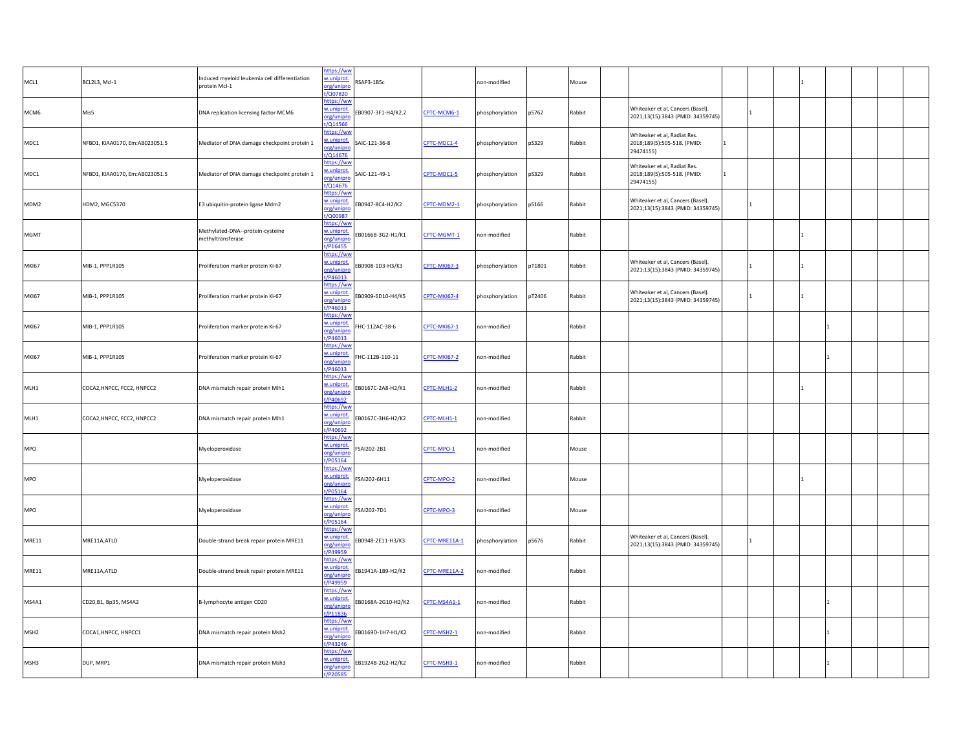| BCL2L3, Mcl-1                  | nduced myeloid leukemia cell differentiation<br>protein Mcl-1 | w.uniprot.<br>org/unipro<br>t/Q07820                  | RSAP3-1B5c                                                                                                                |                     | non-modified              | Mouse  |                                                                               |  |  |  |
|--------------------------------|---------------------------------------------------------------|-------------------------------------------------------|---------------------------------------------------------------------------------------------------------------------------|---------------------|---------------------------|--------|-------------------------------------------------------------------------------|--|--|--|
| Mis5                           | DNA replication licensing factor MCM6                         | https://ww<br>w.uniprot.<br>org/unipro                | EB0907-3F1-H4/K2.2                                                                                                        | CPTC-MCM6-1         | pS762<br>phosphorylation  | Rabbit | Whiteaker et al, Cancers (Basel)<br>2021;13(15):3843 (PMID: 34359745)         |  |  |  |
| NFBD1, KIAA0170, Em:AB023051.5 | Mediator of DNA damage checkpoint protein 1                   | https://ww<br>v.uniprot.<br>prg/unipro                | SAIC-121-36-8                                                                                                             | CPTC-MDC1-4         | pS329<br>phosphorylation  | Rabbit | Whiteaker et al, Radiat Res.<br>2018;189(5):505-518. (PMID:<br>29474155)      |  |  |  |
| NFBD1, KIAA0170, Em:AB023051.5 | Mediator of DNA damage checkpoint protein 1                   | https://ww<br>w.uniprot.<br>org/unipro                | SAIC-121-49-1                                                                                                             | CPTC-MDC1-5         | pS329<br>phosphorylation  | Rabbit | Whiteaker et al, Radiat Res.<br>2018;189(5):505-518. (PMID:<br>1<br>29474155) |  |  |  |
| HDM2, MGC5370                  | E3 ubiquitin-protein ligase Mdm2                              | https://ww<br>w.uniprot.<br>org/unipro                | EB0947-8C4-H2/K2                                                                                                          | CPTC-MDM2-1         | pS166<br>phosphorylation  | Rabbit | Whiteaker et al, Cancers (Basel).<br>2021;13(15):3843 (PMID: 34359745)        |  |  |  |
|                                | Methylated-DNA--protein-cysteine<br>methyltransferase         | https://ww<br>w.uniprot.<br>org/unipro                | EB0166B-3G2-H1/K1                                                                                                         | CPTC-MGMT-1         | non-modified              | Rabbit |                                                                               |  |  |  |
| MIB-1, PPP1R105                | Proliferation marker protein Ki-67                            | https://ww<br>w.uniprot.<br>org/unipro                | EB0908-1D3-H3/K3                                                                                                          | CPTC-MKI67-3        | pT1801<br>phosphorylation | Rabbit | Whiteaker et al, Cancers (Basel).<br>2021;13(15):3843 (PMID: 34359745)        |  |  |  |
| MIB-1, PPP1R105                | Proliferation marker protein Ki-67                            | https://ww<br>w.uniprot.<br>org/unipro                | EB0909-6D10-H4/K5                                                                                                         | <b>CPTC-MKI67-4</b> | pT2406<br>phosphorylation | Rabbit | Whiteaker et al, Cancers (Basel).<br>2021;13(15):3843 (PMID: 34359745)        |  |  |  |
| MIB-1, PPP1R105                | Proliferation marker protein Ki-67                            | https://ww<br>w.uniprot.<br>org/unipro<br>1/PA6013    | FHC-112AC-38-6                                                                                                            | <b>CPTC-MKI67-1</b> | non-modified              | Rabbit |                                                                               |  |  |  |
| MIB-1, PPP1R105                | Proliferation marker protein Ki-67                            | https://ww<br>w.uniprot.<br>org/unipro<br>/P46013     | HC-112B-110-11                                                                                                            | CPTC-MKI67-2        | non-modified              | Rabbit |                                                                               |  |  |  |
| COCA2, HNPCC, FCC2, HNPCC2     | DNA mismatch repair protein Mlh1                              | https://ww<br>w.uniprot.<br>org/unipro<br>VP40692     | EB0167C-2A8-H2/K1                                                                                                         | CPTC-MLH1-2         | non-modified              | Rabbit |                                                                               |  |  |  |
| COCA2, HNPCC, FCC2, HNPCC2     | DNA mismatch repair protein Mlh1                              | https://ww<br>w.uniprot.<br>org/unipro<br>t/P40692    | EB0167C-3H6-H2/K2                                                                                                         | CPTC-MLH1-1         | non-modified              | Rabbit |                                                                               |  |  |  |
|                                | Myeloperoxidase                                               | https://ww<br>w.uniprot.<br>org/unipro<br>t/P05164    | SAI202-2B1                                                                                                                | CPTC-MPO-1          | non-modified              | Mouse  |                                                                               |  |  |  |
|                                | Myeloperoxidase                                               | https://ww<br>w.uniprot.<br>org/unipro<br>t/P05164    | FSAI202-6H11                                                                                                              | CPTC-MPO-2          | non-modified              | Mouse  |                                                                               |  |  |  |
|                                | Myeloperoxidase                                               | w.uniprot.<br>org/unipro<br>t/P05164                  | SAI202-7D1                                                                                                                | CPTC-MPO-3          | non-modified              | Mouse  |                                                                               |  |  |  |
| MRE11A, ATLD                   | Double-strand break repair protein MRE11                      | https://ww<br>w.uniprot.<br>org/unipn<br>t/P49959     | EB0948-2E11-H3/K3                                                                                                         | CPTC-MRE11A-1       | pS676<br>phosphorylation  | Rabbit | Whiteaker et al, Cancers (Basel).<br>2021;13(15):3843 (PMID: 34359745)        |  |  |  |
| MRE11A, ATLD                   | Double-strand break repair protein MRE11                      | w.uniprot.<br>org/unipro<br>/P49959                   | EB1941A-1B9-H2/K2                                                                                                         | CPTC-MRE11A-2       | non-modified              | Rabbit |                                                                               |  |  |  |
| CD20, B1, Bp35, MS4A2          | B-lymphocyte antigen CD20                                     | https://ww<br>w.uniprot.<br>org/unipro<br>t/P11836    | EB0168A-2G10-H2/K2                                                                                                        | CPTC-MS4A1-1        | non-modified              | Rabbit |                                                                               |  |  |  |
| COCA1, HNPCC, HNPCC1           | DNA mismatch repair protein Msh2                              | https://ww<br>w.uniprot.<br>org/unipro<br>.<br>P43246 | EB0169D-1H7-H1/K2                                                                                                         | CPTC-MSH2-1         | non-modified              | Rabbit |                                                                               |  |  |  |
| DUP, MRP1                      | DNA mismatch repair protein Msh3                              | https://ww<br>w.uniprot.<br>org/unipro<br>t/P20585    |                                                                                                                           | CPTC-MSH3-1         | non-modified              | Rabbit |                                                                               |  |  |  |
|                                |                                                               |                                                       | https://ww<br>t/Q14566<br>t/Q14676<br>t/Q14676<br>t/Q00987<br>t/P16455<br>t/P46013<br>/P46013<br>https://ww<br>https://ww | EB1924B-2G2-H2/K2   |                           |        |                                                                               |  |  |  |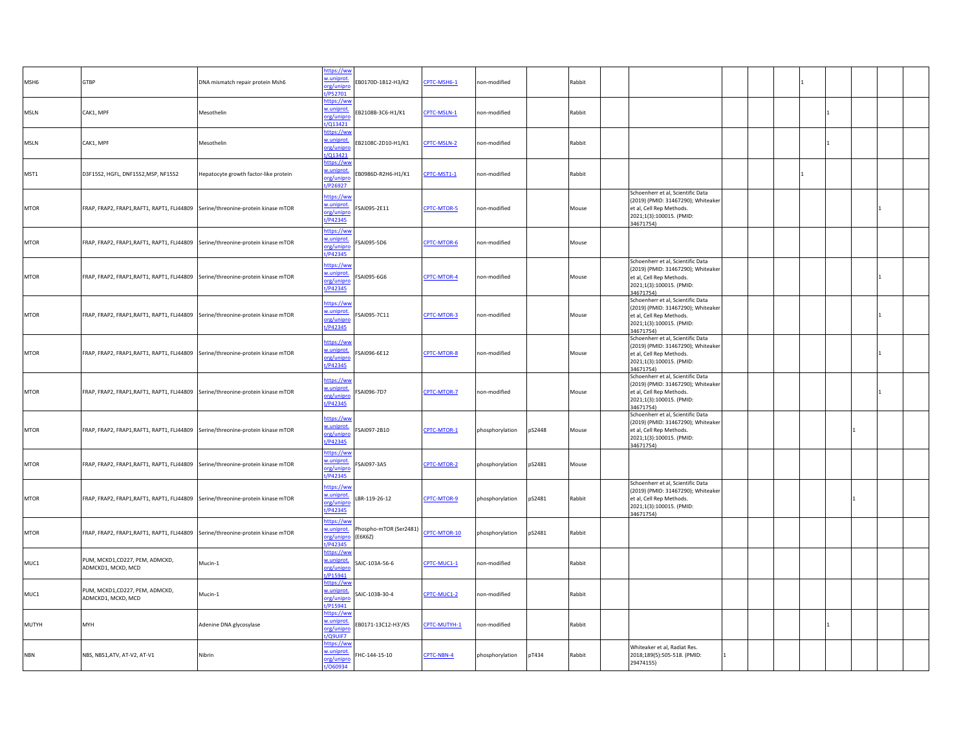| MSH6         | GTBP                                                                            | DNA mismatch repair protein Msh6      | https://ww<br>w.uniprot<br>org/unipro<br>/P52701          | B0170D-1B12-H3/K2                 | CPTC-MSH6-1  | non-modified    | Rabbit           |                                                                                                                                              |  |  |  |  |
|--------------|---------------------------------------------------------------------------------|---------------------------------------|-----------------------------------------------------------|-----------------------------------|--------------|-----------------|------------------|----------------------------------------------------------------------------------------------------------------------------------------------|--|--|--|--|
| <b>MSLN</b>  | CAK1, MPF                                                                       | Mesothelin                            | <u>nttps://ww</u><br>w.uniprot.<br>org/unipr<br>1/013421  | EB2108B-3C6-H1/K1                 | CPTC-MSLN-1  | non-modified    | Rabbit           |                                                                                                                                              |  |  |  |  |
| <b>MSLN</b>  | CAK1, MPF                                                                       | Mesothelin                            | https://ww<br>w.uniprot.<br>org/unipro<br>/Q13421         | B2108C-2D10-H1/K1                 | CPTC-MSLN-2  | non-modified    | Rabbit           |                                                                                                                                              |  |  |  |  |
| MST1         | D3F15S2, HGFL, DNF15S2, MSP, NF15S2                                             | Hepatocyte growth factor-like protein | ittps://ww<br>w.uniprot.<br>org/unipro<br>t/P26927        | EB0986D-R2H6-H1/K1                | CPTC-MST1-1  | non-modified    | Rabbit           |                                                                                                                                              |  |  |  |  |
| <b>MTOR</b>  | FRAP, FRAP2, FRAP1, RAFT1, RAPT1, FLJ44809 Serine/threonine-protein kinase mTOR |                                       | https://ww<br>w.uniprot.<br>org/unipro<br>t/P42345        | SAI095-2E11                       | CPTC-MTOR-5  | non-modified    | Mouse            | Schoenherr et al, Scientific Data<br>(2019) (PMID: 31467290); Whiteaker<br>et al, Cell Rep Methods.<br>2021;1(3):100015. (PMID:<br>34671754) |  |  |  |  |
| <b>MTOR</b>  | FRAP, FRAP2, FRAP1, RAFT1, RAPT1, FLJ44809 Serine/threonine-protein kinase mTOR |                                       | https://ww<br>w.uniprot.<br>org/unipn<br>t/P42345         | SAI095-5D6                        | CPTC-MTOR-6  | non-modified    | Mouse            |                                                                                                                                              |  |  |  |  |
| <b>MTOR</b>  | FRAP, FRAP2, FRAP1, RAFT1, RAPT1, FLJ44809 Serine/threonine-protein kinase mTOR |                                       | https://ww<br>w.uniprot.<br>org/unipro<br>t/P42345        | SAI095-6G6                        | CPTC-MTOR-4  | non-modified    | Mouse            | Schoenherr et al, Scientific Data<br>(2019) (PMID: 31467290); Whiteaker<br>et al, Cell Rep Methods.<br>2021;1(3):100015. (PMID:<br>34671754) |  |  |  |  |
| <b>MTOR</b>  | FRAP, FRAP2, FRAP1, RAFT1, RAPT1, FLJ44809 Serine/threonine-protein kinase mTOR |                                       | https://ww<br>w.uniprot.<br>org/unipro<br>t/P42345        | SAI095-7C11                       | CPTC-MTOR-3  | non-modified    | Mouse            | Schoenherr et al, Scientific Data<br>(2019) (PMID: 31467290); Whiteaker<br>et al, Cell Rep Methods.<br>2021;1(3):100015. (PMID:<br>34671754) |  |  |  |  |
| <b>MTOR</b>  | FRAP, FRAP2, FRAP1, RAFT1, RAPT1, FLJ44809 Serine/threonine-protein kinase mTOR |                                       | https://ww<br>w.uniprot.<br>org/unipro<br>t/P42345        | SAI096-6E12                       | CPTC-MTOR-8  | non-modified    | Mouse            | Schoenherr et al, Scientific Data<br>(2019) (PMID: 31467290); Whiteaker<br>et al, Cell Rep Methods.<br>2021;1(3):100015. (PMID:<br>34671754) |  |  |  |  |
| <b>MTOR</b>  | FRAP, FRAP2, FRAP1, RAFT1, RAPT1, FLJ44809 Serine/threonine-protein kinase mTOR |                                       | https://ww<br>w.uniprot.<br>org/unipro<br>t/P42345        | SAI096-7D7                        | CPTC-MTOR-7  | non-modified    | Mouse            | Schoenherr et al, Scientific Data<br>(2019) (PMID: 31467290); Whiteaker<br>et al, Cell Rep Methods.<br>2021;1(3):100015. (PMID:<br>34671754) |  |  |  |  |
| <b>MTOR</b>  | FRAP, FRAP2, FRAP1, RAFT1, RAPT1, FLJ44809 Serine/threonine-protein kinase mTOR |                                       | https://ww<br>w.uniprot.<br>org/unipro<br>t/P42345        | SAI097-2B10                       | CPTC-MTOR-1  | phosphorylation | pS2448<br>Mouse  | Schoenherr et al, Scientific Data<br>(2019) (PMID: 31467290); Whiteaker<br>et al, Cell Rep Methods.<br>2021;1(3):100015. (PMID:<br>34671754) |  |  |  |  |
| <b>MTOR</b>  | FRAP, FRAP2, FRAP1, RAFT1, RAPT1, FLJ44809 Serine/threonine-protein kinase mTOR |                                       | ittps://ww<br>w.uniprot<br>org/unipro<br>t/P42345         | SAI097-3A5                        | CPTC-MTOR-2  | phosphorylation | pS2481<br>Mouse  |                                                                                                                                              |  |  |  |  |
| <b>MTOR</b>  | FRAP, FRAP2, FRAP1, RAFT1, RAPT1, FLJ44809 Serine/threonine-protein kinase mTOR |                                       | ittps://ww<br>w.uniprot<br>org/unipro<br>t/P42345         | BR-119-26-12                      | CPTC-MTOR-9  | phosphorylation | pS2481<br>Rabbit | Schoenherr et al, Scientific Data<br>(2019) (PMID: 31467290); Whiteaker<br>et al, Cell Rep Methods.<br>2021;1(3):100015. (PMID:<br>34671754) |  |  |  |  |
| <b>MTOR</b>  | FRAP, FRAP2, FRAP1, RAFT1, RAPT1, FLJ44809 Serine/threonine-protein kinase mTOR |                                       | ittps://ww<br>v.uniprot.<br>org/unipro<br>t/P42345        | Phospho-mTOR (Ser2481)<br>(E6K6Z) | PTC-MTOR-10  | phosphorylation | pS2481<br>Rabbit |                                                                                                                                              |  |  |  |  |
| MUC1         | PUM, MCKD1,CD227, PEM, ADMCKD,<br>ADMCKD1, MCKD, MCD                            | Mucin-1                               | https://ww<br><u>v.uniprot.</u><br>org/unipro<br>t/P15941 | AIC-103A-56-6                     | CPTC-MUC1-1  | non-modified    | Rabbit           |                                                                                                                                              |  |  |  |  |
| MUC1         | PUM, MCKD1, CD227, PEM, ADMCKD,<br>ADMCKD1, MCKD, MCD                           | Mucin-1                               | https://ww<br>w.uniprot.<br>org/unipro<br>t/P15941        | SAIC-103B-30-4                    | CPTC-MUC1-2  | non-modified    | Rabbit           |                                                                                                                                              |  |  |  |  |
| <b>MUTYH</b> | MYH                                                                             | Adenine DNA glycosylase               | https://ww<br>v.uniprot.<br>org/unipro<br>t/Q9UIF7        | EB0171-13C12-H3'/K5               | CPTC-MUTYH-1 | non-modified    | Rabbit           |                                                                                                                                              |  |  |  |  |
| <b>NBN</b>   | NBS, NBS1, ATV, AT-V2, AT-V1                                                    | Nibrin                                | https://ww<br>w.uniprot.<br>org/unipro<br>/060934         | FHC-144-15-10                     | CPTC-NBN-4   | phosphorylation | pT434<br>Rabbit  | Whiteaker et al, Radiat Res.<br>2018;189(5):505-518. (PMID:<br>29474155)                                                                     |  |  |  |  |
|              |                                                                                 |                                       |                                                           |                                   |              |                 |                  |                                                                                                                                              |  |  |  |  |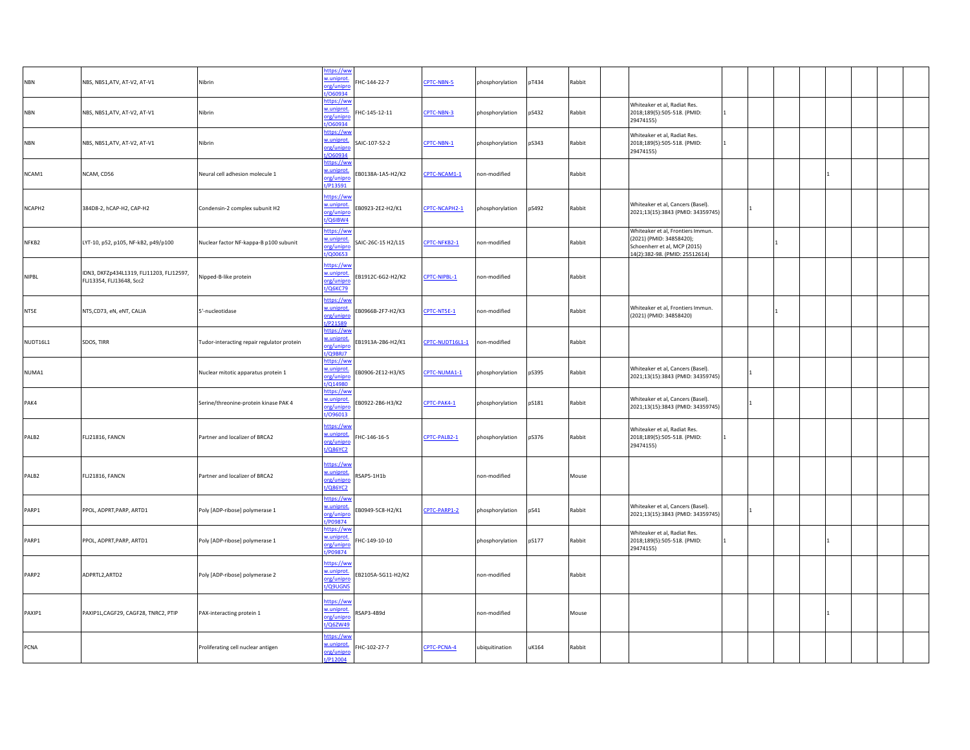| <b>NBN</b> | NBS, NBS1, ATV, AT-V2, AT-V1                                         | Nibrin                                     | https://ww<br>w.uniprot<br>org/unipro<br>/060934     | HC-144-22-7        | CPTC-NBN-5      | phosphorylation | pT434 | Rabbit |                                                                                                                                 |              |  |  |
|------------|----------------------------------------------------------------------|--------------------------------------------|------------------------------------------------------|--------------------|-----------------|-----------------|-------|--------|---------------------------------------------------------------------------------------------------------------------------------|--------------|--|--|
| <b>NBN</b> | NBS, NBS1, ATV, AT-V2, AT-V1                                         | Nibrin                                     | ittps://ww<br>w.uniprot.<br>org/unipro<br>060934     | FHC-145-12-11      | CPTC-NBN-3      | phosphorylation | pS432 | Rabbit | Whiteaker et al, Radiat Res.<br>2018;189(5):505-518. (PMID:<br>29474155)                                                        | 11.          |  |  |
| <b>NBN</b> | NBS, NBS1, ATV, AT-V2, AT-V1                                         | Nibrin                                     | ittps://ww<br>w.uniprot<br>org/unipre<br>/060934     | SAIC-107-52-2      | CPTC-NBN-1      | phosphorylation | pS343 | Rabbit | Whiteaker et al, Radiat Res.<br>2018;189(5):505-518. (PMID:<br>29474155)                                                        |              |  |  |
| NCAM1      | NCAM, CD56                                                           | Neural cell adhesion molecule 1            | https://ww<br>w.uniprot<br>org/unipro<br>t/P13591    | B0138A-1A5-H2/K2   | CPTC-NCAM1-1    | non-modified    |       | Rabbit |                                                                                                                                 |              |  |  |
| NCAPH2     | 384D8-2, hCAP-H2, CAP-H2                                             | Condensin-2 complex subunit H2             | https://ww<br>w.uniprot<br>org/unipro<br>$t/Q6$ IBW4 | EB0923-2E2-H2/K1   | CPTC-NCAPH2-1   | bhosphorylation | pS492 | Rabbit | Whiteaker et al, Cancers (Basel).<br>2021;13(15):3843 (PMID: 34359745)                                                          |              |  |  |
| NFKB2      | LYT-10, p52, p105, NF-kB2, p49/p100                                  | Nuclear factor NF-kappa-B p100 subunit     | ittps://ww<br>uniprot<br>org/unipro<br><b>Q00653</b> | SAIC-26C-15 H2/L15 | CPTC-NFKB2-1    | non-modified    |       | Rabbit | Whiteaker et al, Frontiers Immun.<br>(2021) (PMID: 34858420);<br>Schoenherr et al, MCP (2015)<br>14(2):382-98. (PMID: 25512614) |              |  |  |
| NIPBL      | IDN3, DKFZp434L1319, FLJ11203, FLJ12597,<br>FLJ13354, FLJ13648, Scc2 | Nipped-B-like protein                      | ittps://ww<br>w.uniprot<br>org/unipro<br>t/Q6KC79    | B1912C-6G2-H2/K2   | CPTC-NIPBL-1    | non-modified    |       | Rabbit |                                                                                                                                 |              |  |  |
| NT5E       | NT5,CD73, eN, eNT, CALJA                                             | 5'-nucleotidase                            | ittps://ww<br>w.uniprot<br>org/unipre<br>t/P21589    | B0966B-2F7-H2/K3   | CPTC-NT5E-1     | non-modified    |       | Rabbit | Whiteaker et al, Frontiers Immun.<br>(2021) (PMID: 34858420)                                                                    |              |  |  |
| NUDT16L1   | SDOS, TIRR                                                           | Tudor-interacting repair regulator protein | https://ww<br>w.uniprot<br>org/unipro<br>/Q9BRJ7     | B1913A-2B6-H2/K1   | CPTC-NUDT16L1-1 | on-modified     |       | Rabbit |                                                                                                                                 |              |  |  |
| NUMA1      |                                                                      | Nuclear mitotic apparatus protein 1        | https://wv<br>w.uniprot<br>org/unipro<br>/Q14980     | EB0906-2E12-H3/K5  | CPTC-NUMA1-1    | phosphorylation | pS395 | Rabbit | Whiteaker et al, Cancers (Basel).<br>2021;13(15):3843 (PMID: 34359745)                                                          |              |  |  |
| PAK4       |                                                                      | Serine/threonine-protein kinase PAK 4      | ittps://ww<br>.uniprot<br>org/unipro<br>096013       | B0922-2B6-H3/K2    | CPTC-PAK4-1     | phosphorylation | pS181 | Rabbit | Whiteaker et al, Cancers (Basel).<br>2021;13(15):3843 (PMID: 34359745)                                                          |              |  |  |
| PALB2      | FLJ21816, FANCN                                                      | Partner and localizer of BRCA2             | https://ww<br>w.uniprot<br>org/unipro<br>/Q86YC2     | HC-146-16-5        | CPTC-PALB2-1    | phosphorylation | pS376 | Rabbit | Whiteaker et al, Radiat Res.<br>2018;189(5):505-518. (PMID:<br>29474155)                                                        | $\mathbf{1}$ |  |  |
| PALB2      | FLJ21816, FANCN                                                      | Partner and localizer of BRCA2             | ittps://ww<br>w.uniprot<br>org/unipre<br>/Q86YC2     | SAP5-1H1b          |                 | on-modified     |       | Mouse  |                                                                                                                                 |              |  |  |
| PARP1      | PPOL, ADPRT, PARP, ARTD1                                             | Poly [ADP-ribose] polymerase 1             | https://ww<br>w.uniprot<br>org/unipro<br>/P09874     | B0949-5C8-H2/K1    | CPTC-PARP1-2    | phosphorylation | pS41  | Rabbit | Whiteaker et al, Cancers (Basel).<br>2021;13(15):3843 (PMID: 34359745)                                                          |              |  |  |
| PARP1      | PPOL, ADPRT, PARP, ARTD1                                             | Poly [ADP-ribose] polymerase 1             | ittps://wv<br>w.uniprot<br>org/unipro<br>/P09874     | HC-149-10-10       |                 | phosphorylation | pS177 | Rabbit | Whiteaker et al, Radiat Res.<br>2018;189(5):505-518. (PMID:<br>29474155)                                                        | $\vert$ 1    |  |  |
| PARP2      | ADPRTL2, ARTD2                                                       | Poly [ADP-ribose] polymerase 2             | ittps://ww<br>w.uniprot<br>org/unipr<br>t/Q9UGN5     | EB2105A-5G11-H2/K2 |                 | non-modified    |       | Rabbit |                                                                                                                                 |              |  |  |
| PAXIP1     | PAXIP1L, CAGF29, CAGF28, TNRC2, PTIP                                 | PAX-interacting protein 1                  | https://ww<br>w.uniprot<br>org/unipro<br>t/Q6ZW49    | SAP3-4B9d          |                 | non-modified    |       | Mouse  |                                                                                                                                 |              |  |  |
| PCNA       |                                                                      | Proliferating cell nuclear antigen         | ttps://wv<br>w.uniprot<br>org/unipre<br>t/P12004     | FHC-102-27-7       | CPTC-PCNA-4     | ubiquitination  | uK164 | Rabbit |                                                                                                                                 |              |  |  |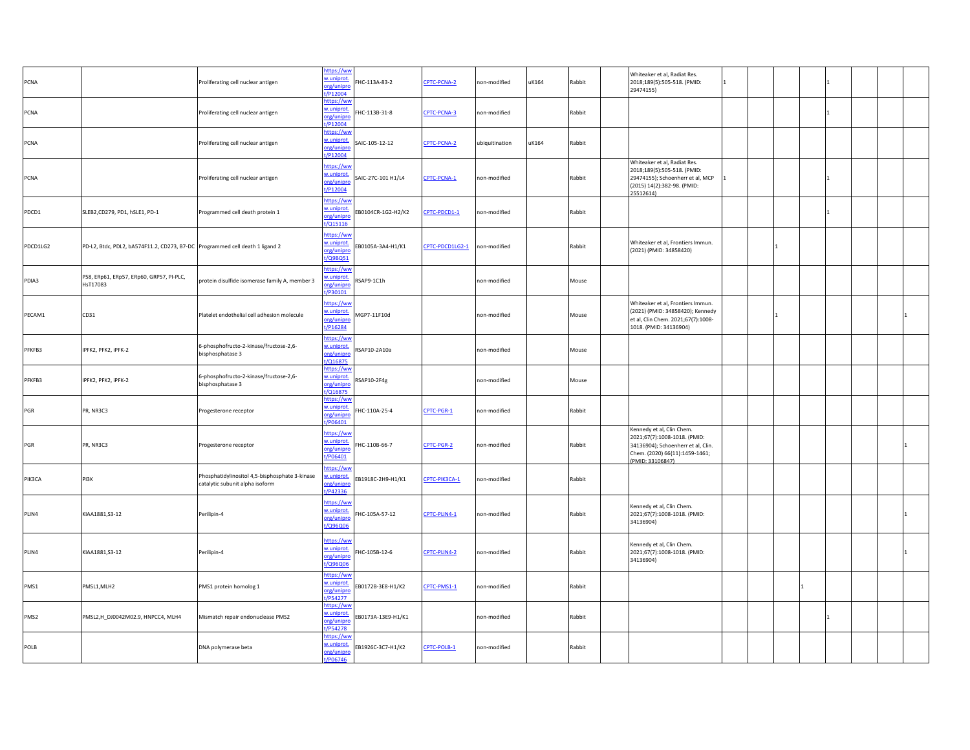| PCNA        |                                                                              | Proliferating cell nuclear antigen                                                | ittps://ww<br>w.uniprot<br>org/unipro<br>P12004    | HC-113A-83-2       | CPTC-PCNA-2     | on-modified    | uK164 | Rabbit | Whiteaker et al, Radiat Res.<br>2018;189(5):505-518. (PMID:<br>29474155)                                                                              | $\mathbf{1}$   |  |  |
|-------------|------------------------------------------------------------------------------|-----------------------------------------------------------------------------------|----------------------------------------------------|--------------------|-----------------|----------------|-------|--------|-------------------------------------------------------------------------------------------------------------------------------------------------------|----------------|--|--|
| PCNA        |                                                                              | Proliferating cell nuclear antigen                                                | ttps://ww<br>w.uniprot<br>org/unipro<br>/P12004    | HC-113B-31-8       | CPTC-PCNA-3     | on-modified    |       | Rabbit |                                                                                                                                                       |                |  |  |
| PCNA        |                                                                              | Proliferating cell nuclear antigen                                                | https://ww<br>w.uniprot<br>org/unipro<br>t/P12004  | SAIC-105-12-12     | CPTC-PCNA-2     | ubiquitination | uK164 | Rabbit |                                                                                                                                                       |                |  |  |
| <b>PCNA</b> |                                                                              | Proliferating cell nuclear antigen                                                | https://ww<br>w.uniprot<br>org/unipro<br>t/P12004  | SAIC-27C-101 H1/L4 | CPTC-PCNA-1     | non-modified   |       | Rabbit | Whiteaker et al, Radiat Res.<br>2018;189(5):505-518. (PMID:<br>29474155); Schoenherr et al, MCP<br>(2015) 14(2):382-98. (PMID:<br>25512614)           | $\overline{1}$ |  |  |
| PDCD1       | SLEB2, CD279, PD1, hSLE1, PD-1                                               | Programmed cell death protein 1                                                   | ttps://ww<br>v.uniprot<br>org/unipro<br>/Q15116    | EB0104CR-1G2-H2/K2 | CPTC-PDCD1-1    | on-modified    |       | Rabbit |                                                                                                                                                       |                |  |  |
| PDCD1LG2    | PD-L2, Btdc, PDL2, bA574F11.2, CD273, B7-DC Programmed cell death 1 ligand 2 |                                                                                   | https://ww<br>w.uniprot<br>org/unipro<br>t/Q9BQ51  | EB0105A-3A4-H1/K1  | CPTC-PDCD1LG2-1 | on-modified    |       | Rabbit | Whiteaker et al, Frontiers Immun.<br>(2021) (PMID: 34858420)                                                                                          |                |  |  |
| PDIA3       | P58, ERp61, ERp57, ERp60, GRP57, PI-PLC,<br>HsT17083                         | protein disulfide isomerase family A, member 3                                    | ttps://ww<br>uniprot.<br>rg/unipro<br>P30101       | SAP9-1C1h          |                 | non-modified   |       | Mouse  |                                                                                                                                                       |                |  |  |
| PECAM1      | CD31                                                                         | Platelet endothelial cell adhesion molecule                                       | https://wv<br>v.uniprot<br>org/unipro<br>t/P16284  | MGP7-11F10d        |                 | non-modified   |       | Mouse  | Whiteaker et al, Frontiers Immun.<br>(2021) (PMID: 34858420); Kennedy<br>et al, Clin Chem. 2021;67(7):1008-<br>1018. (PMID: 34136904)                 |                |  |  |
| PFKFB3      | IPFK2, PFK2, iPFK-2                                                          | 6-phosphofructo-2-kinase/fructose-2,6-<br>bisphosphatase 3                        | https://ww<br>w.uniprot<br>org/unipro<br>/Q16875   | 3AP10-2A10a        |                 | non-modified   |       | Mouse  |                                                                                                                                                       |                |  |  |
| PFKFB3      | IPFK2, PFK2, iPFK-2                                                          | 6-phosphofructo-2-kinase/fructose-2,6-<br>bisphosphatase 3                        | ittps://ww<br>v.uniprot<br>org/unipro<br>t/Q16875  | SAP10-2F4g         |                 | on-modified    |       | Mouse  |                                                                                                                                                       |                |  |  |
| PGR         | PR, NR3C3                                                                    | Progesterone receptor                                                             | https://wv<br>w.uniprot<br>org/unipro<br>P06401    | HC-110A-25-4       | CPTC-PGR-1      | non-modified   |       | Rabbit |                                                                                                                                                       |                |  |  |
| PGR         | PR, NR3C3                                                                    | Progesterone receptor                                                             | https://ww<br>w.uniprot<br>org/unipro<br>t/P06401  | HC-110B-66-7       | CPTC-PGR-2      | non-modified   |       | Rabbit | Kennedy et al, Clin Chem.<br>2021;67(7):1008-1018. (PMID:<br>34136904); Schoenherr et al, Clin.<br>Chem. (2020) 66(11):1459-1461;<br>(PMID: 33106847) |                |  |  |
| PIK3CA      | PI3K                                                                         | Phosphatidylinositol 4,5-bisphosphate 3-kinase<br>catalytic subunit alpha isoform | ttps://wv<br>uniprot.<br>prg/unipre<br>t/P42336    | EB1918C-2H9-H1/K1  | CPTC-PIK3CA-1   | non-modified   |       | Rabbit |                                                                                                                                                       |                |  |  |
| PLIN4       | KIAA1881, S3-12                                                              | Perilipin-4                                                                       | https://ww<br>w.uniprot<br>org/unipro<br>t/Q96Q06  | HC-105A-57-12      | CPTC-PLIN4-1    | non-modified   |       | Rabbit | Kennedy et al, Clin Chem.<br>2021;67(7):1008-1018. (PMID:<br>34136904)                                                                                |                |  |  |
| PLIN4       | KIAA1881, S3-12                                                              | Perilipin-4                                                                       | ittps://ww<br>w.uniprot<br>org/unipro<br>t/Q96Q06  | FHC-105B-12-6      | CPTC-PLIN4-2    | non-modified   |       | Rabbit | Kennedy et al, Clin Chem.<br>2021;67(7):1008-1018. (PMID:<br>34136904)                                                                                |                |  |  |
| PMS1        | PMSL1,MLH2                                                                   | PMS1 protein homolog 1                                                            | https://ww<br>w.uniprot<br>org/unipro<br>t/P54277  | B0172B-3E8-H1/K2   | CPTC-PMS1-1     | non-modified   |       | Rabbit |                                                                                                                                                       |                |  |  |
| PMS2        | PMSL2,H_DJ0042M02.9, HNPCC4, MLH4                                            | Mismatch repair endonuclease PMS2                                                 | https://ww<br>w.uniprot<br>org/unipro<br>t/P54278  | B0173A-13E9-H1/K1  |                 | non-modified   |       | Rabbit |                                                                                                                                                       |                |  |  |
| POLB        |                                                                              | DNA polymerase beta                                                               | https://wv<br>w.uniprot.<br>org/unipro<br>t/P06746 | EB1926C-3C7-H1/K2  | CPTC-POLB-1     | non-modified   |       | Rabbit |                                                                                                                                                       |                |  |  |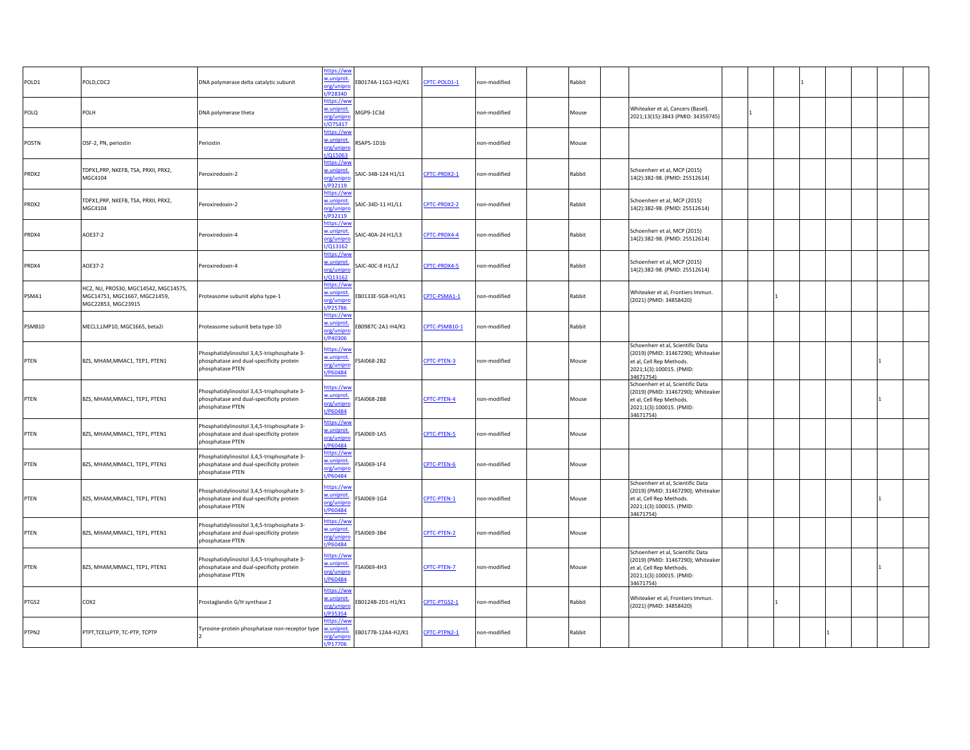| POLD,CDC2                                                                                  | DNA polymerase delta catalytic subunit                                                                      | w.uniprot.<br>t/P28340                                   | EB0174A-11G3-H2/K1                                                                                  | CPTC-POLD1-1  | non-modified | Rabbit |                                                                                                                                              |                                     |  |   |  |
|--------------------------------------------------------------------------------------------|-------------------------------------------------------------------------------------------------------------|----------------------------------------------------------|-----------------------------------------------------------------------------------------------------|---------------|--------------|--------|----------------------------------------------------------------------------------------------------------------------------------------------|-------------------------------------|--|---|--|
| POLH                                                                                       | DNA polymerase theta                                                                                        | https://ww<br>w.uniprot.<br>org/unipro                   | MGP9-1C3d                                                                                           |               | non-modified | Mouse  | Whiteaker et al, Cancers (Basel).<br>2021;13(15):3843 (PMID: 34359745)                                                                       |                                     |  |   |  |
| OSF-2, PN, periostin                                                                       | Periostin                                                                                                   | https://ww<br>w.uniprot.<br>org/unipro                   | RSAP5-1D1b                                                                                          |               | non-modified | Mouse  |                                                                                                                                              |                                     |  |   |  |
| TDPX1, PRP, NKEFB, TSA, PRXII, PRX2,<br>MGC4104                                            | Peroxiredoxin-2                                                                                             | https://ww<br>w.uniprot.<br>org/unipro                   | SAIC-34B-124 H1/L1                                                                                  | CPTC-PRDX2-1  | non-modified | Rabbit | Schoenherr et al, MCP (2015)<br>14(2):382-98. (PMID: 25512614)                                                                               |                                     |  |   |  |
| TDPX1, PRP, NKEFB, TSA, PRXII, PRX2,<br>MGC4104                                            | Peroxiredoxin-2                                                                                             | https://ww<br>w.uniprot.<br>org/unipro<br>t/P32119       | SAIC-34D-11 H1/L1                                                                                   | CPTC-PRDX2-2  | non-modified | Rabbit | Schoenherr et al, MCP (2015)<br>14(2):382-98. (PMID: 25512614)                                                                               |                                     |  |   |  |
| AOE37-2                                                                                    | Peroxiredoxin-4                                                                                             | https://wv<br>w.uniprot.<br>org/unipro<br>t/Q13162       | SAIC-40A-24 H1/L3                                                                                   | CPTC-PRDX4-4  | non-modified | Rabbit | Schoenherr et al, MCP (2015)<br>14(2):382-98. (PMID: 25512614)                                                                               |                                     |  |   |  |
| AOE37-2                                                                                    | Peroxiredoxin-4                                                                                             | https://ww<br>w.uniprot.<br>org/unipro<br>t/Q13162       | SAIC-40C-8 H1/L2                                                                                    | CPTC-PRDX4-5  | non-modified | Rabbit | Schoenherr et al, MCP (2015)<br>14(2):382-98. (PMID: 25512614)                                                                               |                                     |  |   |  |
| HC2, NU, PROS30, MGC14542, MGC14575,<br>MGC14751, MGC1667, MGC21459,<br>MGC22853, MGC23915 | Proteasome subunit alpha type-1                                                                             | https://ww<br>w.uniprot.<br>org/unipro<br>t/P25786       | EB0133E-5G8-H1/K1                                                                                   | CPTC-PSMA1-1  | non-modified | Rabbit | Whiteaker et al, Frontiers Immun.<br>(2021) (PMID: 34858420)                                                                                 |                                     |  |   |  |
| MECL1,LMP10, MGC1665, beta2i                                                               | Proteasome subunit beta type-10                                                                             | <u>nttps://ww</u><br>w.uniprot.<br>org/unipro<br>/P40306 | EB0987C-2A1-H4/K1                                                                                   | CPTC-PSMB10-1 | non-modified | Rabbit |                                                                                                                                              |                                     |  |   |  |
| BZS, MHAM, MMAC1, TEP1, PTEN1                                                              | Phosphatidylinositol 3,4,5-trisphosphate 3-<br>phosphatase and dual-specificity protein<br>phosphatase PTEN | https://ww<br>w.uniprot.<br>org/unipro<br>t/P60484       | SAI068-2B2                                                                                          | CPTC-PTEN-3   | non-modified | Mouse  | Schoenherr et al, Scientific Data<br>(2019) (PMID: 31467290); Whiteaker<br>et al, Cell Rep Methods.<br>2021;1(3):100015. (PMID:              |                                     |  |   |  |
| BZS, MHAM, MMAC1, TEP1, PTEN1                                                              | Phosphatidylinositol 3,4,5-trisphosphate 3-<br>phosphatase and dual-specificity protein<br>phosphatase PTEN | https://ww<br>w.uniprot.<br>org/unipro<br>t/P60484       | FSAI068-2B8                                                                                         | CPTC-PTEN-4   | non-modified | Mouse  | Schoenherr et al, Scientific Data<br>(2019) (PMID: 31467290); Whiteaker<br>et al, Cell Rep Methods.<br>2021;1(3):100015. (PMID:              |                                     |  |   |  |
| BZS, MHAM, MMAC1, TEP1, PTEN1                                                              | Phosphatidylinositol 3,4,5-trisphosphate 3-<br>phosphatase and dual-specificity protein<br>phosphatase PTEN | https://ww<br>w.uniprot.<br>org/unipro<br>t/P60484       | SAI069-1A5                                                                                          | CPTC-PTEN-5   | non-modified | Mouse  |                                                                                                                                              |                                     |  |   |  |
| BZS, MHAM, MMAC1, TEP1, PTEN1                                                              | hosphatidylinositol 3,4,5-trisphosphate 3-<br>phosphatase and dual-specificity protein<br>phosphatase PTEN  | https://ww<br>w.uniprot.<br>t/P60484                     | SAI069-1F4                                                                                          | CPTC-PTEN-6   | non-modified | Mouse  |                                                                                                                                              |                                     |  |   |  |
| BZS, MHAM, MMAC1, TEP1, PTEN1                                                              | Phosphatidylinositol 3,4,5-trisphosphate 3-<br>phosphatase and dual-specificity protein<br>phosphatase PTEN | ittps://ww<br>w.uniprot.<br>org/unipro<br>t/P60484       | FSAI069-1G4                                                                                         | CPTC-PTEN-1   | non-modified | Mouse  | Schoenherr et al, Scientific Data<br>(2019) (PMID: 31467290); Whiteaker<br>et al, Cell Rep Methods.<br>2021;1(3):100015. (PMID:              |                                     |  |   |  |
| BZS, MHAM, MMAC1, TEP1, PTEN1                                                              | Phosphatidylinositol 3,4,5-trisphosphate 3-<br>phosphatase and dual-specificity protein<br>phosphatase PTEN | https://ww<br>w.uniprot.<br>org/unipro<br>/P60484        | FSAI069-3B4                                                                                         | CPTC-PTEN-2   | non-modified | Mouse  |                                                                                                                                              |                                     |  |   |  |
| BZS, MHAM, MMAC1, TEP1, PTEN1                                                              | Phosphatidylinositol 3,4,5-trisphosphate 3-<br>phosphatase and dual-specificity protein<br>phosphatase PTEN | ittps://ww<br>w.uniprot.<br>org/unipro<br>t/P60484       | FSAI069-4H3                                                                                         | CPTC-PTEN-7   | non-modified | Mouse  | Schoenherr et al, Scientific Data<br>(2019) (PMID: 31467290); Whiteaker<br>et al, Cell Rep Methods.<br>2021;1(3):100015. (PMID:<br>34671754) |                                     |  |   |  |
| COX2                                                                                       | Prostaglandin G/H synthase 2                                                                                | https://ww<br>w.uniprot.<br>org/unipn<br>P35354          | EB0124B-2D1-H1/K1                                                                                   | CPTC-PTGS2-1  | non-modified | Rabbit | Whiteaker et al, Frontiers Immun.<br>(2021) (PMID: 34858420)                                                                                 |                                     |  |   |  |
| PTPT, TCELLPTP, TC-PTP, TCPTP                                                              | Tyrosine-protein phosphatase non-receptor type                                                              | https://wv<br>w.uniprot.                                 | EB0177B-12A4-H2/K1                                                                                  | CPTC-PTPN2-1  | non-modified | Rabbit |                                                                                                                                              |                                     |  |   |  |
|                                                                                            |                                                                                                             |                                                          | https://ww<br>org/unipro<br>t/075417<br>/Q15063<br>t/P32119<br>org/unipro<br>org/unipro<br>t/P17706 |               |              |        |                                                                                                                                              | 34671754)<br>34671754)<br>34671754) |  | 1 |  |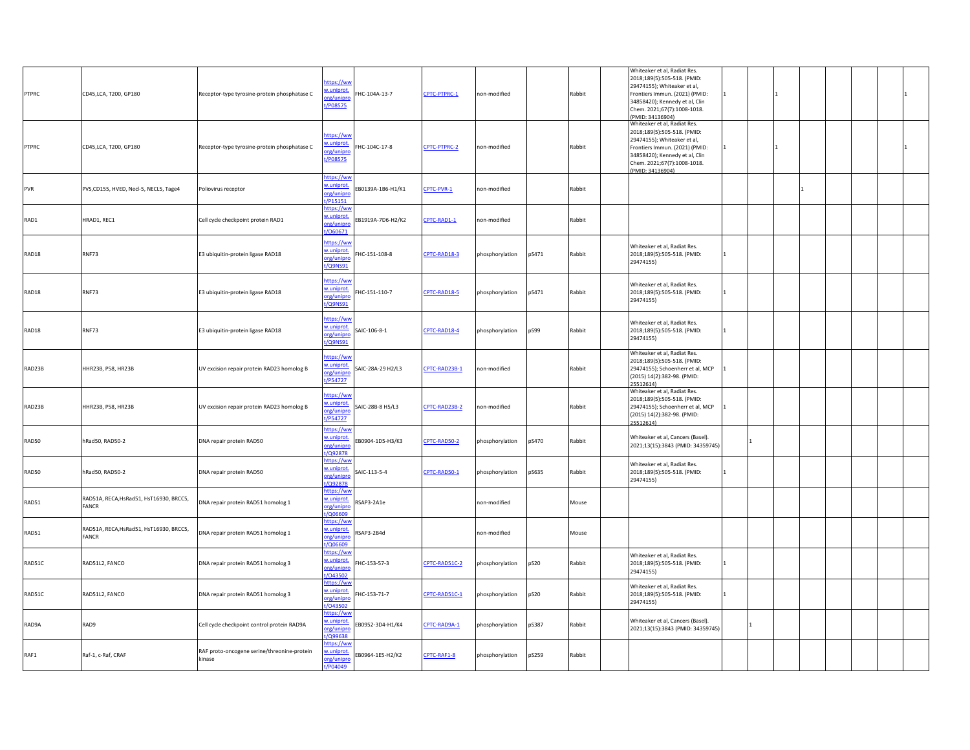| PTPRC  | CD45, LCA, T200, GP180                                  | Receptor-type tyrosine-protein phosphatase C          | ittps://ww<br>v.uniprot<br>HC-104A-13-7<br>org/unipro<br>t/P08575             | CPTC-PTPRC-1  | non-modified    |       | Rabbit | Whiteaker et al, Radiat Res.<br>2018;189(5):505-518. (PMID:<br>29474155); Whiteaker et al,<br>Frontiers Immun. (2021) (PMID:<br>34858420); Kennedy et al, Clin<br>Chem. 2021;67(7):1008-1018.<br>(PMID: 34136904) | $\mathbf{1}$   |  |  |
|--------|---------------------------------------------------------|-------------------------------------------------------|-------------------------------------------------------------------------------|---------------|-----------------|-------|--------|-------------------------------------------------------------------------------------------------------------------------------------------------------------------------------------------------------------------|----------------|--|--|
| PTPRC  | CD45, LCA, T200, GP180                                  | Receptor-type tyrosine-protein phosphatase C          | https://ww<br>w.uniprot<br>HC-104C-17-8<br>prg/unipro<br>t/P08575             | CPTC-PTPRC-2  | non-modified    |       | Rabbit | Whiteaker et al, Radiat Res.<br>2018;189(5):505-518. (PMID:<br>29474155); Whiteaker et al,<br>Frontiers Immun. (2021) (PMID:<br>34858420); Kennedy et al, Clin<br>Chem. 2021;67(7):1008-1018.<br>(PMID: 34136904) |                |  |  |
| PVR    | PVS,CD155, HVED, Necl-5, NECL5, Tage4                   | Poliovirus receptor                                   | ittps://ww<br>w.uniprot<br>B0139A-1B6-H1/K1<br>org/unipro<br>t/P15151         | CPTC-PVR-1    | non-modified    |       | Rabbit |                                                                                                                                                                                                                   |                |  |  |
| RAD1   | HRAD1, REC1                                             | Cell cycle checkpoint protein RAD1                    | ittps://wv<br>w.uniprot<br>B1919A-7D6-H2/K2<br>org/unipre<br>060671           | CPTC-RAD1-1   | non-modified    |       | Rabbit |                                                                                                                                                                                                                   |                |  |  |
| RAD18  | RNF73                                                   | E3 ubiquitin-protein ligase RAD18                     | ttps://ww<br>w.uniprot<br>HC-151-108-8<br>org/unipre<br>/Q9NS91               | CPTC-RAD18-3  | phosphorylation | pS471 | Rabbit | Whiteaker et al, Radiat Res.<br>2018;189(5):505-518. (PMID:<br>29474155)                                                                                                                                          | $\overline{1}$ |  |  |
| RAD18  | RNF73                                                   | E3 ubiquitin-protein ligase RAD18                     | https://ww<br>w.uniprot<br>HC-151-110-7<br>org/unipro<br>t/Q9NS91             | CPTC-RAD18-5  | phosphorylation | pS471 | Rabbit | Whiteaker et al, Radiat Res.<br>2018;189(5):505-518. (PMID:<br>29474155)                                                                                                                                          |                |  |  |
| RAD18  | RNF73                                                   | E3 ubiquitin-protein ligase RAD18                     | nttps://ww<br>w.uniprot<br>AIC-106-8-1<br>org/unipro<br>t/Q9NS91              | CPTC-RAD18-4  | phosphorylation | pS99  | Rabbit | Whiteaker et al, Radiat Res.<br>2018;189(5):505-518. (PMID:<br>29474155)                                                                                                                                          |                |  |  |
| RAD23B | HHR23B, P58, HR23B                                      | UV excision repair protein RAD23 homolog B            | ittps://ww<br>w.uniprot<br>AIC-28A-29 H2/L3<br>org/unipre<br>t/P54727         | CPTC-RAD23B-1 | non-modified    |       | Rabbit | Whiteaker et al, Radiat Res.<br>2018;189(5):505-518. (PMID:<br>29474155); Schoenherr et al, MCP<br>(2015) 14(2):382-98. (PMID:<br>25512614)                                                                       |                |  |  |
| RAD23B | HHR23B, P58, HR23B                                      | UV excision repair protein RAD23 homolog B            | https://ww<br>v.uniprot<br><b>SAIC-28B-8 H5/L3</b><br>org/unipro<br>t/P54727  | CPTC-RAD23B-2 | non-modified    |       | Rabbit | Whiteaker et al, Radiat Res.<br>2018;189(5):505-518. (PMID:<br>29474155); Schoenherr et al, MCP<br>(2015) 14(2):382-98. (PMID:<br>25512614)                                                                       |                |  |  |
| RAD50  | hRad50, RAD50-2                                         | DNA repair protein RAD50                              | ttps://ww<br>w.uniprot.<br>B0904-1D5-H3/K3<br>org/unipro<br>/Q92878           | CPTC-RAD50-2  | phosphorylation | pS470 | Rabbit | Whiteaker et al, Cancers (Basel).<br>2021;13(15):3843 (PMID: 34359745)                                                                                                                                            |                |  |  |
| RAD50  | hRad50, RAD50-2                                         | DNA repair protein RAD50                              | <u>https://ww</u><br>w.uniprot<br>AIC-113-5-4<br>org/unipro<br><b>/Q92878</b> | CPTC-RAD50-1  | phosphorylation | pS635 | Rabbit | Whiteaker et al, Radiat Res.<br>2018;189(5):505-518. (PMID:<br>29474155)                                                                                                                                          | 11             |  |  |
| RAD51  | RAD51A, RECA, HsRad51, HsT16930, BRCC5,<br><b>FANCR</b> | DNA repair protein RAD51 homolog 1                    | nttps://ww<br>w.uniprot<br>SAP3-2A1e<br>org/unipro<br>/Q06609                 |               | non-modified    |       | Mouse  |                                                                                                                                                                                                                   |                |  |  |
| RAD51  | RAD51A, RECA, HsRad51, HsT16930, BRCC5,<br><b>FANCR</b> | DNA repair protein RAD51 homolog 1                    | ittps://ww<br>w.uniprot.<br>SAP3-2B4d<br>org/unipro<br>/Q06609                |               | non-modified    |       | Mouse  |                                                                                                                                                                                                                   |                |  |  |
| RAD51C | RAD51L2, FANCO                                          | DNA repair protein RAD51 homolog 3                    | https://ww<br>w.uniprot<br>HC-153-57-3<br>org/unipro<br>/043502               | CPTC-RAD51C-2 | phosphorylation | pS20  | Rabbit | Whiteaker et al, Radiat Res.<br>2018;189(5):505-518. (PMID:<br>29474155)                                                                                                                                          | 11.            |  |  |
| RAD51C | RAD51L2, FANCO                                          | DNA repair protein RAD51 homolog 3                    | ttps://ww<br>w.uniprot<br>HC-153-71-7<br>org/unipre<br>/043502                | CPTC-RAD51C-1 | phosphorylation | pS20  | Rabbit | Whiteaker et al, Radiat Res.<br>2018;189(5):505-518. (PMID:<br>29474155)                                                                                                                                          |                |  |  |
| RAD9A  | RAD9                                                    | Cell cycle checkpoint control protein RAD9A           | https://ww<br>w.uniprot<br>EB0952-3D4-H1/K4<br>org/unipro<br>/Q99638          | CPTC-RAD9A-1  | phosphorylation | pS387 | Rabbit | Whiteaker et al, Cancers (Basel).<br>2021;13(15):3843 (PMID: 34359745)                                                                                                                                            | 1              |  |  |
| RAF1   | Raf-1, c-Raf, CRAF                                      | RAF proto-oncogene serine/threonine-protein<br>kinase | ttps://ww<br>w.uniprot.<br>EB0964-1E5-H2/K2<br>org/unipro<br>t/P04049         | CPTC-RAF1-8   | phosphorylation | pS259 | Rabbit |                                                                                                                                                                                                                   |                |  |  |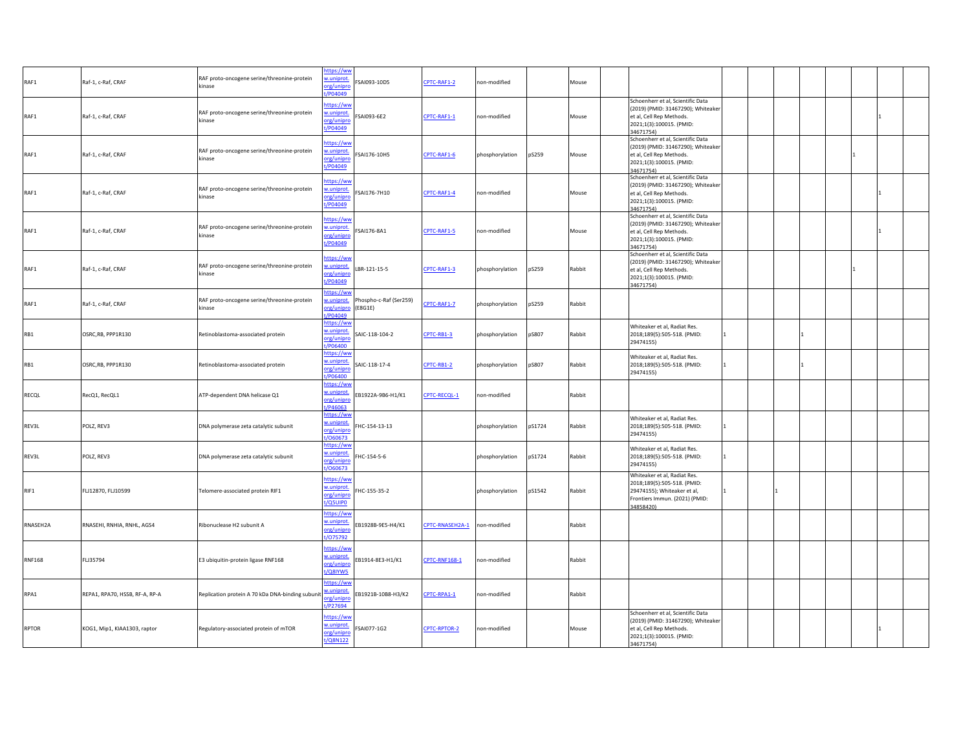| RAF1          | Raf-1, c-Raf, CRAF             | RAF proto-oncogene serine/threonine-protein<br>kinase | nttps://ww<br>uniprot.<br>SAI093-10D5<br>org/unipre<br>/P04049                    | CPTC-RAF1-2          | non-modified    |        | Mouse  |                                                                                                                                              |              |  |    |  |
|---------------|--------------------------------|-------------------------------------------------------|-----------------------------------------------------------------------------------|----------------------|-----------------|--------|--------|----------------------------------------------------------------------------------------------------------------------------------------------|--------------|--|----|--|
| RAF1          | Raf-1, c-Raf, CRAF             | RAF proto-oncogene serine/threonine-protein<br>kinase | ittps://ww<br>v.uniprot<br>SAI093-6E2<br>org/unipro<br>P04049                     | CPTC-RAF1-1          | non-modified    |        | Mouse  | Schoenherr et al, Scientific Data<br>(2019) (PMID: 31467290); Whiteaker<br>et al, Cell Rep Methods.<br>2021;1(3):100015. (PMID:<br>34671754) |              |  |    |  |
| RAF1          | Raf-1, c-Raf, CRAF             | RAF proto-oncogene serine/threonine-protein<br>kinase | ittps://ww<br>v.uniprot<br>SAI176-10H5<br>org/unipre<br>P04049                    | CPTC-RAF1-6          | phosphorylation | pS259  | Mouse  | Schoenherr et al, Scientific Data<br>(2019) (PMID: 31467290); Whiteaker<br>et al, Cell Rep Methods.<br>2021;1(3):100015. (PMID:<br>34671754) |              |  |    |  |
| RAF1          | Raf-1, c-Raf, CRAF             | RAF proto-oncogene serine/threonine-protein<br>kinase | ttps://ww<br>v.uniprot<br>SAI176-7H10<br>org/unipro<br>P04049                     | CPTC-RAF1-4          | on-modified     |        | Mouse  | Schoenherr et al, Scientific Data<br>(2019) (PMID: 31467290); Whiteaker<br>et al, Cell Rep Methods.<br>2021;1(3):100015. (PMID:<br>34671754) |              |  |    |  |
| RAF1          | Raf-1, c-Raf, CRAF             | RAF proto-oncogene serine/threonine-protein<br>kinase | ttps://ww<br>w.uniprot<br>SAI176-8A1<br>rg/unipro<br>P04049                       | CPTC-RAF1-5          | non-modified    |        | Mouse  | Schoenherr et al, Scientific Data<br>(2019) (PMID: 31467290); Whiteaker<br>et al, Cell Rep Methods.<br>2021;1(3):100015. (PMID:<br>34671754) |              |  |    |  |
| RAF1          | Raf-1, c-Raf, CRAF             | RAF proto-oncogene serine/threonine-protein<br>kinase | ittps://ww<br>v.uniprot<br>LBR-121-15-5<br>org/unipro<br>P04049                   | CPTC-RAF1-3          | phosphorylation | pS259  | Rabbit | Schoenherr et al, Scientific Data<br>(2019) (PMID: 31467290); Whiteaker<br>et al, Cell Rep Methods.<br>2021;1(3):100015. (PMID:<br>34671754) |              |  | I1 |  |
| RAF1          | Raf-1, c-Raf, CRAF             | RAF proto-oncogene serine/threonine-protein<br>kinase | ttps://wv<br>hospho-c-Raf (Ser259)<br>uniprot.<br>org/unipro<br>(E8G1E)<br>P04049 | CPTC-RAF1-7          | phosphorylation | pS259  | Rabbit |                                                                                                                                              |              |  |    |  |
| RB1           | OSRC, RB, PPP1R130             | Retinoblastoma-associated protein                     | ittps://wv<br>w.uniprot<br>SAIC-118-104-2<br>org/unipro<br>/P06400                | CPTC-RB1-3           | phosphorylation | pS807  | Rabbit | Whiteaker et al, Radiat Res.<br>2018;189(5):505-518. (PMID:<br>29474155)                                                                     | $\mathbf{1}$ |  |    |  |
| RB1           | OSRC, RB, PPP1R130             | Retinoblastoma-associated protein                     | ttps://ww<br>v.uniprot.<br>SAIC-118-17-4<br>org/unipro<br>P06400                  | CPTC-RB1-2           | phosphorylation | pS807  | Rabbit | Whiteaker et al, Radiat Res.<br>2018;189(5):505-518. (PMID:<br>29474155)                                                                     |              |  |    |  |
| RECQL         | RecQ1, RecQL1                  | ATP-dependent DNA helicase Q1                         | ittps://ww<br>w.uniprot<br>EB1922A-9B6-H1/K1<br>org/unipre<br>P46063              | CPTC-RECQL-1         | on-modified     |        | Rabbit |                                                                                                                                              |              |  |    |  |
| REV3L         | POLZ, REV3                     | DNA polymerase zeta catalytic subunit                 | https://ww<br>w.uniprot<br>FHC-154-13-13<br>org/unipro<br>/060673                 |                      | phosphorylation | pS1724 | Rabbit | Whiteaker et al, Radiat Res.<br>2018;189(5):505-518. (PMID:<br>29474155)                                                                     | 11           |  |    |  |
| REV3L         | POLZ, REV3                     | DNA polymerase zeta catalytic subunit                 | https://wv<br>w.uniprot<br>HC-154-5-6<br>org/unipro<br>/060673                    |                      | phosphorylation | pS1724 | Rabbit | Whiteaker et al, Radiat Res.<br>2018;189(5):505-518. (PMID:<br>29474155)                                                                     | 11           |  |    |  |
| RIF1          | FLJ12870, FLJ10599             | Telomere-associated protein RIF1                      | ittps://ww<br>w.uniprot<br>HC-155-35-2<br>org/unipro<br>/Q5UIPO                   |                      | phosphorylation | pS1542 | Rabbit | Whiteaker et al, Radiat Res.<br>2018;189(5):505-518. (PMID:<br>29474155); Whiteaker et al,<br>Frontiers Immun. (2021) (PMID:<br>34858420)    |              |  |    |  |
| RNASEH2A      | RNASEHI, RNHIA, RNHL, AGS4     | Ribonuclease H2 subunit A                             | nttps://wv<br>w.uniprot<br>B1928B-9E5-H4/K1<br>org/unipre<br>/075792              | CPTC-RNASEH2A-1      | non-modified    |        | Rabbit |                                                                                                                                              |              |  |    |  |
| <b>RNF168</b> | FLJ35794                       | E3 ubiquitin-protein ligase RNF168                    | ittps://ww<br>w.uniprot<br>B1914-8E3-H1/K1<br>org/unipro<br>/Q8IYW5               | <b>CPTC-RNF168-1</b> | non-modified    |        | Rabbit |                                                                                                                                              |              |  |    |  |
| RPA1          | REPA1, RPA70, HSSB, RF-A, RP-A | Replication protein A 70 kDa DNA-binding subuni       | ttps://ww<br>uniprot.<br>EB1921B-10B8-H3/K2<br>rg/unipro<br>P27694                | CPTC-RPA1-1          | on-modified     |        | Rabbit |                                                                                                                                              |              |  |    |  |
| <b>RPTOR</b>  | KOG1, Mip1, KIAA1303, raptor   | Regulatory-associated protein of mTOR                 | https://wv<br>v.uniprot<br>SAI077-1G2<br>org/unipre<br>/Q8N122                    | CPTC-RPTOR-2         | non-modified    |        | Mouse  | Schoenherr et al, Scientific Data<br>(2019) (PMID: 31467290); Whiteaker<br>et al, Cell Rep Methods.<br>2021;1(3):100015. (PMID:<br>34671754) |              |  |    |  |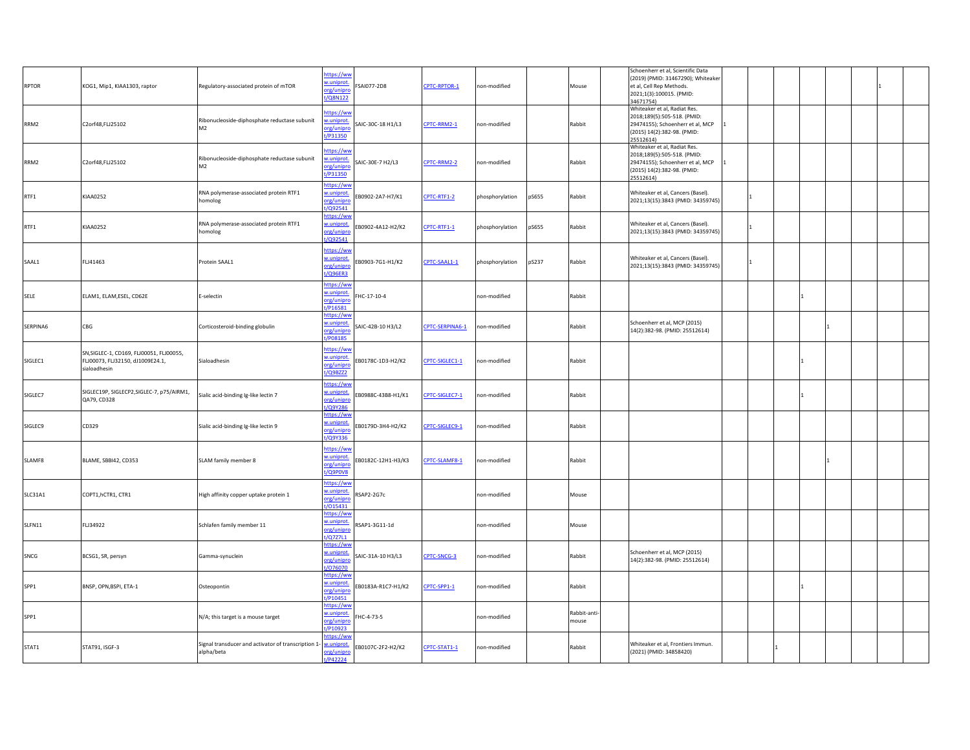| <b>RPTOR</b>   | KOG1, Mip1, KIAA1303, raptor                                                                 | Regulatory-associated protein of mTOR                                        | https://ww<br>w.uniprot<br>SAI077-2D8<br>org/unipro<br>t/Q8N122                  | CPTC-RPTOR-1    | non-modified    |       | Mouse                 | Schoenherr et al, Scientific Data<br>(2019) (PMID: 31467290); Whiteaker<br>et al, Cell Rep Methods.<br>2021;1(3):100015. (PMID:<br>34671754) |   |  |  |
|----------------|----------------------------------------------------------------------------------------------|------------------------------------------------------------------------------|----------------------------------------------------------------------------------|-----------------|-----------------|-------|-----------------------|----------------------------------------------------------------------------------------------------------------------------------------------|---|--|--|
| RRM2           | C2orf48,FLJ25102                                                                             | Ribonucleoside-diphosphate reductase subunit<br>M <sub>2</sub>               | ttps://ww<br>w.uniprot<br>SAIC-30C-18 H1/L3<br>org/unipro<br>t/P31350            | CPTC-RRM2-1     | non-modified    |       | Rabbit                | Whiteaker et al, Radiat Res.<br>2018;189(5):505-518. (PMID:<br>29474155); Schoenherr et al, MCP<br>(2015) 14(2):382-98. (PMID:<br>25512614)  |   |  |  |
| RRM2           | C2orf48,FLJ25102                                                                             | Ribonucleoside-diphosphate reductase subunit<br>M <sub>2</sub>               | ittps://ww<br>v.uniprot<br>AIC-30E-7 H2/L3<br>org/unipro<br>t/P31350             | CPTC-RRM2-2     | non-modified    |       | Rabbit                | Whiteaker et al, Radiat Res.<br>2018;189(5):505-518. (PMID:<br>29474155); Schoenherr et al, MCP<br>(2015) 14(2):382-98. (PMID:<br>25512614)  |   |  |  |
| RTF1           | <b>KIAA0252</b>                                                                              | RNA polymerase-associated protein RTF1<br>homolog                            | ittps://ww<br>w.uniprot<br>B0902-2A7-H7/K1<br>org/unipro<br>/Q92541              | CPTC-RTF1-2     | phosphorylation | pS655 | Rabbit                | Whiteaker et al, Cancers (Basel).<br>2021;13(15):3843 (PMID: 34359745)                                                                       |   |  |  |
| RTF1           | <b>KIAA0252</b>                                                                              | RNA polymerase-associated protein RTF1<br>homolog                            | ttps://ww<br>w.uniprot<br>B0902-4A12-H2/K2<br>org/unipro<br>1/Q92541             | CPTC-RTF1-1     | phosphorylation | pS655 | Rabbit                | Whiteaker et al, Cancers (Basel).<br>2021;13(15):3843 (PMID: 34359745)                                                                       |   |  |  |
| SAAL1          | FLJ41463                                                                                     | Protein SAAL1                                                                | ittps://ww<br>w.uniprot<br>B0903-7G1-H1/K2<br>org/unipro<br>:/Q96ER3             | CPTC-SAAL1-1    | phosphorylation | pS237 | Rabbit                | Whiteaker et al, Cancers (Basel).<br>2021;13(15):3843 (PMID: 34359745)                                                                       | 1 |  |  |
| SELE           | ELAM1, ELAM, ESEL, CD62E                                                                     | E-selectin                                                                   | nttps://ww<br>w.uniprot.<br>HC-17-10-4<br>org/unipro<br>t/P16581                 |                 | non-modified    |       | Rabbit                |                                                                                                                                              |   |  |  |
| SERPINA6       | CBG                                                                                          | Corticosteroid-binding globulin                                              | https://ww<br>w.uniprot.<br>SAIC-42B-10 H3/L2<br>org/unipro<br>/P08185           | CPTC-SERPINA6-1 | non-modified    |       | Rabbit                | Schoenherr et al, MCP (2015)<br>14(2):382-98. (PMID: 25512614)                                                                               |   |  |  |
| SIGLEC1        | SN, SIGLEC-1, CD169, FLJ00051, FLJ00055,<br>FLJ00073, FLJ32150, dJ1009E24.1,<br>sialoadhesin | Sialoadhesin                                                                 | https://ww<br>w.uniprot<br>B0178C-1D3-H2/K2<br>org/unipro<br>t/Q9BZZ2            | CPTC-SIGLEC1-1  | non-modified    |       | Rabbit                |                                                                                                                                              |   |  |  |
| SIGLEC7        | SIGLEC19P, SIGLECP2, SIGLEC-7, p75/AIRM1,<br>QA79, CD328                                     | Sialic acid-binding Ig-like lectin 7                                         | ttps://ww<br>w.uniprot<br>B0988C-43B8-H1/K1<br>org/unipre<br>:/Q9Y286            | CPTC-SIGLEC7-1  | non-modified    |       | Rabbit                |                                                                                                                                              |   |  |  |
| SIGLEC9        | CD329                                                                                        | Sialic acid-binding Ig-like lectin 9                                         | https://ww<br>w.uniprot<br>EB0179D-3H4-H2/K2<br>org/unipro<br>/Q9Y336            | CPTC-SIGLEC9-1  | non-modified    |       | Rabbit                |                                                                                                                                              |   |  |  |
| SLAMF8         | BLAME, SBBI42, CD353                                                                         | SLAM family member 8                                                         | ittps://ww<br>w.uniprot<br>EB0182C-12H1-H3/K3<br>org/unipro<br>t/Q9P0V8          | CPTC-SLAMF8-1   | on-modified     |       | Rabbit                |                                                                                                                                              |   |  |  |
| <b>SLC31A1</b> | COPT1, hCTR1, CTR1                                                                           | High affinity copper uptake protein 1                                        | https://ww<br>w.uniprot.<br>SAP2-2G7c<br>org/unipro<br>/015431                   |                 | non-modified    |       | Mouse                 |                                                                                                                                              |   |  |  |
| SLFN11         | FLJ34922                                                                                     | Schlafen family member 11                                                    | nttps://ww<br>w.uniprot<br>3AP1-3G11-1d<br>org/unipre<br>/Q7Z7L1                 |                 | non-modified    |       | Mouse                 |                                                                                                                                              |   |  |  |
| SNCG           | BCSG1, SR, persyn                                                                            | Gamma-synuclein                                                              | ttps://ww<br>w.uniprot<br>SAIC-31A-10 H3/L3<br>org/unipre<br>$\frac{1}{1076070}$ | CPTC-SNCG-3     | non-modified    |       | Rabbit                | Schoenherr et al, MCP (2015)<br>14(2):382-98. (PMID: 25512614)                                                                               |   |  |  |
| SPP1           | BNSP, OPN, BSPI, ETA-1                                                                       | Osteopontin                                                                  | https://wv<br>w.uniprot<br>B0183A-R1C7-H1/K2<br>org/unipro<br>t/P10451           | CPTC-SPP1-1     | non-modified    |       | Rabbit                |                                                                                                                                              |   |  |  |
| SPP1           |                                                                                              | N/A; this target is a mouse target                                           | <u>https://ww</u><br>w.uniprot.<br>HC-4-73-5<br>org/unipro<br>P10923             |                 | non-modified    |       | Rabbit-anti-<br>mouse |                                                                                                                                              |   |  |  |
| STAT1          | STAT91, ISGF-3                                                                               | Signal transducer and activator of transcription 1- w.uniprot.<br>alpha/beta | ttps://ww<br>EB0107C-2F2-H2/K2<br>org/unipro<br>t/P42224                         | CPTC-STAT1-1    | non-modified    |       | Rabbit                | Whiteaker et al, Frontiers Immun.<br>(2021) (PMID: 34858420)                                                                                 |   |  |  |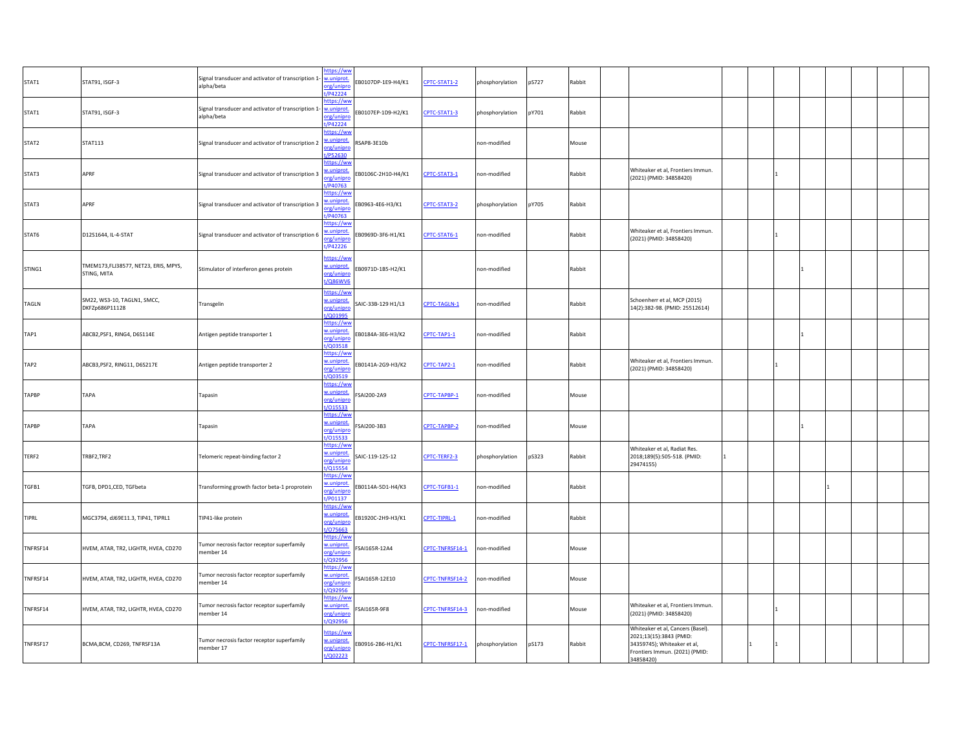| STAT1        | STAT91, ISGF-3                                      | Signal transducer and activator of transcription 1-<br>alpha/beta           | https://ww<br>w.uniprot<br>org/unipro<br>/P42224       | B0107DP-1E9-H4/K1  | CPTC-STAT1-2    | phosphorylation | pS727 | Rabbit |                                                                                                                                            |              |  |  |
|--------------|-----------------------------------------------------|-----------------------------------------------------------------------------|--------------------------------------------------------|--------------------|-----------------|-----------------|-------|--------|--------------------------------------------------------------------------------------------------------------------------------------------|--------------|--|--|
| STAT1        | STAT91, ISGF-3                                      | Signal transducer and activator of transcription 1- w.uniprot<br>alpha/beta | ittps://wv<br>org/unipro<br>P42224                     | B0107EP-1D9-H2/K1  | CPTC-STAT1-3    | phosphorylation | pY701 | Rabbit |                                                                                                                                            |              |  |  |
| STAT2        | STAT113                                             | Signal transducer and activator of transcription 2                          | ttps://ww<br>.uniprot<br>rg/unipro<br>P52630           | SAP8-3E10b         |                 | non-modified    |       | Mouse  |                                                                                                                                            |              |  |  |
| STAT3        | APRF                                                | Signal transducer and activator of transcription 3                          | https://ww<br>v.uniprot<br>org/unipro<br>P40763        | B0106C-2H10-H4/K1  | CPTC-STAT3-1    | non-modified    |       | Rabbit | Whiteaker et al, Frontiers Immun.<br>(2021) (PMID: 34858420)                                                                               |              |  |  |
| STAT3        | APRF                                                | Signal transducer and activator of transcription 3                          | ittps://wv<br>uniprot<br>org/unipro<br>P40763          | EB0963-4E6-H3/K1   | CPTC-STAT3-2    | phosphorylation | pY705 | Rabbit |                                                                                                                                            |              |  |  |
| STAT6        | D12S1644, IL-4-STAT                                 | Signal transducer and activator of transcription 6                          | https://wv<br>uniprot.<br>rg/unipro<br>t/P42226        | EB0969D-3F6-H1/K1  | CPTC-STAT6-1    | non-modified    |       | Rabbit | Whiteaker et al, Frontiers Immun.<br>(2021) (PMID: 34858420)                                                                               |              |  |  |
| STING1       | TMEM173,FLJ38577, NET23, ERIS, MPYS,<br>STING, MITA | Stimulator of interferon genes protein                                      | https://ww<br>w.uniprot<br>org/unipro<br><b>Q86WV6</b> | B0971D-1B5-H2/K1   |                 | non-modified    |       | Rabbit |                                                                                                                                            |              |  |  |
| TAGLN        | SM22, WS3-10, TAGLN1, SMCC,<br>DKFZp686P11128       | Transgelin                                                                  | ttps://ww<br>w.uniprot<br>org/unipro<br>/Q01995        | SAIC-33B-129 H1/L3 | CPTC-TAGLN-1    | on-modified     |       | Rabbit | Schoenherr et al, MCP (2015)<br>14(2):382-98. (PMID: 25512614)                                                                             |              |  |  |
| TAP1         | ABCB2, PSF1, RING4, D6S114E                         | Antigen peptide transporter 1                                               | https://wv<br>w.uniprot<br>org/unipro<br>/Q03518       | EB0184A-3E6-H3/K2  | CPTC-TAP1-1     | non-modified    |       | Rabbit |                                                                                                                                            |              |  |  |
| TAP2         | ABCB3, PSF2, RING11, D6S217E                        | Antigen peptide transporter 2                                               | https://ww<br>w.uniprot<br>prg/unipre<br>Q03519        | EB0141A-2G9-H3/K2  | CPTC-TAP2-1     | non-modified    |       | Rabbit | Whiteaker et al, Frontiers Immun.<br>(2021) (PMID: 34858420)                                                                               |              |  |  |
| <b>TAPBP</b> | TAPA                                                | Tapasin                                                                     | https://ww<br>w.uniprot<br>org/unipre<br>/015533       | FSAI200-2A9        | CPTC-TAPBP-1    | non-modified    |       | Mouse  |                                                                                                                                            |              |  |  |
| TAPBP        | TAPA                                                | Tapasin                                                                     | https://ww<br>w.uniprot<br>org/unipro<br>t/015533      | SAI200-3B3         | CPTC-TAPBP-2    | non-modified    |       | Mouse  |                                                                                                                                            |              |  |  |
| TERF2        | TRBF2,TRF2                                          | Telomeric repeat-binding factor 2                                           | nttps://wv<br>w.uniprot<br>org/unipro<br>Q15554        | SAIC-119-125-12    | CPTC-TERF2-3    | phosphorylation | pS323 | Rabbit | Whiteaker et al, Radiat Res.<br>2018;189(5):505-518. (PMID:<br>29474155)                                                                   | $\mathbf{1}$ |  |  |
| TGFB1        | TGFB, DPD1,CED, TGFbeta                             | Transforming growth factor beta-1 proprotein                                | ttps://ww<br>.uniprot<br>rg/unipr<br>/P01137           | EB0114A-5D1-H4/K3  | CPTC-TGFB1-1    | non-modified    |       | Rabbit |                                                                                                                                            |              |  |  |
| TIPRL        | MGC3794, dJ69E11.3, TIP41, TIPRL1                   | TIP41-like protein                                                          | https://ww<br>w.uniprot<br>org/unipro<br>075663        | EB1920C-2H9-H3/K1  | CPTC-TIPRL-1    | non-modified    |       | Rabbit |                                                                                                                                            |              |  |  |
| TNFRSF14     | HVEM, ATAR, TR2, LIGHTR, HVEA, CD270                | Tumor necrosis factor receptor superfamily<br>member 14                     | ttps://ww<br>v.uniprot<br>org/unipro<br>/Q92956        | SAI165R-12A4       | CPTC-TNFRSF14-1 | on-modified     |       | Mouse  |                                                                                                                                            |              |  |  |
| TNFRSF14     | HVEM, ATAR, TR2, LIGHTR, HVEA, CD270                | Tumor necrosis factor receptor superfamily<br>member 14                     | https://ww<br>v.uniprot<br>org/unipro<br>/Q92956       | SAI165R-12E10      | CPTC-TNFRSF14-2 | non-modified    |       | Mouse  |                                                                                                                                            |              |  |  |
| TNFRSF14     | HVEM, ATAR, TR2, LIGHTR, HVEA, CD270                | Tumor necrosis factor receptor superfamily<br>member 14                     | https://ww<br>w.uniprot<br>org/unipro<br>/Q92956       | SAI165R-9F8        | CPTC-TNFRSF14-3 | on-modified     |       | Mouse  | Whiteaker et al, Frontiers Immun.<br>(2021) (PMID: 34858420)                                                                               |              |  |  |
| TNFRSF17     | BCMA, BCM, CD269, TNFRSF13A                         | Tumor necrosis factor receptor superfamily<br>member 17                     | ttps://ww<br>v.uniprot<br>org/unipre<br>t/Q02223       | EB0916-2B6-H1/K1   | CPTC-TNFRSF17-1 | phosphorylation | pS173 | Rabbit | Whiteaker et al, Cancers (Basel).<br>2021;13(15):3843 (PMID:<br>34359745); Whiteaker et al,<br>Frontiers Immun. (2021) (PMID:<br>34858420) | $\mathbf{1}$ |  |  |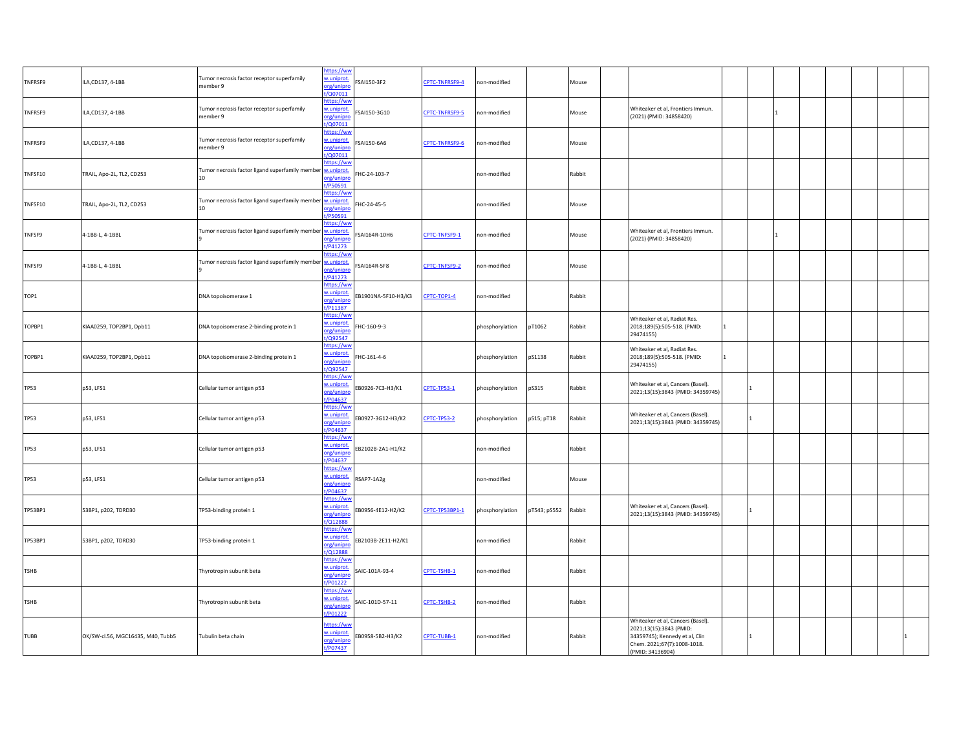| TNFRSF9     | ILA, CD137, 4-1BB                 | Tumor necrosis factor receptor superfamily<br>member 9                              | https://ww<br>w.uniprot<br>SAI150-3F2<br>org/unipro<br>/Q07011          | CPTC-TNFRSF9-4     | non-modified    |              | Mouse  |                                                                                                                                                   |              |  |  |  |
|-------------|-----------------------------------|-------------------------------------------------------------------------------------|-------------------------------------------------------------------------|--------------------|-----------------|--------------|--------|---------------------------------------------------------------------------------------------------------------------------------------------------|--------------|--|--|--|
| TNFRSF9     | ILA,CD137, 4-1BB                  | Tumor necrosis factor receptor superfamily<br>member 9                              | nttps://ww<br>w.uniprot<br>SAI150-3G10<br>org/unipro<br>$\sqrt{007011}$ | CPTC-TNFRSF9-5     | non-modified    |              | Mouse  | Whiteaker et al, Frontiers Immun.<br>(2021) (PMID: 34858420)                                                                                      |              |  |  |  |
| TNFRSF9     | ILA, CD137, 4-1BB                 | Tumor necrosis factor receptor superfamily<br>nember 9                              | ttps://ww<br>w.uniprot<br>SAI150-6A6<br>org/unipro<br>t/Q07011          | CPTC-TNFRSF9-6     | on-modified     |              | Mouse  |                                                                                                                                                   |              |  |  |  |
| TNFSF10     | TRAIL, Apo-2L, TL2, CD253         | Tumor necrosis factor ligand superfamily member<br>10                               | ittps://ww<br>w.uniprot<br>HC-24-103-7<br>org/unipro<br>P50591          |                    | non-modified    |              | Rabbit |                                                                                                                                                   |              |  |  |  |
| TNFSF10     | TRAIL, Apo-2L, TL2, CD253         | Tumor necrosis factor ligand superfamily member <b>waniprot</b><br>10 <sup>10</sup> | ittps://wv<br>HC-24-45-5<br>org/unipro<br>/P50591                       |                    | non-modified    |              | Mouse  |                                                                                                                                                   |              |  |  |  |
| TNFSF9      | 4-1BB-L, 4-1BBL                   | Tumor necrosis factor ligand superfamily member                                     | nttps://ww<br>w.uniprot<br>SAI164R-10H6<br>org/unipro<br>/P41273        | CPTC-TNFSF9-1      | non-modified    |              | Mouse  | Whiteaker et al, Frontiers Immun.<br>(2021) (PMID: 34858420)                                                                                      |              |  |  |  |
| TNFSF9      | 4-1BB-L, 4-1BBL                   | Tumor necrosis factor ligand superfamily member                                     | ttps://ww<br>w.uniprot<br>SAI164R-5F8<br>rg/unipr<br>/P41273            | CPTC-TNFSF9-2      | non-modified    |              | Mouse  |                                                                                                                                                   |              |  |  |  |
| TOP1        |                                   | DNA topoisomerase 1                                                                 | nttps://ww<br>w.uniprot<br>B1901NA-5F10-H3/K3<br>org/unipre<br>t/P11387 | CPTC-TOP1-4        | non-modified    |              | Rabbit |                                                                                                                                                   |              |  |  |  |
| TOPBP1      | KIAA0259, TOP2BP1, Dpb11          | DNA topoisomerase 2-binding protein 1                                               | https://wv<br>w.uniprot.<br>HC-160-9-3<br>org/unipro<br>/Q92547         |                    | phosphorylation | pT1062       | Rabbit | Whiteaker et al, Radiat Res.<br>2018;189(5):505-518. (PMID:<br>29474155)                                                                          | $\mathbf{1}$ |  |  |  |
| TOPBP1      | KIAA0259, TOP2BP1, Dpb11          | DNA topoisomerase 2-binding protein 1                                               | nttps://ww<br>w.uniprot<br>HC-161-4-6<br>org/unipro<br>/Q92547          |                    | phosphorylation | pS1138       | Rabbit | Whiteaker et al, Radiat Res.<br>2018;189(5):505-518. (PMID:<br>29474155)                                                                          | 1            |  |  |  |
| TP53        | p53, LFS1                         | Cellular tumor antigen p53                                                          | ttps://ww<br>w.uniprot<br>B0926-7C3-H3/K1<br>org/unipre<br>/P04637      | CPTC-TP53-1        | phosphorylation | pS315        | Rabbit | Whiteaker et al, Cancers (Basel).<br>2021;13(15):3843 (PMID: 34359745)                                                                            |              |  |  |  |
| <b>TP53</b> | p53, LFS1                         | Cellular tumor antigen p53                                                          | https://ww<br>w.uniprot<br>B0927-3G12-H3/K2<br>org/unipr<br>t/P04637    | <b>CPTC-TP53-2</b> | phosphorylation | pS15; pT18   | Rabbit | Whiteaker et al, Cancers (Basel).<br>2021;13(15):3843 (PMID: 34359745)                                                                            |              |  |  |  |
| <b>TP53</b> | p53, LFS1                         | Cellular tumor antigen p53                                                          | https://ww<br>w.uniprot.<br>B2102B-2A1-H1/K2<br>org/unipro<br>t/P04637  |                    | non-modified    |              | Rabbit |                                                                                                                                                   |              |  |  |  |
| <b>TP53</b> | p53, LFS1                         | Cellular tumor antigen p53                                                          | https://ww<br>w.uniprot<br>SAP7-1A2g<br>org/unipro<br>/P04637           |                    | non-modified    |              | Mouse  |                                                                                                                                                   |              |  |  |  |
| TP53BP1     | 53BP1, p202, TDRD30               | TP53-binding protein 1                                                              | ttps://ww<br>w.uniprot<br>EB0956-4E12-H2/K2<br>org/unipro<br>/Q12888    | CPTC-TP53BP1-1     | phosphorylation | pT543; pS552 | Rabbit | Whiteaker et al, Cancers (Basel).<br>2021;13(15):3843 (PMID: 34359745)                                                                            | 1            |  |  |  |
| TP53BP1     | 53BP1, p202, TDRD30               | TP53-binding protein 1                                                              | https://ww<br>w.uniprot<br>EB2103B-2E11-H2/K1<br>org/unipro<br>/Q12888  |                    | non-modified    |              | Rabbit |                                                                                                                                                   |              |  |  |  |
| TSHB        |                                   | Thyrotropin subunit beta                                                            | https://ww<br>w.uniprot<br>AIC-101A-93-4<br>org/unipro<br>t/P01222      | CPTC-TSHB-1        | non-modified    |              | Rabbit |                                                                                                                                                   |              |  |  |  |
| TSHB        |                                   | Thyrotropin subunit beta                                                            | https://ww<br>w.uniprot<br>SAIC-101D-57-11<br>org/unipro<br>/P01222     | CPTC-TSHB-2        | non-modified    |              | Rabbit |                                                                                                                                                   |              |  |  |  |
| TUBB        | OK/SW-cl.56, MGC16435, M40, Tubb5 | Tubulin beta chain                                                                  | ittps://ww<br>w.uniprot<br>EB0958-5B2-H3/K2<br>org/unipro<br>t/P07437   | CPTC-TUBB-1        | non-modified    |              | Rabbit | Whiteaker et al, Cancers (Basel).<br>2021;13(15):3843 (PMID:<br>34359745); Kennedy et al, Clin<br>Chem. 2021;67(7):1008-1018.<br>(PMID: 34136904) | $\mathbf{1}$ |  |  |  |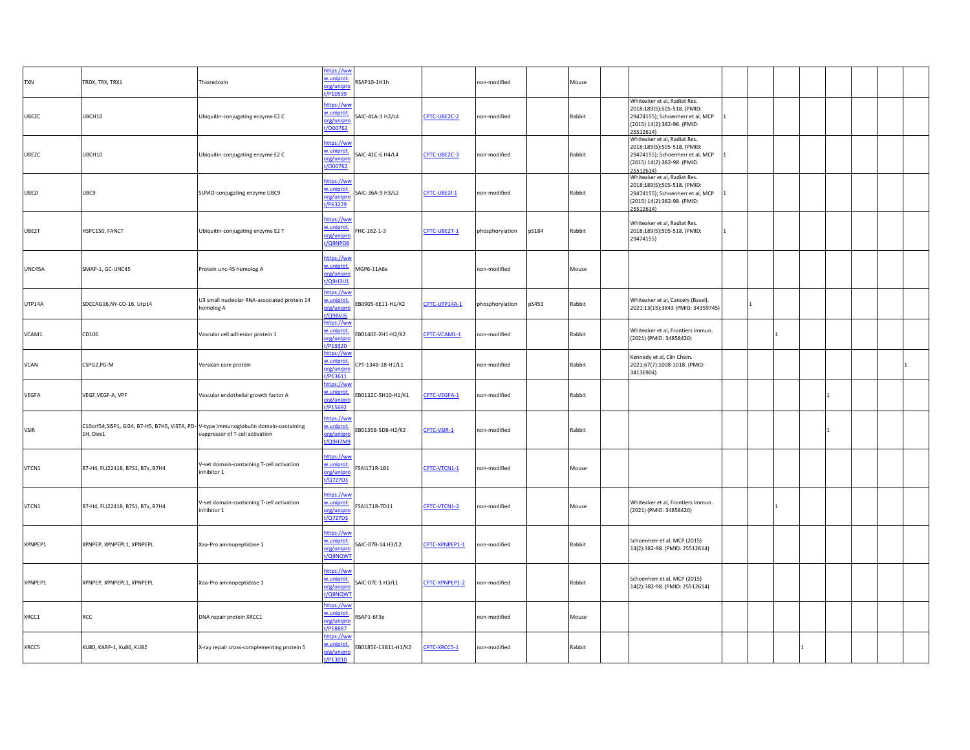| <b>TXN</b>  | TRDX, TRX, TRX1                                                                                   | Thioredoxin                                               | https://ww<br>w.uniprot.<br>org/unipro<br>t/P10599 | 3SAP10-1H1h         |                | non-modified    |       | Mouse  |                                                                                                                                             |                |  |  |  |
|-------------|---------------------------------------------------------------------------------------------------|-----------------------------------------------------------|----------------------------------------------------|---------------------|----------------|-----------------|-------|--------|---------------------------------------------------------------------------------------------------------------------------------------------|----------------|--|--|--|
| UBE2C       | UBCH10                                                                                            | Ubiquitin-conjugating enzyme E2 C                         | https://ww<br>w.uniprot.<br>org/unipro<br>t/000762 | SAIC-41A-1 H2/L4    | CPTC-UBE2C-2   | non-modified    |       | Rabbit | Whiteaker et al, Radiat Res.<br>2018;189(5):505-518. (PMID:<br>29474155); Schoenherr et al, MCP<br>(2015) 14(2):382-98. (PMID:<br>25512614) |                |  |  |  |
| UBE2C       | UBCH10                                                                                            | Ubiquitin-conjugating enzyme E2 C                         | https://ww<br>w.uniprot.<br>org/unipro<br>t/000762 | SAIC-41C-6 H4/L4    | CPTC-UBE2C-3   | non-modified    |       | Rabbit | Whiteaker et al, Radiat Res.<br>2018;189(5):505-518. (PMID:<br>29474155); Schoenherr et al, MCP<br>(2015) 14(2):382-98. (PMID:<br>25512614) | I1             |  |  |  |
| UBE2I       | UBC9                                                                                              | SUMO-conjugating enzyme UBC9                              | https://ww<br>w.uniprot.<br>org/unipro<br>t/P63279 | SAIC-36A-9 H3/L2    | CPTC-UBE2I-1   | non-modified    |       | Rabbit | Whiteaker et al, Radiat Res.<br>2018;189(5):505-518. (PMID:<br>29474155); Schoenherr et al, MCP<br>(2015) 14(2):382-98. (PMID:<br>25512614) |                |  |  |  |
| UBE2T       | HSPC150, FANCT                                                                                    | Ubiquitin-conjugating enzyme E2 T                         | https://ww<br>w.uniprot.<br>org/unipro<br>t/Q9NPD8 | HC-162-1-3          | CPTC-UBE2T-1   | phosphorylation | pS184 | Rabbit | Whiteaker et al, Radiat Res.<br>2018;189(5):505-518. (PMID:<br>29474155)                                                                    | $\blacksquare$ |  |  |  |
| UNC45A      | SMAP-1, GC-UNC45                                                                                  | Protein unc-45 homolog A                                  | https://ww<br>w.uniprot.<br>org/unipro<br>t/Q9H3U1 | MGP6-11A6e          |                | non-modified    |       | Mouse  |                                                                                                                                             |                |  |  |  |
| UTP14A      | SDCCAG16, NY-CO-16, Utp14                                                                         | U3 small nucleolar RNA-associated protein 14<br>homolog A | nttps://ww<br>w.uniprot.<br>org/unipro<br>/Q9BVJ6  | EB0905-6E11-H1/K2   | CPTC-UTP14A-1  | phosphorylation | pS453 | Rabbit | Whiteaker et al, Cancers (Basel).<br>2021;13(15):3843 (PMID: 34359745)                                                                      |                |  |  |  |
| VCAM1       | CD106                                                                                             | Vascular cell adhesion protein 1                          | https://ww<br>w.uniprot.<br>org/unipro<br>t/P19320 | EB0140E-2H1-H2/K2   | CPTC-VCAM1-1   | non-modified    |       | Rabbit | Whiteaker et al, Frontiers Immun.<br>(2021) (PMID: 34858420)                                                                                |                |  |  |  |
| <b>VCAN</b> | CSPG2,PG-M                                                                                        | Versican core protein                                     | https://ww<br>w.uniprot.<br>org/unipro<br>t/P13611 | CPT-134B-18-H1/L1   |                | non-modified    |       | Rabbit | Kennedy et al, Clin Chem.<br>2021;67(7):1008-1018. (PMID:<br>34136904)                                                                      |                |  |  |  |
| VEGFA       | VEGF, VEGF-A, VPF                                                                                 | Vascular endothelial growth factor A                      | https://ww<br>w.uniprot.<br>org/unipri<br>t/P15692 | EB0132C-5H10-H1/K1  | CPTC-VEGFA-1   | non-modified    |       | Rabbit |                                                                                                                                             |                |  |  |  |
| <b>VSIR</b> | C10orf54,SISP1, GI24, B7-H5, B7H5, VISTA, PD-V-type immunoglobulin domain-containing<br>1H, Dies1 | suppressor of T-cell activation                           | https://ww<br>w.uniprot.<br>org/unipro<br>t/Q9H7M9 | EB0135B-5D8-H2/K2   | CPTC-VSIR-1    | non-modified    |       | Rabbit |                                                                                                                                             |                |  |  |  |
| VTCN1       | B7-H4, FLJ22418, B7S1, B7x, B7H4                                                                  | V-set domain-containing T-cell activation<br>inhibitor 1  | https://ww<br>w.uniprot.<br>org/unipro<br>t/Q7Z7D3 | SAI171R-1B1         | CPTC-VTCN1-1   | on-modified     |       | Mouse  |                                                                                                                                             |                |  |  |  |
| VTCN1       | B7-H4, FLJ22418, B7S1, B7x, B7H4                                                                  | V-set domain-containing T-cell activation<br>inhibitor 1  | https://wv<br>w.uniprot.<br>org/unipro<br>t/Q7Z7D3 | SAI171R-7D11        | CPTC-VTCN1-2   | non-modified    |       | Mouse  | Whiteaker et al, Frontiers Immun.<br>(2021) (PMID: 34858420)                                                                                |                |  |  |  |
| XPNPEP1     | XPNPEP, XPNPEPL1, XPNPEPL                                                                         | Xaa-Pro aminopeptidase 1                                  | https://ww<br>w.uniprot.<br>org/unipro<br>t/Q9NQW7 | SAIC-07B-14 H3/L2   | CPTC-XPNPEP1-1 | non-modified    |       | Rabbit | Schoenherr et al, MCP (2015)<br>14(2):382-98. (PMID: 25512614)                                                                              |                |  |  |  |
| XPNPEP1     | XPNPEP, XPNPEPL1, XPNPEPL                                                                         | Xaa-Pro aminopeptidase 1                                  | https://ww<br>w.uniprot.<br>org/unipro<br>t/Q9NQW7 | SAIC-07E-1 H3/L1    | CPTC-XPNPEP1-2 | non-modified    |       | Rabbit | Schoenherr et al, MCP (2015)<br>14(2):382-98. (PMID: 25512614)                                                                              |                |  |  |  |
| XRCC1       | RCC                                                                                               | DNA repair protein XRCC1                                  | https://ww<br>w.uniprot.<br>org/unipro<br>t/P18887 | RSAP1-6F3e          |                | non-modified    |       | Mouse  |                                                                                                                                             |                |  |  |  |
| XRCC5       | KU80, KARP-1, Ku86, KUB2                                                                          | X-ray repair cross-complementing protein 5                | https://ww<br>w.uniprot.<br>org/unipro<br>t/P13010 | EB0185E-13B11-H1/K2 | CPTC-XRCC5-1   | non-modified    |       | Rabbit |                                                                                                                                             |                |  |  |  |